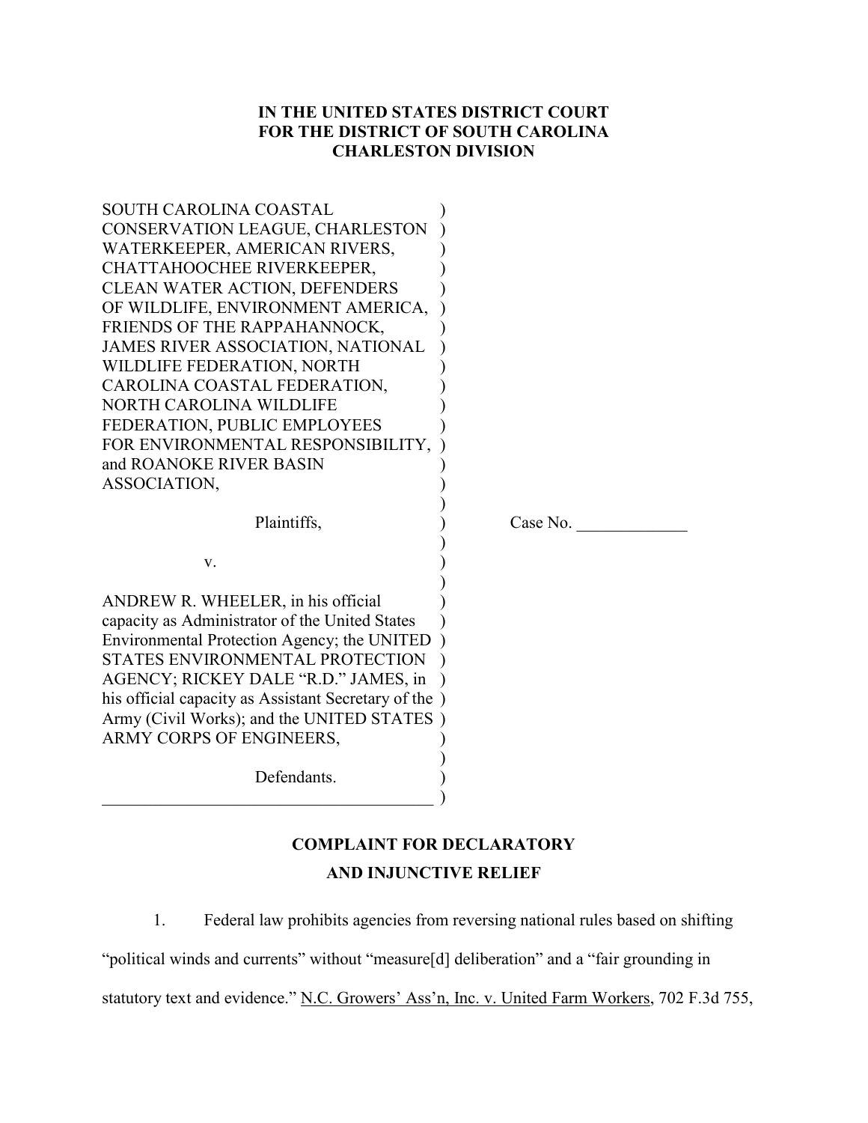## **IN THE UNITED STATES DISTRICT COURT FOR THE DISTRICT OF SOUTH CAROLINA CHARLESTON DIVISION**

| <b>SOUTH CAROLINA COASTAL</b><br>CONSERVATION LEAGUE, CHARLESTON<br>WATERKEEPER, AMERICAN RIVERS,                                                                                                                                                                                                                                              |          |
|------------------------------------------------------------------------------------------------------------------------------------------------------------------------------------------------------------------------------------------------------------------------------------------------------------------------------------------------|----------|
| CHATTAHOOCHEE RIVERKEEPER,<br><b>CLEAN WATER ACTION, DEFENDERS</b>                                                                                                                                                                                                                                                                             |          |
| OF WILDLIFE, ENVIRONMENT AMERICA,<br>FRIENDS OF THE RAPPAHANNOCK,<br><b>JAMES RIVER ASSOCIATION, NATIONAL</b>                                                                                                                                                                                                                                  |          |
| WILDLIFE FEDERATION, NORTH<br>CAROLINA COASTAL FEDERATION,                                                                                                                                                                                                                                                                                     |          |
| <b>NORTH CAROLINA WILDLIFE</b><br>FEDERATION, PUBLIC EMPLOYEES<br>FOR ENVIRONMENTAL RESPONSIBILITY,                                                                                                                                                                                                                                            |          |
| and ROANOKE RIVER BASIN<br>ASSOCIATION,                                                                                                                                                                                                                                                                                                        |          |
|                                                                                                                                                                                                                                                                                                                                                |          |
| Plaintiffs,                                                                                                                                                                                                                                                                                                                                    | Case No. |
| V.                                                                                                                                                                                                                                                                                                                                             |          |
| ANDREW R. WHEELER, in his official<br>capacity as Administrator of the United States<br>Environmental Protection Agency; the UNITED<br>STATES ENVIRONMENTAL PROTECTION<br>AGENCY; RICKEY DALE "R.D." JAMES, in<br>his official capacity as Assistant Secretary of the<br>Army (Civil Works); and the UNITED STATES<br>ARMY CORPS OF ENGINEERS, |          |

# **COMPLAINT FOR DECLARATORY AND INJUNCTIVE RELIEF**

1. Federal law prohibits agencies from reversing national rules based on shifting

"political winds and currents" without "measure[d] deliberation" and a "fair grounding in

statutory text and evidence." N.C. Growers' Ass'n, Inc. v. United Farm Workers, 702 F.3d 755,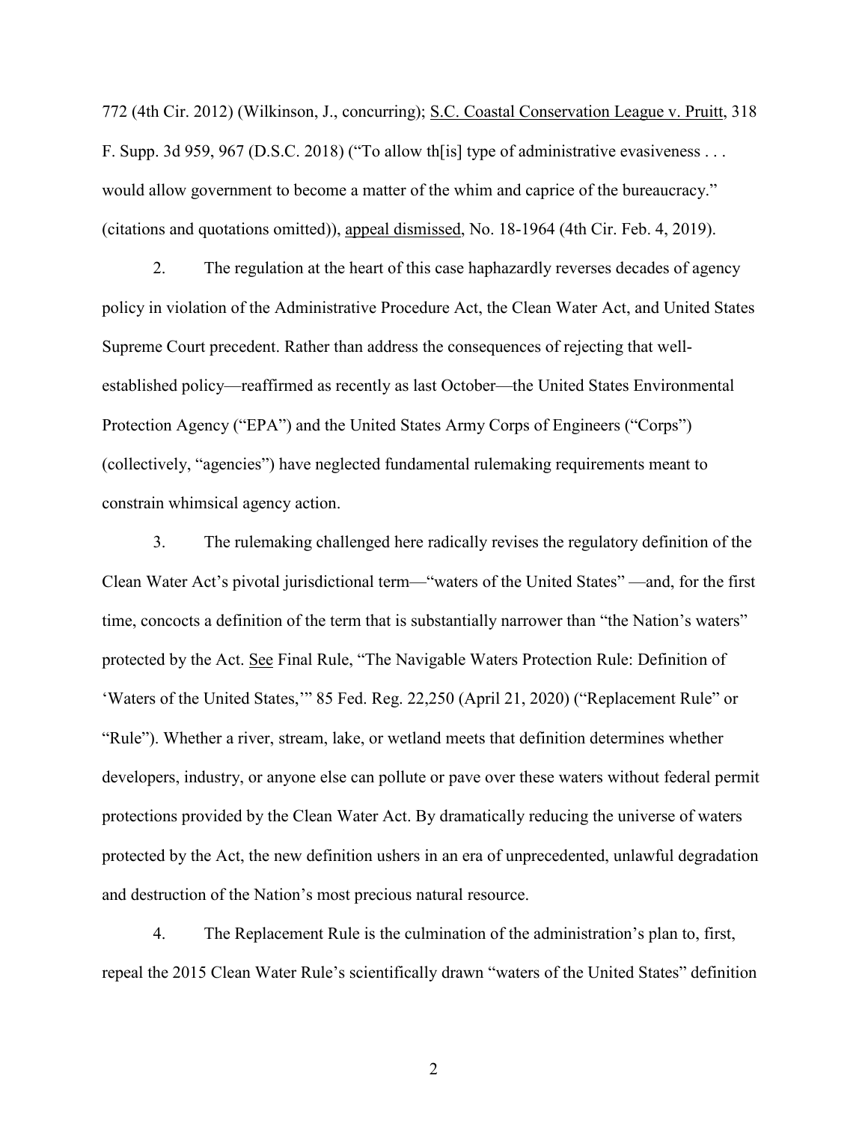772 (4th Cir. 2012) (Wilkinson, J., concurring); S.C. Coastal Conservation League v. Pruitt, 318 F. Supp. 3d 959, 967 (D.S.C. 2018) ("To allow th[is] type of administrative evasiveness . . . would allow government to become a matter of the whim and caprice of the bureaucracy." (citations and quotations omitted)), appeal dismissed, No. 18-1964 (4th Cir. Feb. 4, 2019).

2. The regulation at the heart of this case haphazardly reverses decades of agency policy in violation of the Administrative Procedure Act, the Clean Water Act, and United States Supreme Court precedent. Rather than address the consequences of rejecting that wellestablished policy—reaffirmed as recently as last October—the United States Environmental Protection Agency ("EPA") and the United States Army Corps of Engineers ("Corps") (collectively, "agencies") have neglected fundamental rulemaking requirements meant to constrain whimsical agency action.

3. The rulemaking challenged here radically revises the regulatory definition of the Clean Water Act's pivotal jurisdictional term—"waters of the United States" —and, for the first time, concocts a definition of the term that is substantially narrower than "the Nation's waters" protected by the Act. See Final Rule, "The Navigable Waters Protection Rule: Definition of 'Waters of the United States,'" 85 Fed. Reg. 22,250 (April 21, 2020) ("Replacement Rule" or "Rule"). Whether a river, stream, lake, or wetland meets that definition determines whether developers, industry, or anyone else can pollute or pave over these waters without federal permit protections provided by the Clean Water Act. By dramatically reducing the universe of waters protected by the Act, the new definition ushers in an era of unprecedented, unlawful degradation and destruction of the Nation's most precious natural resource.

4. The Replacement Rule is the culmination of the administration's plan to, first, repeal the 2015 Clean Water Rule's scientifically drawn "waters of the United States" definition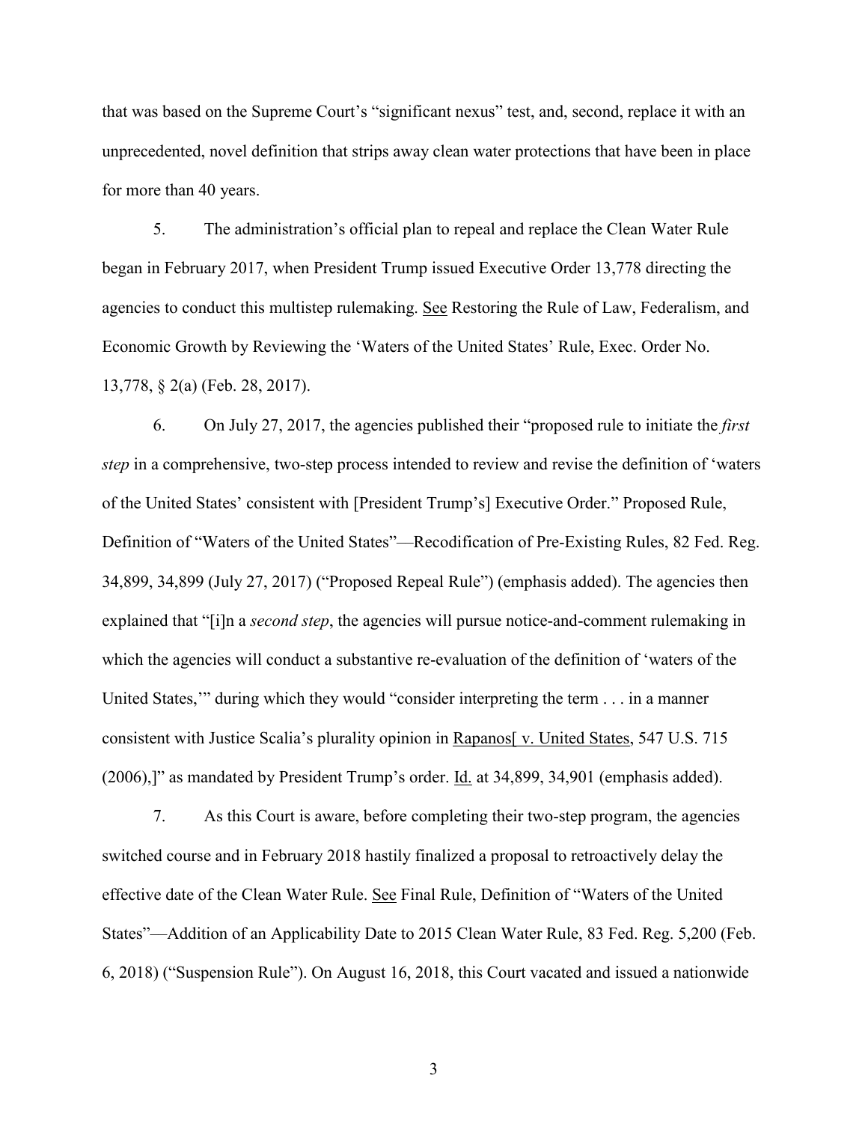that was based on the Supreme Court's "significant nexus" test, and, second, replace it with an unprecedented, novel definition that strips away clean water protections that have been in place for more than 40 years.

5. The administration's official plan to repeal and replace the Clean Water Rule began in February 2017, when President Trump issued Executive Order 13,778 directing the agencies to conduct this multistep rulemaking. See Restoring the Rule of Law, Federalism, and Economic Growth by Reviewing the 'Waters of the United States' Rule, Exec. Order No. 13,778, § 2(a) (Feb. 28, 2017).

6. On July 27, 2017, the agencies published their "proposed rule to initiate the *first step* in a comprehensive, two-step process intended to review and revise the definition of 'waters of the United States' consistent with [President Trump's] Executive Order." Proposed Rule, Definition of "Waters of the United States"––Recodification of Pre-Existing Rules, 82 Fed. Reg. 34,899, 34,899 (July 27, 2017) ("Proposed Repeal Rule") (emphasis added). The agencies then explained that "[i]n a *second step*, the agencies will pursue notice-and-comment rulemaking in which the agencies will conduct a substantive re-evaluation of the definition of 'waters of the United States,'" during which they would "consider interpreting the term . . . in a manner consistent with Justice Scalia's plurality opinion in Rapanos[ v. United States, 547 U.S. 715 (2006),]" as mandated by President Trump's order. Id. at 34,899, 34,901 (emphasis added).

7. As this Court is aware, before completing their two-step program, the agencies switched course and in February 2018 hastily finalized a proposal to retroactively delay the effective date of the Clean Water Rule. See Final Rule, Definition of "Waters of the United States"––Addition of an Applicability Date to 2015 Clean Water Rule, 83 Fed. Reg. 5,200 (Feb. 6, 2018) ("Suspension Rule"). On August 16, 2018, this Court vacated and issued a nationwide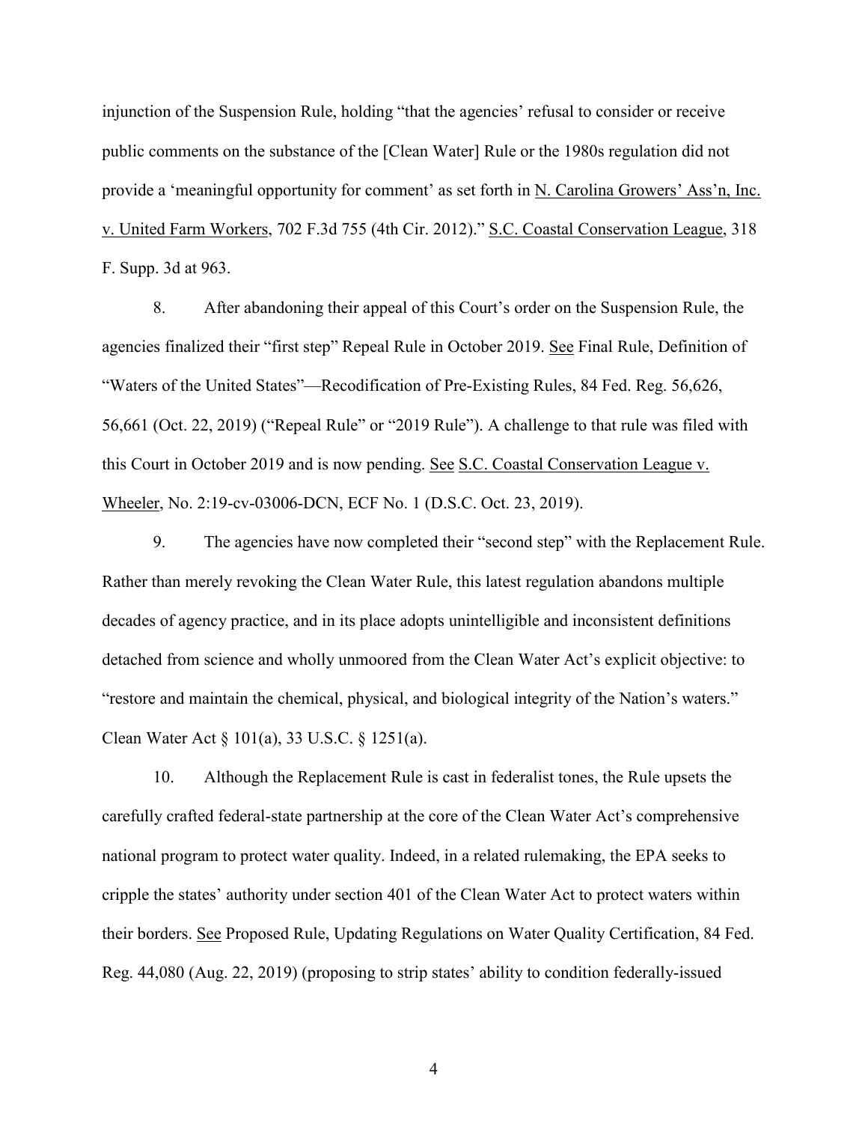injunction of the Suspension Rule, holding "that the agencies' refusal to consider or receive public comments on the substance of the [Clean Water] Rule or the 1980s regulation did not provide a 'meaningful opportunity for comment' as set forth in N. Carolina Growers' Ass'n, Inc. v. United Farm Workers, 702 F.3d 755 (4th Cir. 2012)." S.C. Coastal Conservation League, 318 F. Supp. 3d at 963.

8. After abandoning their appeal of this Court's order on the Suspension Rule, the agencies finalized their "first step" Repeal Rule in October 2019. See Final Rule, Definition of "Waters of the United States"—Recodification of Pre-Existing Rules, 84 Fed. Reg. 56,626, 56,661 (Oct. 22, 2019) ("Repeal Rule" or "2019 Rule"). A challenge to that rule was filed with this Court in October 2019 and is now pending. See S.C. Coastal Conservation League v. Wheeler, No. 2:19-cv-03006-DCN, ECF No. 1 (D.S.C. Oct. 23, 2019).

9. The agencies have now completed their "second step" with the Replacement Rule. Rather than merely revoking the Clean Water Rule, this latest regulation abandons multiple decades of agency practice, and in its place adopts unintelligible and inconsistent definitions detached from science and wholly unmoored from the Clean Water Act's explicit objective: to "restore and maintain the chemical, physical, and biological integrity of the Nation's waters." Clean Water Act § 101(a), 33 U.S.C. § 1251(a).

10. Although the Replacement Rule is cast in federalist tones, the Rule upsets the carefully crafted federal-state partnership at the core of the Clean Water Act's comprehensive national program to protect water quality. Indeed, in a related rulemaking, the EPA seeks to cripple the states' authority under section 401 of the Clean Water Act to protect waters within their borders. See Proposed Rule, Updating Regulations on Water Quality Certification, 84 Fed. Reg. 44,080 (Aug. 22, 2019) (proposing to strip states' ability to condition federally-issued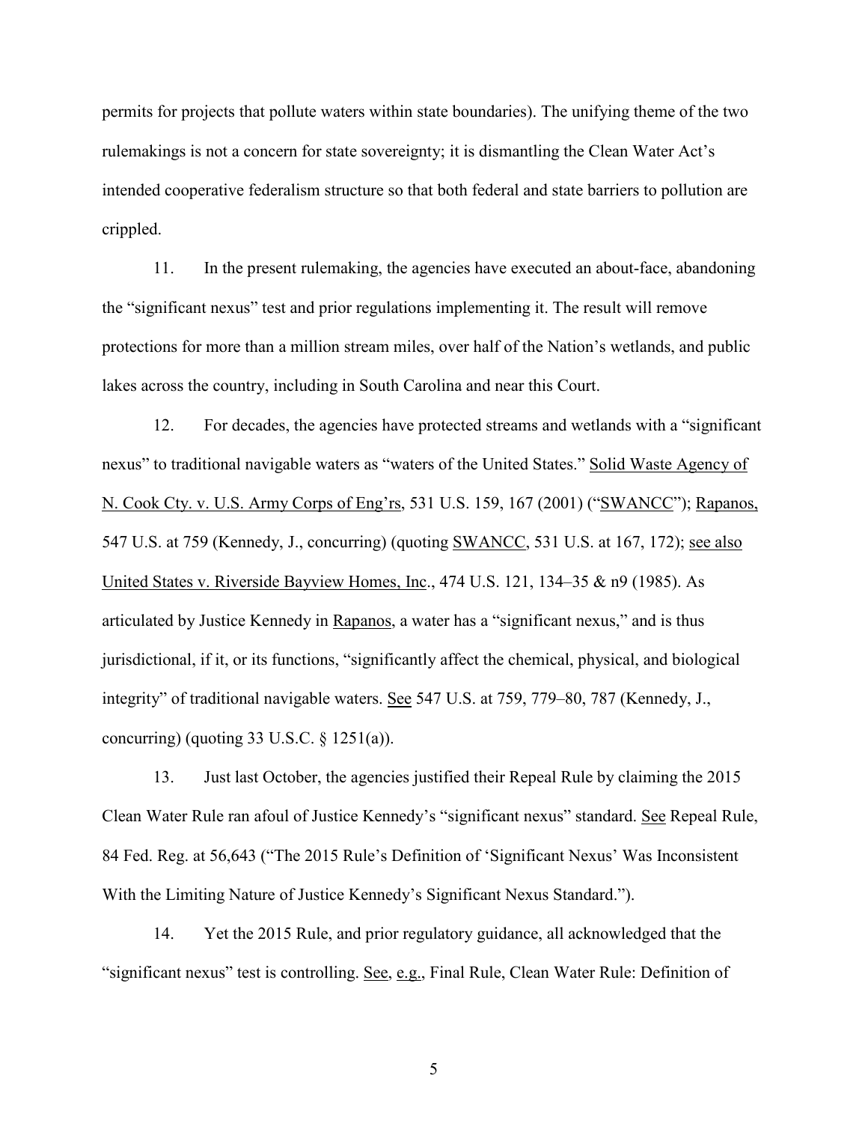permits for projects that pollute waters within state boundaries). The unifying theme of the two rulemakings is not a concern for state sovereignty; it is dismantling the Clean Water Act's intended cooperative federalism structure so that both federal and state barriers to pollution are crippled.

11. In the present rulemaking, the agencies have executed an about-face, abandoning the "significant nexus" test and prior regulations implementing it. The result will remove protections for more than a million stream miles, over half of the Nation's wetlands, and public lakes across the country, including in South Carolina and near this Court.

12. For decades, the agencies have protected streams and wetlands with a "significant nexus" to traditional navigable waters as "waters of the United States." Solid Waste Agency of N. Cook Cty. v. U.S. Army Corps of Eng'rs, 531 U.S. 159, 167 (2001) ("SWANCC"); Rapanos, 547 U.S. at 759 (Kennedy, J., concurring) (quoting SWANCC, 531 U.S. at 167, 172); see also United States v. Riverside Bayview Homes, Inc., 474 U.S. 121, 134–35 & n9 (1985). As articulated by Justice Kennedy in Rapanos, a water has a "significant nexus," and is thus jurisdictional, if it, or its functions, "significantly affect the chemical, physical, and biological integrity" of traditional navigable waters. See 547 U.S. at 759, 779–80, 787 (Kennedy, J., concurring) (quoting  $33 \text{ U.S.C. }$  §  $1251(a)$ ).

13. Just last October, the agencies justified their Repeal Rule by claiming the 2015 Clean Water Rule ran afoul of Justice Kennedy's "significant nexus" standard. See Repeal Rule, 84 Fed. Reg. at 56,643 ("The 2015 Rule's Definition of 'Significant Nexus' Was Inconsistent With the Limiting Nature of Justice Kennedy's Significant Nexus Standard.").

14. Yet the 2015 Rule, and prior regulatory guidance, all acknowledged that the "significant nexus" test is controlling. See, e.g., Final Rule, Clean Water Rule: Definition of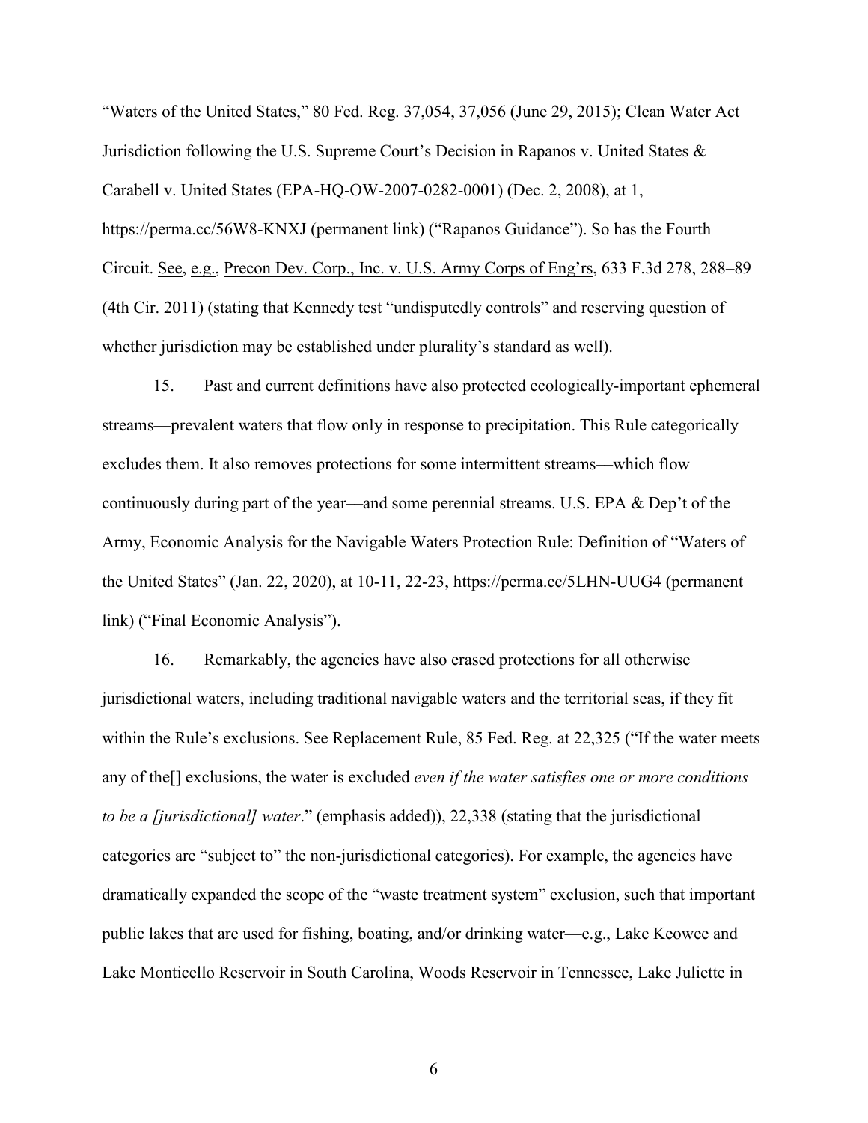"Waters of the United States," 80 Fed. Reg. 37,054, 37,056 (June 29, 2015); Clean Water Act Jurisdiction following the U.S. Supreme Court's Decision in Rapanos v. United States & Carabell v. United States (EPA-HQ-OW-2007-0282-0001) (Dec. 2, 2008), at 1, https://perma.cc/56W8-KNXJ (permanent link) ("Rapanos Guidance"). So has the Fourth Circuit. See, e.g., Precon Dev. Corp., Inc. v. U.S. Army Corps of Eng'rs, 633 F.3d 278, 288–89 (4th Cir. 2011) (stating that Kennedy test "undisputedly controls" and reserving question of whether jurisdiction may be established under plurality's standard as well).

15. Past and current definitions have also protected ecologically-important ephemeral streams—prevalent waters that flow only in response to precipitation. This Rule categorically excludes them. It also removes protections for some intermittent streams––which flow continuously during part of the year––and some perennial streams. U.S. EPA & Dep't of the Army, Economic Analysis for the Navigable Waters Protection Rule: Definition of "Waters of the United States" (Jan. 22, 2020), at 10-11, 22-23, https://perma.cc/5LHN-UUG4 (permanent link) ("Final Economic Analysis").

16. Remarkably, the agencies have also erased protections for all otherwise jurisdictional waters, including traditional navigable waters and the territorial seas, if they fit within the Rule's exclusions. See Replacement Rule, 85 Fed. Reg. at 22,325 ("If the water meets") any of the[] exclusions, the water is excluded *even if the water satisfies one or more conditions to be a [jurisdictional] water*." (emphasis added)), 22,338 (stating that the jurisdictional categories are "subject to" the non-jurisdictional categories). For example, the agencies have dramatically expanded the scope of the "waste treatment system" exclusion, such that important public lakes that are used for fishing, boating, and/or drinking water—e.g., Lake Keowee and Lake Monticello Reservoir in South Carolina, Woods Reservoir in Tennessee, Lake Juliette in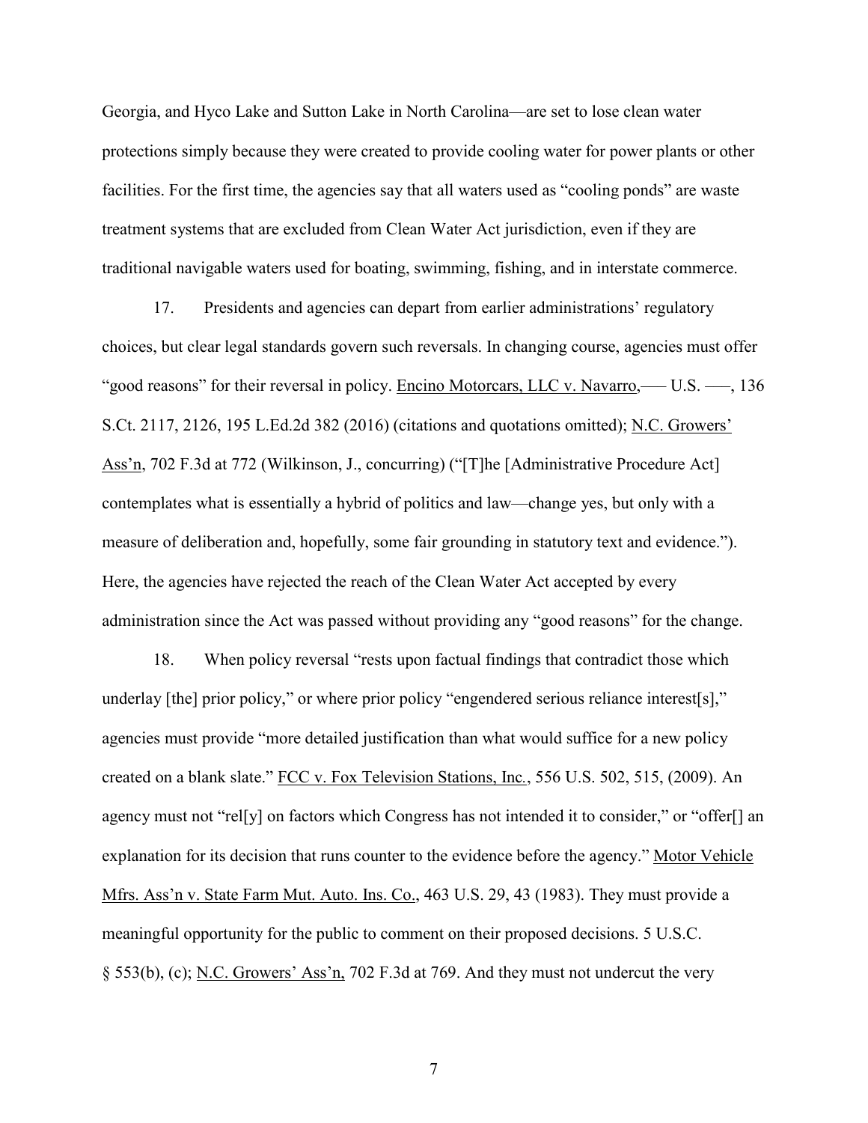Georgia, and Hyco Lake and Sutton Lake in North Carolina—are set to lose clean water protections simply because they were created to provide cooling water for power plants or other facilities. For the first time, the agencies say that all waters used as "cooling ponds" are waste treatment systems that are excluded from Clean Water Act jurisdiction, even if they are traditional navigable waters used for boating, swimming, fishing, and in interstate commerce.

17. Presidents and agencies can depart from earlier administrations' regulatory choices, but clear legal standards govern such reversals. In changing course, agencies must offer "good reasons" for their reversal in policy. Encino Motorcars, LLC v. Navarro,––– U.S. –––, 136 S.Ct. 2117, 2126, 195 L.Ed.2d 382 (2016) (citations and quotations omitted); N.C. Growers' Ass'n, 702 F.3d at 772 (Wilkinson, J., concurring) ("[T]he [Administrative Procedure Act] contemplates what is essentially a hybrid of politics and law—change yes, but only with a measure of deliberation and, hopefully, some fair grounding in statutory text and evidence."). Here, the agencies have rejected the reach of the Clean Water Act accepted by every administration since the Act was passed without providing any "good reasons" for the change.

18. When policy reversal "rests upon factual findings that contradict those which underlay [the] prior policy," or where prior policy "engendered serious reliance interest[s]," agencies must provide "more detailed justification than what would suffice for a new policy created on a blank slate." FCC v. Fox Television Stations, Inc*.*, 556 U.S. 502, 515, (2009). An agency must not "rel[y] on factors which Congress has not intended it to consider," or "offer[] an explanation for its decision that runs counter to the evidence before the agency." Motor Vehicle Mfrs. Ass'n v. State Farm Mut. Auto. Ins. Co., 463 U.S. 29, 43 (1983). They must provide a meaningful opportunity for the public to comment on their proposed decisions. 5 U.S.C. § 553(b), (c); N.C. Growers' Ass'n, 702 F.3d at 769. And they must not undercut the very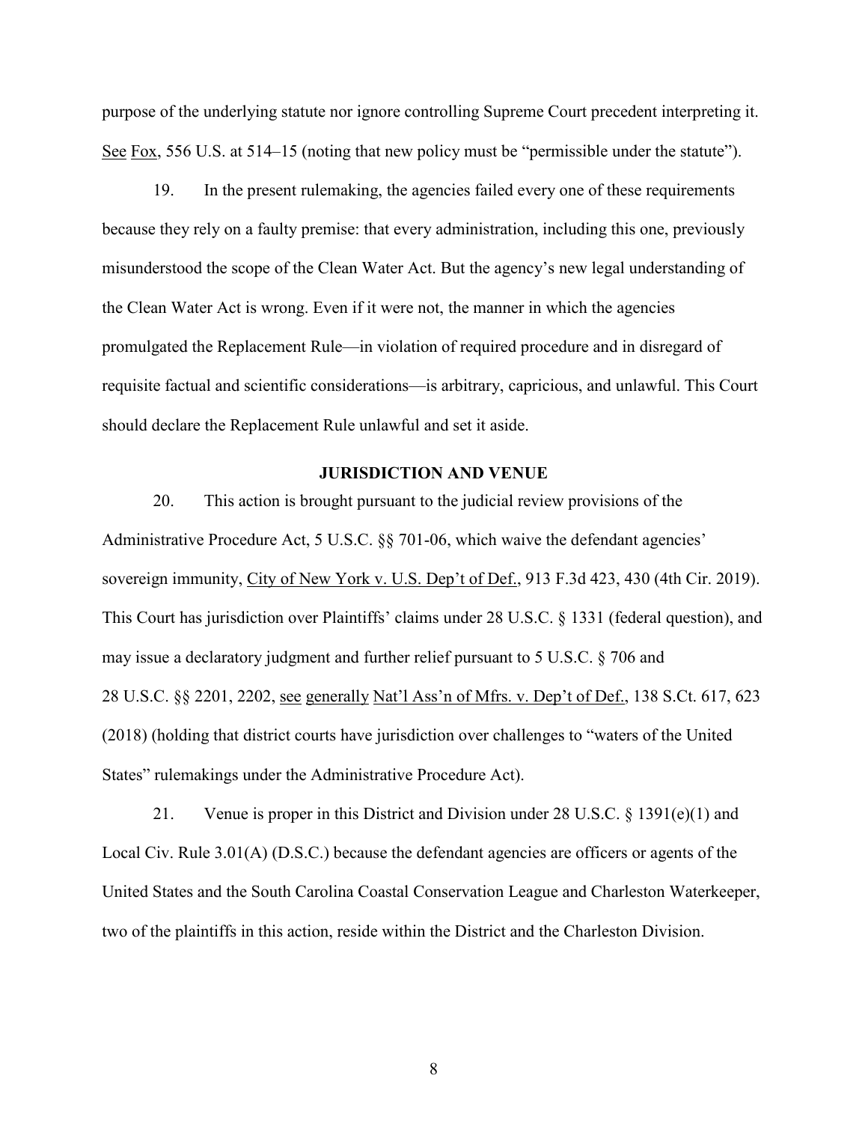purpose of the underlying statute nor ignore controlling Supreme Court precedent interpreting it. See Fox, 556 U.S. at 514–15 (noting that new policy must be "permissible under the statute").

19. In the present rulemaking, the agencies failed every one of these requirements because they rely on a faulty premise: that every administration, including this one, previously misunderstood the scope of the Clean Water Act. But the agency's new legal understanding of the Clean Water Act is wrong. Even if it were not, the manner in which the agencies promulgated the Replacement Rule—in violation of required procedure and in disregard of requisite factual and scientific considerations—is arbitrary, capricious, and unlawful. This Court should declare the Replacement Rule unlawful and set it aside.

#### **JURISDICTION AND VENUE**

20. This action is brought pursuant to the judicial review provisions of the Administrative Procedure Act, 5 U.S.C. §§ 701-06, which waive the defendant agencies' sovereign immunity, City of New York v. U.S. Dep't of Def., 913 F.3d 423, 430 (4th Cir. 2019). This Court has jurisdiction over Plaintiffs' claims under 28 U.S.C. § 1331 (federal question), and may issue a declaratory judgment and further relief pursuant to 5 U.S.C. § 706 and 28 U.S.C. §§ 2201, 2202, see generally Nat'l Ass'n of Mfrs. v. Dep't of Def., 138 S.Ct. 617, 623 (2018) (holding that district courts have jurisdiction over challenges to "waters of the United States" rulemakings under the Administrative Procedure Act).

21. Venue is proper in this District and Division under 28 U.S.C. § 1391(e)(1) and Local Civ. Rule 3.01(A) (D.S.C.) because the defendant agencies are officers or agents of the United States and the South Carolina Coastal Conservation League and Charleston Waterkeeper, two of the plaintiffs in this action, reside within the District and the Charleston Division.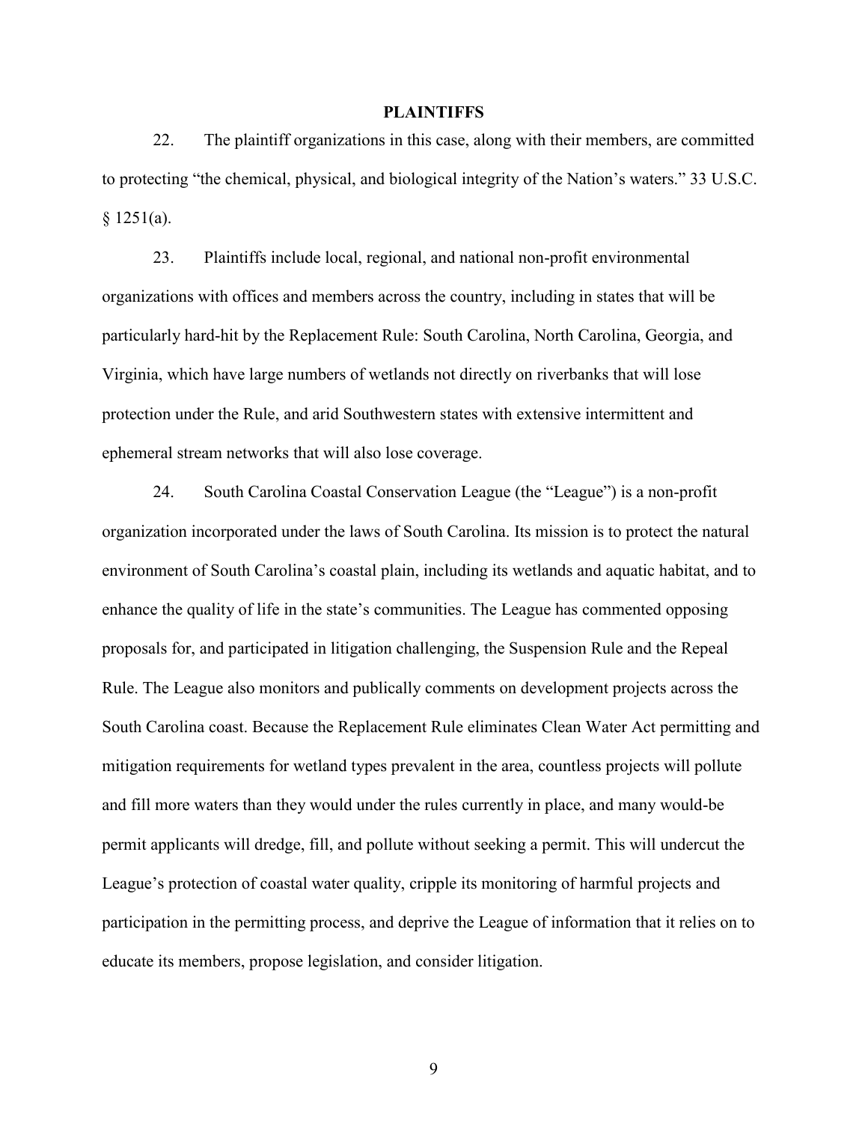#### **PLAINTIFFS**

22. The plaintiff organizations in this case, along with their members, are committed to protecting "the chemical, physical, and biological integrity of the Nation's waters." 33 U.S.C.  $§ 1251(a).$ 

23. Plaintiffs include local, regional, and national non-profit environmental organizations with offices and members across the country, including in states that will be particularly hard-hit by the Replacement Rule: South Carolina, North Carolina, Georgia, and Virginia, which have large numbers of wetlands not directly on riverbanks that will lose protection under the Rule, and arid Southwestern states with extensive intermittent and ephemeral stream networks that will also lose coverage.

24. South Carolina Coastal Conservation League (the "League") is a non-profit organization incorporated under the laws of South Carolina. Its mission is to protect the natural environment of South Carolina's coastal plain, including its wetlands and aquatic habitat, and to enhance the quality of life in the state's communities. The League has commented opposing proposals for, and participated in litigation challenging, the Suspension Rule and the Repeal Rule. The League also monitors and publically comments on development projects across the South Carolina coast. Because the Replacement Rule eliminates Clean Water Act permitting and mitigation requirements for wetland types prevalent in the area, countless projects will pollute and fill more waters than they would under the rules currently in place, and many would-be permit applicants will dredge, fill, and pollute without seeking a permit. This will undercut the League's protection of coastal water quality, cripple its monitoring of harmful projects and participation in the permitting process, and deprive the League of information that it relies on to educate its members, propose legislation, and consider litigation.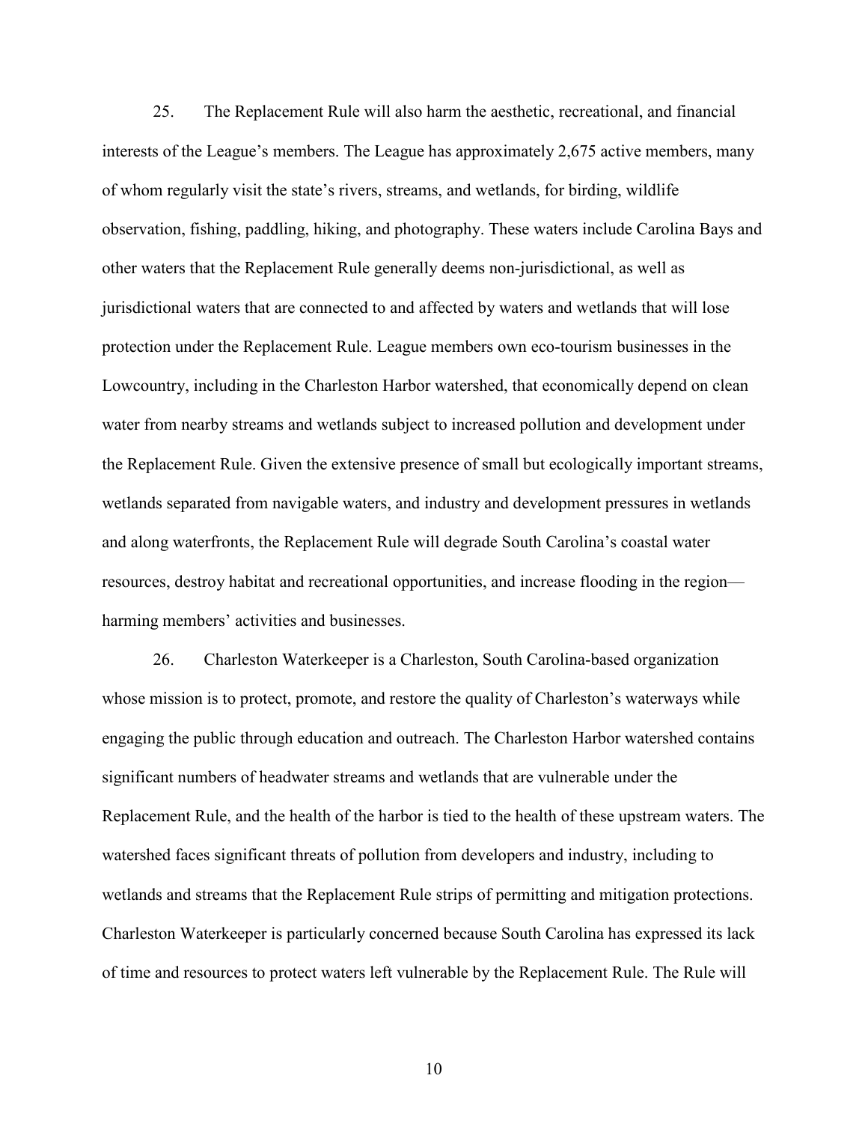25. The Replacement Rule will also harm the aesthetic, recreational, and financial interests of the League's members. The League has approximately 2,675 active members, many of whom regularly visit the state's rivers, streams, and wetlands, for birding, wildlife observation, fishing, paddling, hiking, and photography. These waters include Carolina Bays and other waters that the Replacement Rule generally deems non-jurisdictional, as well as jurisdictional waters that are connected to and affected by waters and wetlands that will lose protection under the Replacement Rule. League members own eco-tourism businesses in the Lowcountry, including in the Charleston Harbor watershed, that economically depend on clean water from nearby streams and wetlands subject to increased pollution and development under the Replacement Rule. Given the extensive presence of small but ecologically important streams, wetlands separated from navigable waters, and industry and development pressures in wetlands and along waterfronts, the Replacement Rule will degrade South Carolina's coastal water resources, destroy habitat and recreational opportunities, and increase flooding in the region–– harming members' activities and businesses.

26. Charleston Waterkeeper is a Charleston, South Carolina-based organization whose mission is to protect, promote, and restore the quality of Charleston's waterways while engaging the public through education and outreach. The Charleston Harbor watershed contains significant numbers of headwater streams and wetlands that are vulnerable under the Replacement Rule, and the health of the harbor is tied to the health of these upstream waters. The watershed faces significant threats of pollution from developers and industry, including to wetlands and streams that the Replacement Rule strips of permitting and mitigation protections. Charleston Waterkeeper is particularly concerned because South Carolina has expressed its lack of time and resources to protect waters left vulnerable by the Replacement Rule. The Rule will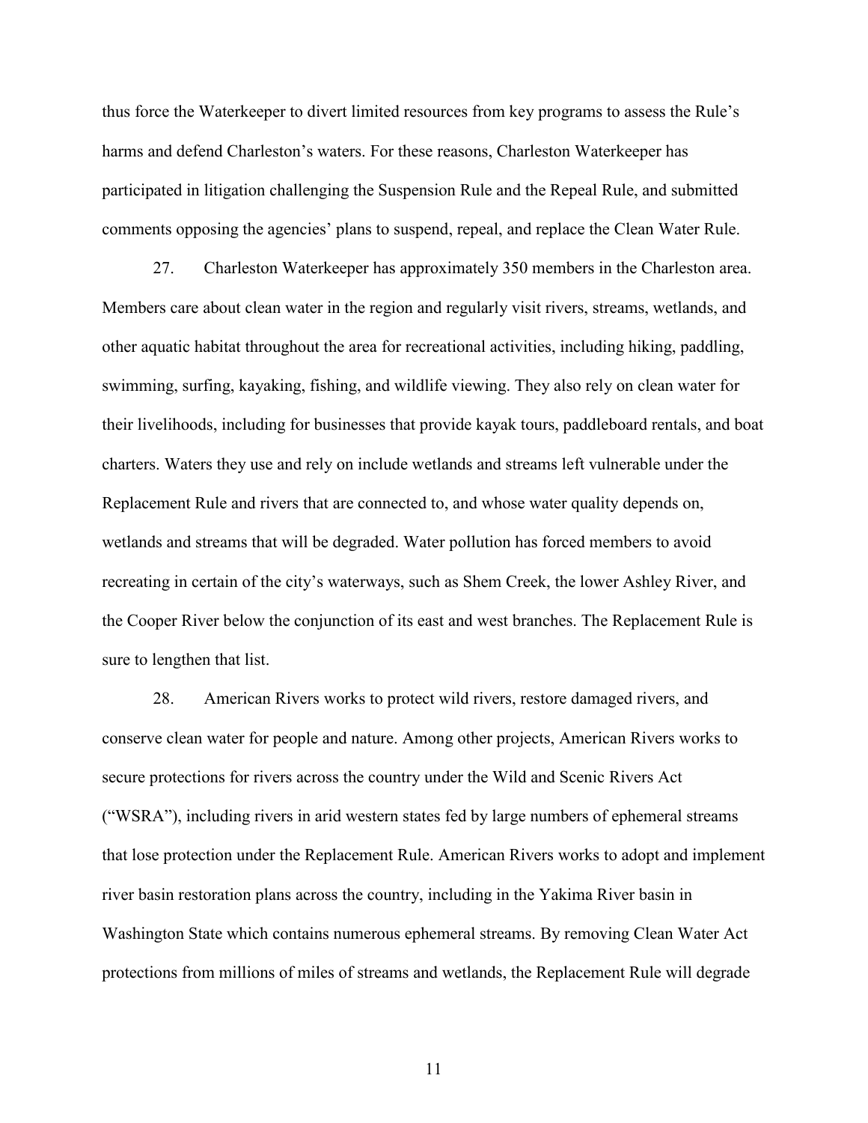thus force the Waterkeeper to divert limited resources from key programs to assess the Rule's harms and defend Charleston's waters. For these reasons, Charleston Waterkeeper has participated in litigation challenging the Suspension Rule and the Repeal Rule, and submitted comments opposing the agencies' plans to suspend, repeal, and replace the Clean Water Rule.

27. Charleston Waterkeeper has approximately 350 members in the Charleston area. Members care about clean water in the region and regularly visit rivers, streams, wetlands, and other aquatic habitat throughout the area for recreational activities, including hiking, paddling, swimming, surfing, kayaking, fishing, and wildlife viewing. They also rely on clean water for their livelihoods, including for businesses that provide kayak tours, paddleboard rentals, and boat charters. Waters they use and rely on include wetlands and streams left vulnerable under the Replacement Rule and rivers that are connected to, and whose water quality depends on, wetlands and streams that will be degraded. Water pollution has forced members to avoid recreating in certain of the city's waterways, such as Shem Creek, the lower Ashley River, and the Cooper River below the conjunction of its east and west branches. The Replacement Rule is sure to lengthen that list.

28. American Rivers works to protect wild rivers, restore damaged rivers, and conserve clean water for people and nature. Among other projects, American Rivers works to secure protections for rivers across the country under the Wild and Scenic Rivers Act ("WSRA"), including rivers in arid western states fed by large numbers of ephemeral streams that lose protection under the Replacement Rule. American Rivers works to adopt and implement river basin restoration plans across the country, including in the Yakima River basin in Washington State which contains numerous ephemeral streams. By removing Clean Water Act protections from millions of miles of streams and wetlands, the Replacement Rule will degrade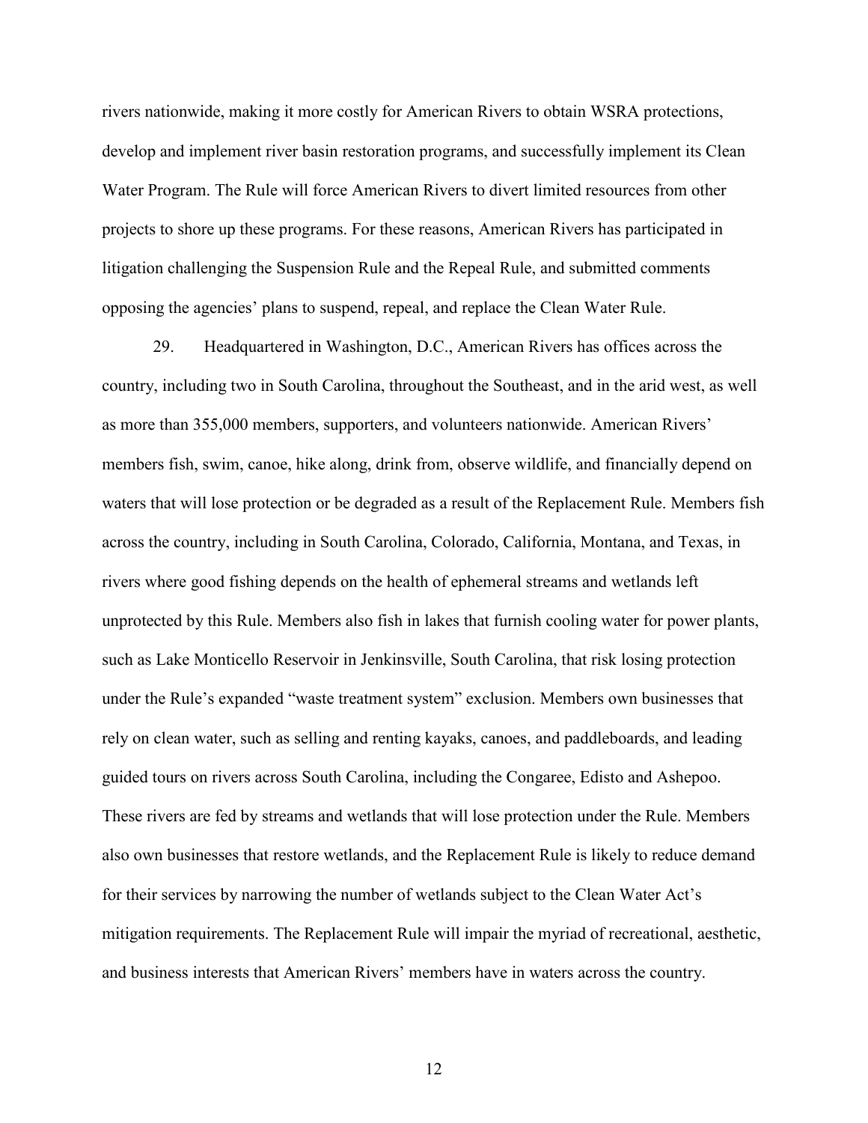rivers nationwide, making it more costly for American Rivers to obtain WSRA protections, develop and implement river basin restoration programs, and successfully implement its Clean Water Program. The Rule will force American Rivers to divert limited resources from other projects to shore up these programs. For these reasons, American Rivers has participated in litigation challenging the Suspension Rule and the Repeal Rule, and submitted comments opposing the agencies' plans to suspend, repeal, and replace the Clean Water Rule.

29. Headquartered in Washington, D.C., American Rivers has offices across the country, including two in South Carolina, throughout the Southeast, and in the arid west, as well as more than 355,000 members, supporters, and volunteers nationwide. American Rivers' members fish, swim, canoe, hike along, drink from, observe wildlife, and financially depend on waters that will lose protection or be degraded as a result of the Replacement Rule. Members fish across the country, including in South Carolina, Colorado, California, Montana, and Texas, in rivers where good fishing depends on the health of ephemeral streams and wetlands left unprotected by this Rule. Members also fish in lakes that furnish cooling water for power plants, such as Lake Monticello Reservoir in Jenkinsville, South Carolina, that risk losing protection under the Rule's expanded "waste treatment system" exclusion. Members own businesses that rely on clean water, such as selling and renting kayaks, canoes, and paddleboards, and leading guided tours on rivers across South Carolina, including the Congaree, Edisto and Ashepoo. These rivers are fed by streams and wetlands that will lose protection under the Rule. Members also own businesses that restore wetlands, and the Replacement Rule is likely to reduce demand for their services by narrowing the number of wetlands subject to the Clean Water Act's mitigation requirements. The Replacement Rule will impair the myriad of recreational, aesthetic, and business interests that American Rivers' members have in waters across the country.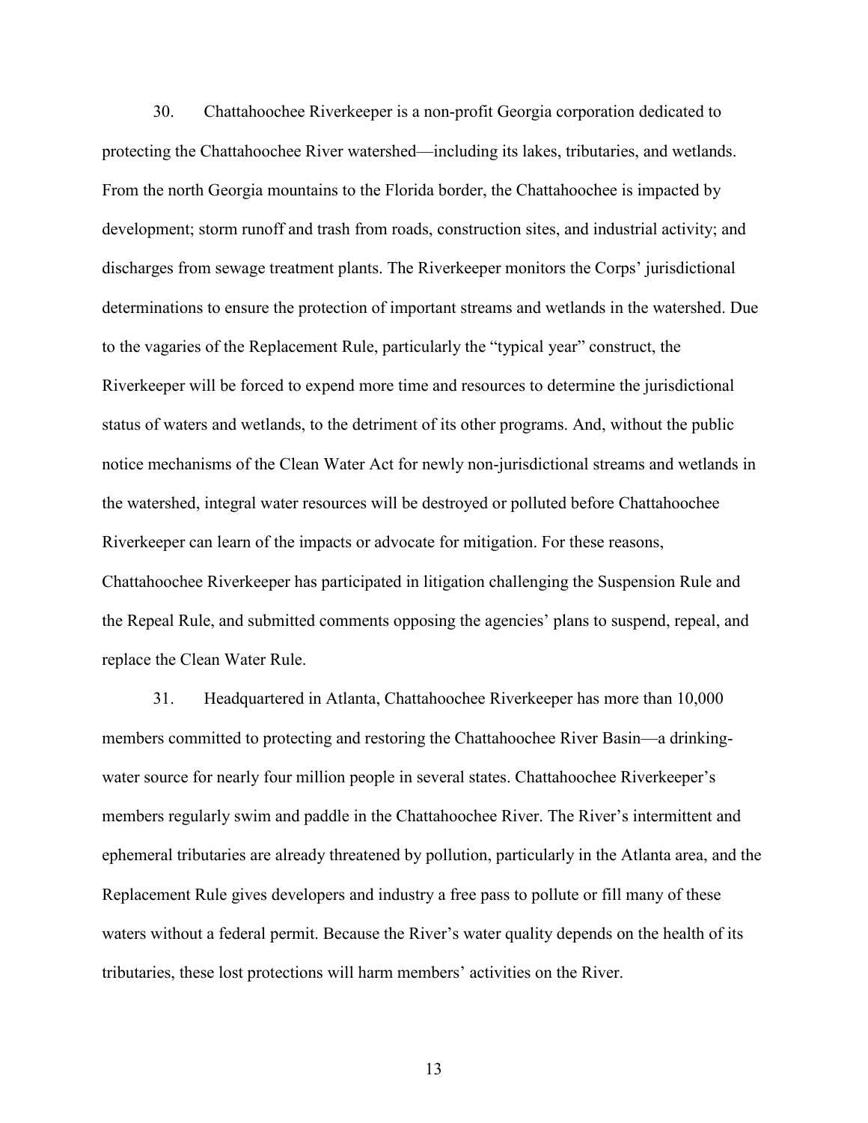30. Chattahoochee Riverkeeper is a non-profit Georgia corporation dedicated to protecting the Chattahoochee River watershed—including its lakes, tributaries, and wetlands. From the north Georgia mountains to the Florida border, the Chattahoochee is impacted by development; storm runoff and trash from roads, construction sites, and industrial activity; and discharges from sewage treatment plants. The Riverkeeper monitors the Corps' jurisdictional determinations to ensure the protection of important streams and wetlands in the watershed. Due to the vagaries of the Replacement Rule, particularly the "typical year" construct, the Riverkeeper will be forced to expend more time and resources to determine the jurisdictional status of waters and wetlands, to the detriment of its other programs. And, without the public notice mechanisms of the Clean Water Act for newly non-jurisdictional streams and wetlands in the watershed, integral water resources will be destroyed or polluted before Chattahoochee Riverkeeper can learn of the impacts or advocate for mitigation. For these reasons, Chattahoochee Riverkeeper has participated in litigation challenging the Suspension Rule and the Repeal Rule, and submitted comments opposing the agencies' plans to suspend, repeal, and replace the Clean Water Rule.

31. Headquartered in Atlanta, Chattahoochee Riverkeeper has more than 10,000 members committed to protecting and restoring the Chattahoochee River Basin—a drinkingwater source for nearly four million people in several states. Chattahoochee Riverkeeper's members regularly swim and paddle in the Chattahoochee River. The River's intermittent and ephemeral tributaries are already threatened by pollution, particularly in the Atlanta area, and the Replacement Rule gives developers and industry a free pass to pollute or fill many of these waters without a federal permit. Because the River's water quality depends on the health of its tributaries, these lost protections will harm members' activities on the River.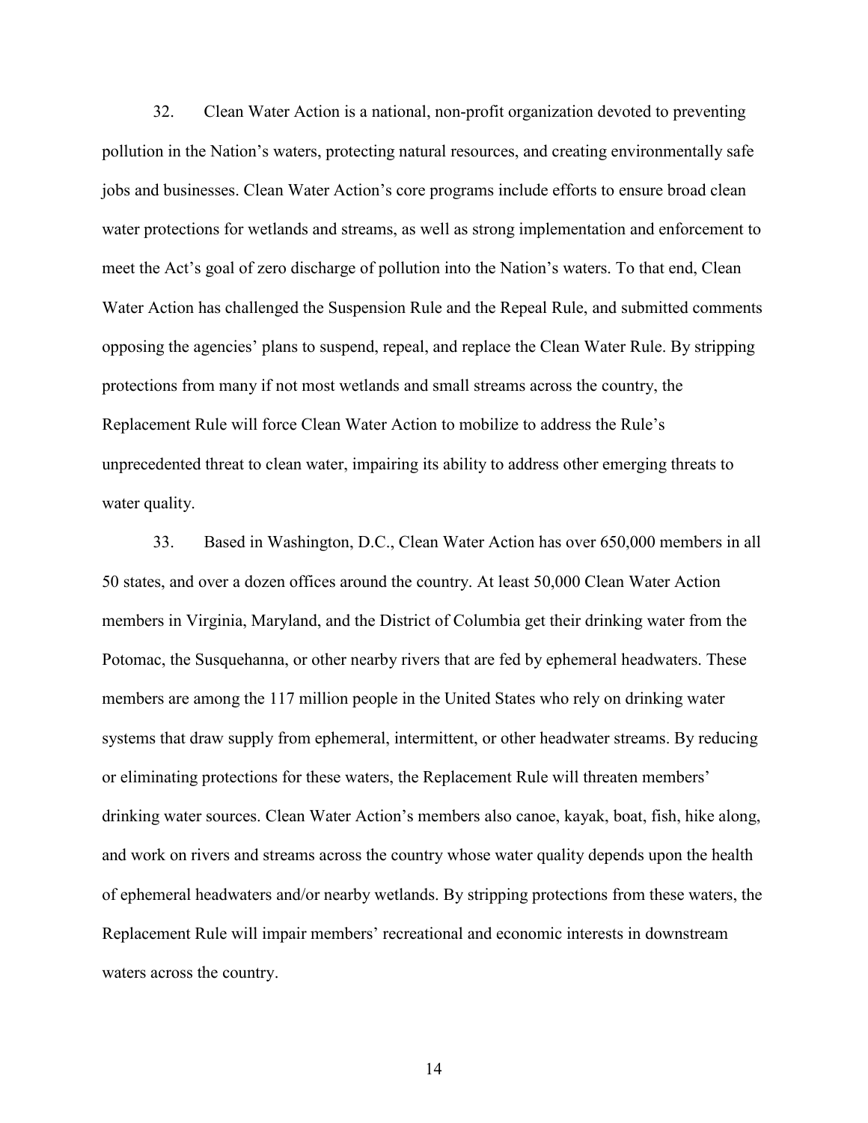32. Clean Water Action is a national, non-profit organization devoted to preventing pollution in the Nation's waters, protecting natural resources, and creating environmentally safe jobs and businesses. Clean Water Action's core programs include efforts to ensure broad clean water protections for wetlands and streams, as well as strong implementation and enforcement to meet the Act's goal of zero discharge of pollution into the Nation's waters. To that end, Clean Water Action has challenged the Suspension Rule and the Repeal Rule, and submitted comments opposing the agencies' plans to suspend, repeal, and replace the Clean Water Rule. By stripping protections from many if not most wetlands and small streams across the country, the Replacement Rule will force Clean Water Action to mobilize to address the Rule's unprecedented threat to clean water, impairing its ability to address other emerging threats to water quality.

33. Based in Washington, D.C., Clean Water Action has over 650,000 members in all 50 states, and over a dozen offices around the country. At least 50,000 Clean Water Action members in Virginia, Maryland, and the District of Columbia get their drinking water from the Potomac, the Susquehanna, or other nearby rivers that are fed by ephemeral headwaters. These members are among the 117 million people in the United States who rely on drinking water systems that draw supply from ephemeral, intermittent, or other headwater streams. By reducing or eliminating protections for these waters, the Replacement Rule will threaten members' drinking water sources. Clean Water Action's members also canoe, kayak, boat, fish, hike along, and work on rivers and streams across the country whose water quality depends upon the health of ephemeral headwaters and/or nearby wetlands. By stripping protections from these waters, the Replacement Rule will impair members' recreational and economic interests in downstream waters across the country.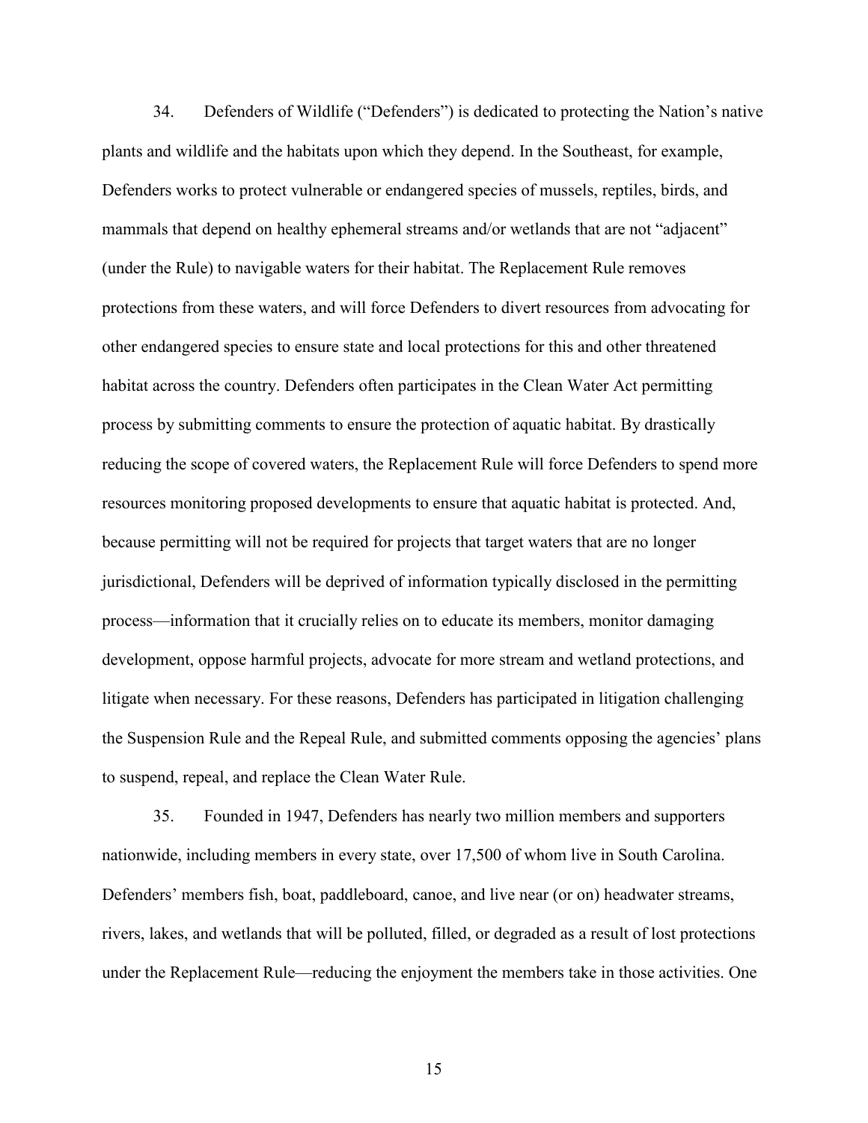34. Defenders of Wildlife ("Defenders") is dedicated to protecting the Nation's native plants and wildlife and the habitats upon which they depend. In the Southeast, for example, Defenders works to protect vulnerable or endangered species of mussels, reptiles, birds, and mammals that depend on healthy ephemeral streams and/or wetlands that are not "adjacent" (under the Rule) to navigable waters for their habitat. The Replacement Rule removes protections from these waters, and will force Defenders to divert resources from advocating for other endangered species to ensure state and local protections for this and other threatened habitat across the country. Defenders often participates in the Clean Water Act permitting process by submitting comments to ensure the protection of aquatic habitat. By drastically reducing the scope of covered waters, the Replacement Rule will force Defenders to spend more resources monitoring proposed developments to ensure that aquatic habitat is protected. And, because permitting will not be required for projects that target waters that are no longer jurisdictional, Defenders will be deprived of information typically disclosed in the permitting process—information that it crucially relies on to educate its members, monitor damaging development, oppose harmful projects, advocate for more stream and wetland protections, and litigate when necessary. For these reasons, Defenders has participated in litigation challenging the Suspension Rule and the Repeal Rule, and submitted comments opposing the agencies' plans to suspend, repeal, and replace the Clean Water Rule.

35. Founded in 1947, Defenders has nearly two million members and supporters nationwide, including members in every state, over 17,500 of whom live in South Carolina. Defenders' members fish, boat, paddleboard, canoe, and live near (or on) headwater streams, rivers, lakes, and wetlands that will be polluted, filled, or degraded as a result of lost protections under the Replacement Rule—reducing the enjoyment the members take in those activities. One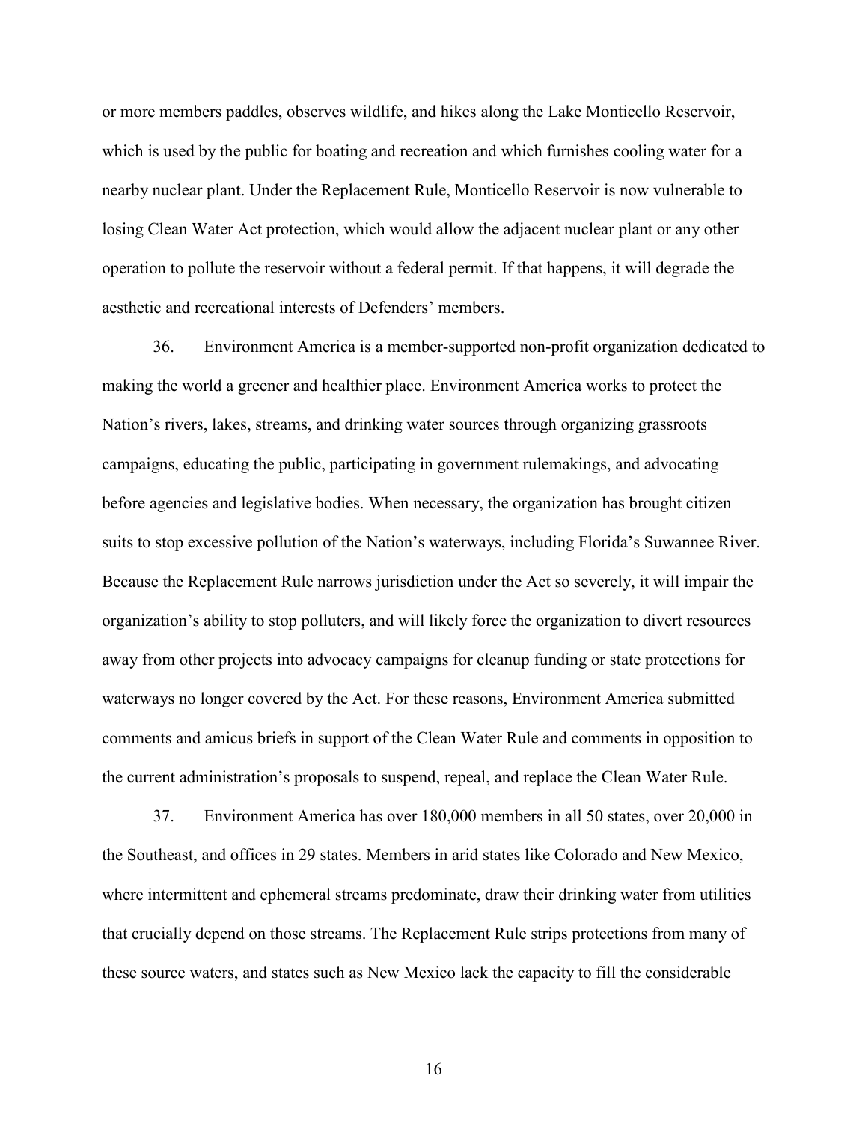or more members paddles, observes wildlife, and hikes along the Lake Monticello Reservoir, which is used by the public for boating and recreation and which furnishes cooling water for a nearby nuclear plant. Under the Replacement Rule, Monticello Reservoir is now vulnerable to losing Clean Water Act protection, which would allow the adjacent nuclear plant or any other operation to pollute the reservoir without a federal permit. If that happens, it will degrade the aesthetic and recreational interests of Defenders' members.

36. Environment America is a member-supported non-profit organization dedicated to making the world a greener and healthier place. Environment America works to protect the Nation's rivers, lakes, streams, and drinking water sources through organizing grassroots campaigns, educating the public, participating in government rulemakings, and advocating before agencies and legislative bodies. When necessary, the organization has brought citizen suits to stop excessive pollution of the Nation's waterways, including Florida's Suwannee River. Because the Replacement Rule narrows jurisdiction under the Act so severely, it will impair the organization's ability to stop polluters, and will likely force the organization to divert resources away from other projects into advocacy campaigns for cleanup funding or state protections for waterways no longer covered by the Act. For these reasons, Environment America submitted comments and amicus briefs in support of the Clean Water Rule and comments in opposition to the current administration's proposals to suspend, repeal, and replace the Clean Water Rule.

37. Environment America has over 180,000 members in all 50 states, over 20,000 in the Southeast, and offices in 29 states. Members in arid states like Colorado and New Mexico, where intermittent and ephemeral streams predominate, draw their drinking water from utilities that crucially depend on those streams. The Replacement Rule strips protections from many of these source waters, and states such as New Mexico lack the capacity to fill the considerable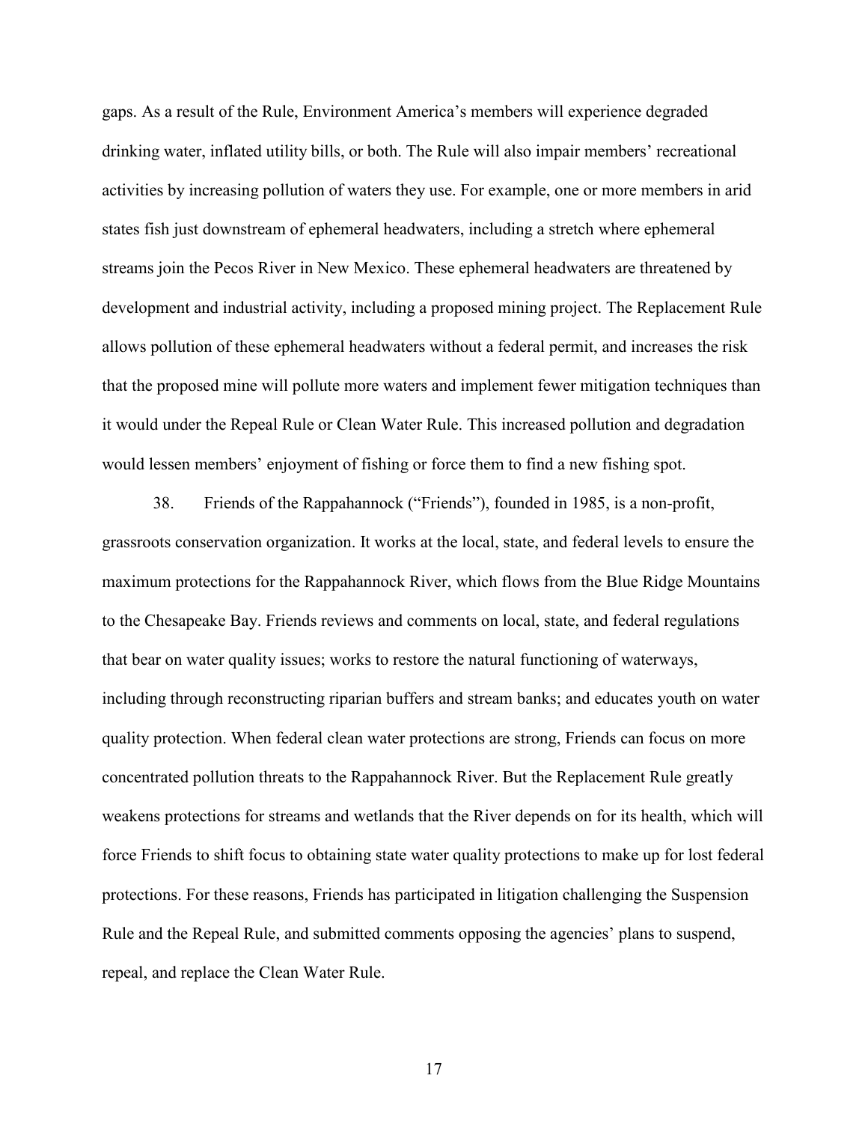gaps. As a result of the Rule, Environment America's members will experience degraded drinking water, inflated utility bills, or both. The Rule will also impair members' recreational activities by increasing pollution of waters they use. For example, one or more members in arid states fish just downstream of ephemeral headwaters, including a stretch where ephemeral streams join the Pecos River in New Mexico. These ephemeral headwaters are threatened by development and industrial activity, including a proposed mining project. The Replacement Rule allows pollution of these ephemeral headwaters without a federal permit, and increases the risk that the proposed mine will pollute more waters and implement fewer mitigation techniques than it would under the Repeal Rule or Clean Water Rule. This increased pollution and degradation would lessen members' enjoyment of fishing or force them to find a new fishing spot.

38. Friends of the Rappahannock ("Friends"), founded in 1985, is a non-profit, grassroots conservation organization. It works at the local, state, and federal levels to ensure the maximum protections for the Rappahannock River, which flows from the Blue Ridge Mountains to the Chesapeake Bay. Friends reviews and comments on local, state, and federal regulations that bear on water quality issues; works to restore the natural functioning of waterways, including through reconstructing riparian buffers and stream banks; and educates youth on water quality protection. When federal clean water protections are strong, Friends can focus on more concentrated pollution threats to the Rappahannock River. But the Replacement Rule greatly weakens protections for streams and wetlands that the River depends on for its health, which will force Friends to shift focus to obtaining state water quality protections to make up for lost federal protections. For these reasons, Friends has participated in litigation challenging the Suspension Rule and the Repeal Rule, and submitted comments opposing the agencies' plans to suspend, repeal, and replace the Clean Water Rule.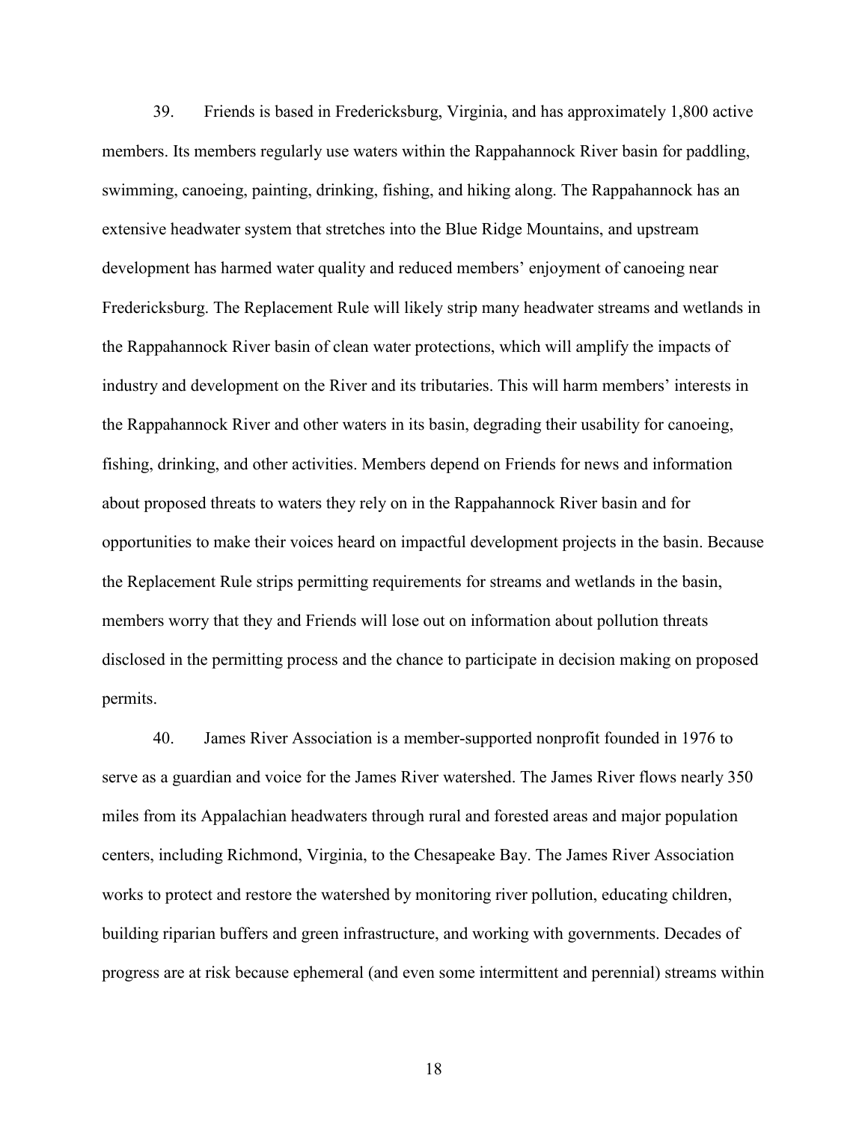39. Friends is based in Fredericksburg, Virginia, and has approximately 1,800 active members. Its members regularly use waters within the Rappahannock River basin for paddling, swimming, canoeing, painting, drinking, fishing, and hiking along. The Rappahannock has an extensive headwater system that stretches into the Blue Ridge Mountains, and upstream development has harmed water quality and reduced members' enjoyment of canoeing near Fredericksburg. The Replacement Rule will likely strip many headwater streams and wetlands in the Rappahannock River basin of clean water protections, which will amplify the impacts of industry and development on the River and its tributaries. This will harm members' interests in the Rappahannock River and other waters in its basin, degrading their usability for canoeing, fishing, drinking, and other activities. Members depend on Friends for news and information about proposed threats to waters they rely on in the Rappahannock River basin and for opportunities to make their voices heard on impactful development projects in the basin. Because the Replacement Rule strips permitting requirements for streams and wetlands in the basin, members worry that they and Friends will lose out on information about pollution threats disclosed in the permitting process and the chance to participate in decision making on proposed permits.

40. James River Association is a member-supported nonprofit founded in 1976 to serve as a guardian and voice for the James River watershed. The James River flows nearly 350 miles from its Appalachian headwaters through rural and forested areas and major population centers, including Richmond, Virginia, to the Chesapeake Bay. The James River Association works to protect and restore the watershed by monitoring river pollution, educating children, building riparian buffers and green infrastructure, and working with governments. Decades of progress are at risk because ephemeral (and even some intermittent and perennial) streams within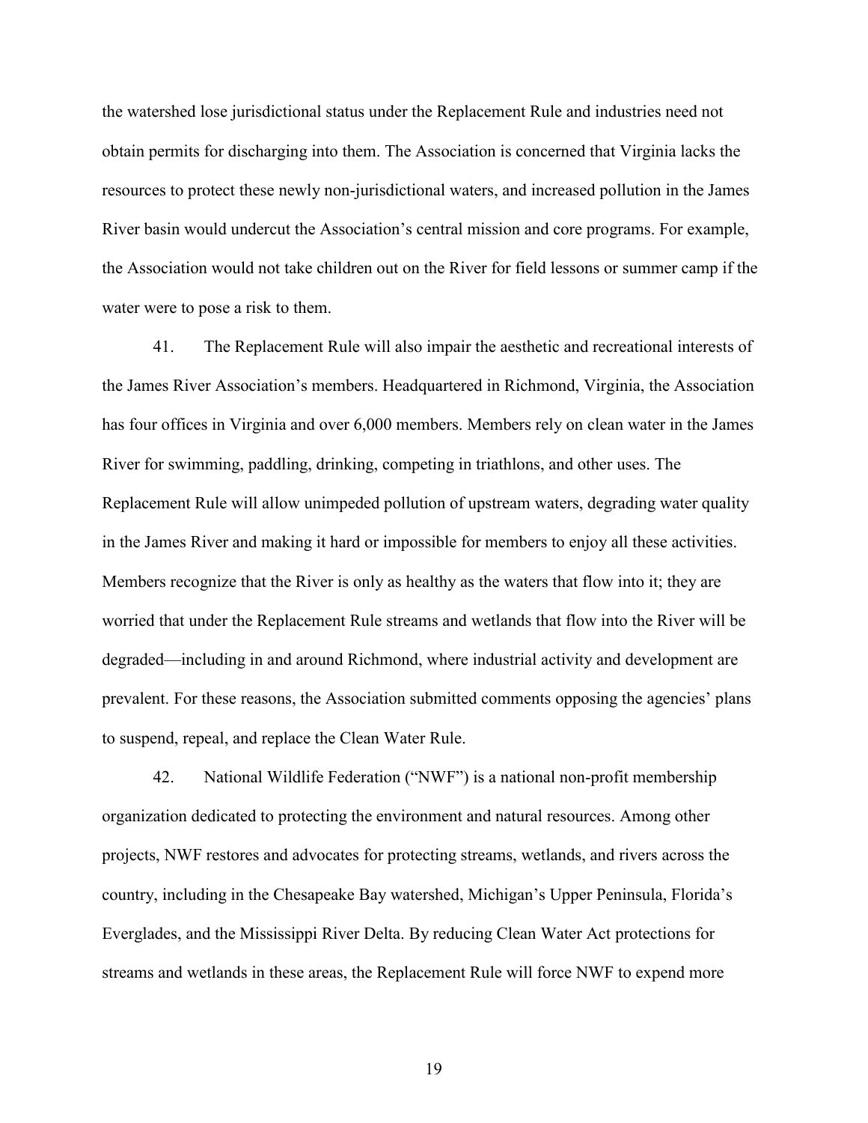the watershed lose jurisdictional status under the Replacement Rule and industries need not obtain permits for discharging into them. The Association is concerned that Virginia lacks the resources to protect these newly non-jurisdictional waters, and increased pollution in the James River basin would undercut the Association's central mission and core programs. For example, the Association would not take children out on the River for field lessons or summer camp if the water were to pose a risk to them.

41. The Replacement Rule will also impair the aesthetic and recreational interests of the James River Association's members. Headquartered in Richmond, Virginia, the Association has four offices in Virginia and over 6,000 members. Members rely on clean water in the James River for swimming, paddling, drinking, competing in triathlons, and other uses. The Replacement Rule will allow unimpeded pollution of upstream waters, degrading water quality in the James River and making it hard or impossible for members to enjoy all these activities. Members recognize that the River is only as healthy as the waters that flow into it; they are worried that under the Replacement Rule streams and wetlands that flow into the River will be degraded—including in and around Richmond, where industrial activity and development are prevalent. For these reasons, the Association submitted comments opposing the agencies' plans to suspend, repeal, and replace the Clean Water Rule.

42. National Wildlife Federation ("NWF") is a national non-profit membership organization dedicated to protecting the environment and natural resources. Among other projects, NWF restores and advocates for protecting streams, wetlands, and rivers across the country, including in the Chesapeake Bay watershed, Michigan's Upper Peninsula, Florida's Everglades, and the Mississippi River Delta. By reducing Clean Water Act protections for streams and wetlands in these areas, the Replacement Rule will force NWF to expend more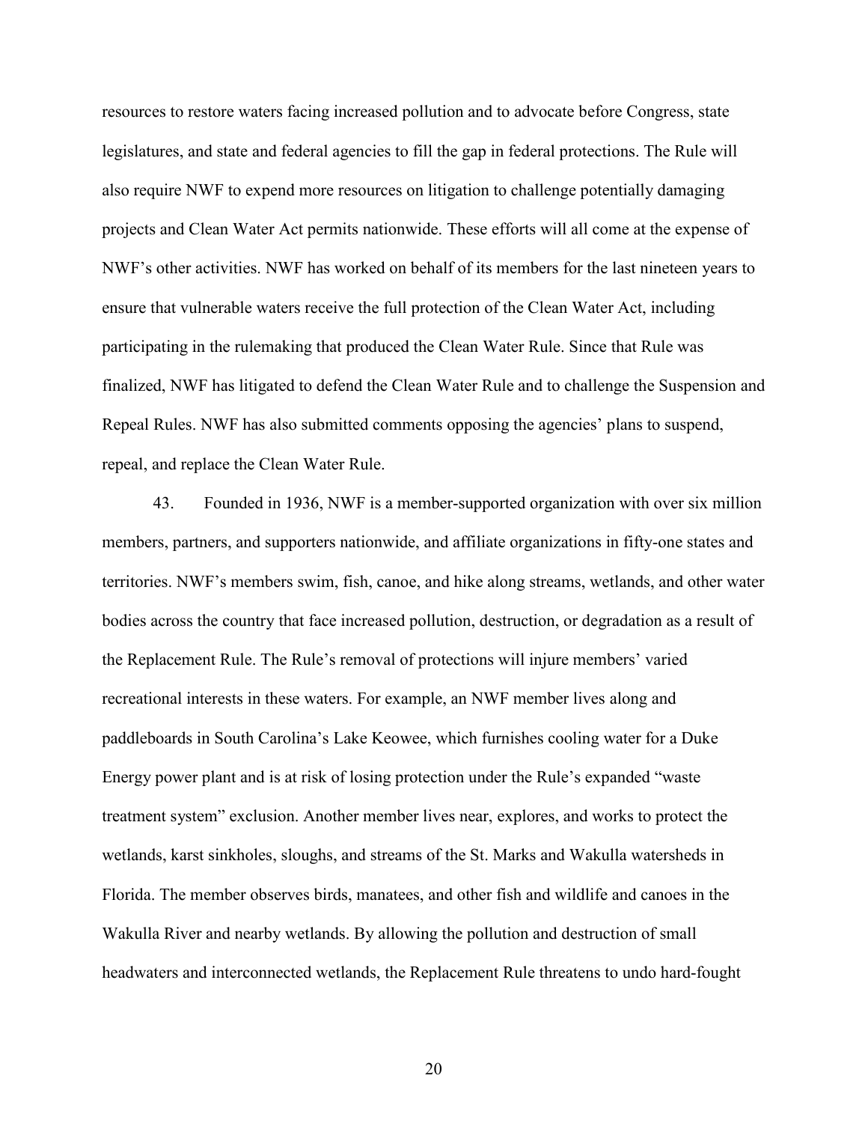resources to restore waters facing increased pollution and to advocate before Congress, state legislatures, and state and federal agencies to fill the gap in federal protections. The Rule will also require NWF to expend more resources on litigation to challenge potentially damaging projects and Clean Water Act permits nationwide. These efforts will all come at the expense of NWF's other activities. NWF has worked on behalf of its members for the last nineteen years to ensure that vulnerable waters receive the full protection of the Clean Water Act, including participating in the rulemaking that produced the Clean Water Rule. Since that Rule was finalized, NWF has litigated to defend the Clean Water Rule and to challenge the Suspension and Repeal Rules. NWF has also submitted comments opposing the agencies' plans to suspend, repeal, and replace the Clean Water Rule.

43. Founded in 1936, NWF is a member-supported organization with over six million members, partners, and supporters nationwide, and affiliate organizations in fifty-one states and territories. NWF's members swim, fish, canoe, and hike along streams, wetlands, and other water bodies across the country that face increased pollution, destruction, or degradation as a result of the Replacement Rule. The Rule's removal of protections will injure members' varied recreational interests in these waters. For example, an NWF member lives along and paddleboards in South Carolina's Lake Keowee, which furnishes cooling water for a Duke Energy power plant and is at risk of losing protection under the Rule's expanded "waste treatment system" exclusion. Another member lives near, explores, and works to protect the wetlands, karst sinkholes, sloughs, and streams of the St. Marks and Wakulla watersheds in Florida. The member observes birds, manatees, and other fish and wildlife and canoes in the Wakulla River and nearby wetlands. By allowing the pollution and destruction of small headwaters and interconnected wetlands, the Replacement Rule threatens to undo hard-fought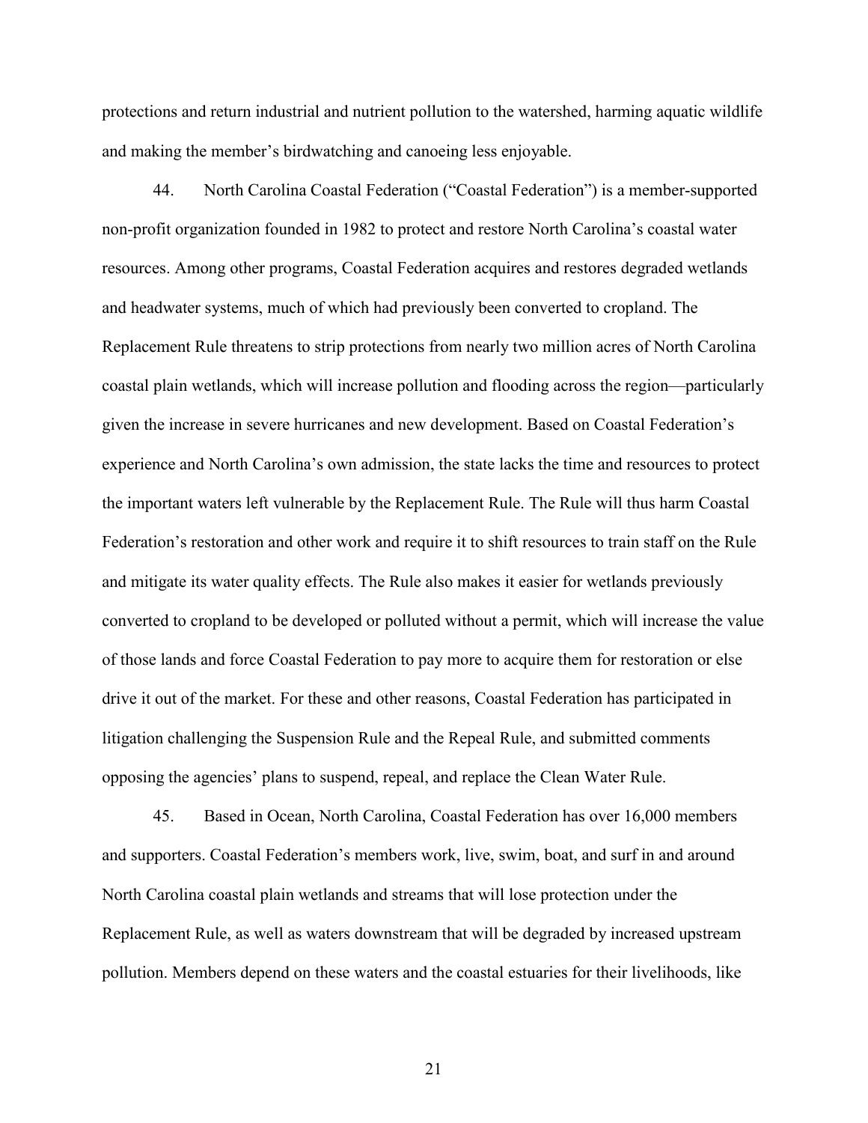protections and return industrial and nutrient pollution to the watershed, harming aquatic wildlife and making the member's birdwatching and canoeing less enjoyable.

44. North Carolina Coastal Federation ("Coastal Federation") is a member-supported non-profit organization founded in 1982 to protect and restore North Carolina's coastal water resources. Among other programs, Coastal Federation acquires and restores degraded wetlands and headwater systems, much of which had previously been converted to cropland. The Replacement Rule threatens to strip protections from nearly two million acres of North Carolina coastal plain wetlands, which will increase pollution and flooding across the region––particularly given the increase in severe hurricanes and new development. Based on Coastal Federation's experience and North Carolina's own admission, the state lacks the time and resources to protect the important waters left vulnerable by the Replacement Rule. The Rule will thus harm Coastal Federation's restoration and other work and require it to shift resources to train staff on the Rule and mitigate its water quality effects. The Rule also makes it easier for wetlands previously converted to cropland to be developed or polluted without a permit, which will increase the value of those lands and force Coastal Federation to pay more to acquire them for restoration or else drive it out of the market. For these and other reasons, Coastal Federation has participated in litigation challenging the Suspension Rule and the Repeal Rule, and submitted comments opposing the agencies' plans to suspend, repeal, and replace the Clean Water Rule.

45. Based in Ocean, North Carolina, Coastal Federation has over 16,000 members and supporters. Coastal Federation's members work, live, swim, boat, and surf in and around North Carolina coastal plain wetlands and streams that will lose protection under the Replacement Rule, as well as waters downstream that will be degraded by increased upstream pollution. Members depend on these waters and the coastal estuaries for their livelihoods, like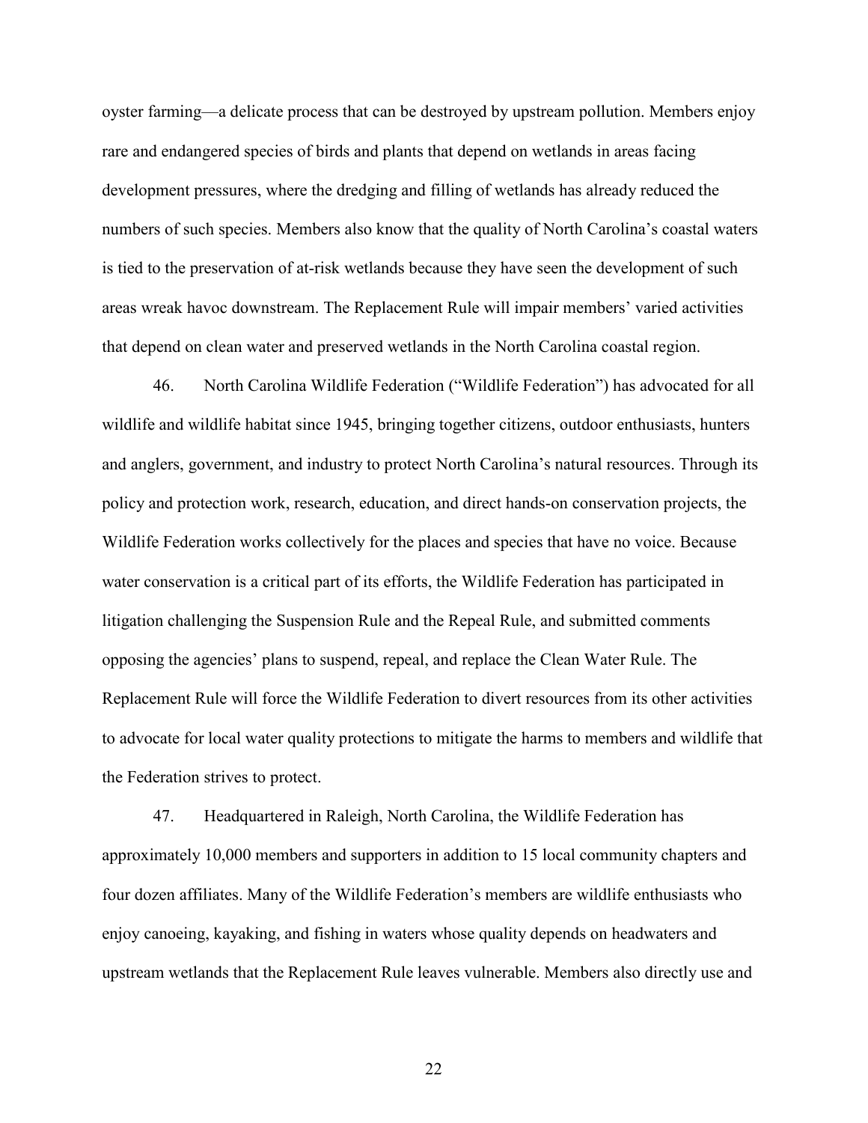oyster farming––a delicate process that can be destroyed by upstream pollution. Members enjoy rare and endangered species of birds and plants that depend on wetlands in areas facing development pressures, where the dredging and filling of wetlands has already reduced the numbers of such species. Members also know that the quality of North Carolina's coastal waters is tied to the preservation of at-risk wetlands because they have seen the development of such areas wreak havoc downstream. The Replacement Rule will impair members' varied activities that depend on clean water and preserved wetlands in the North Carolina coastal region.

46. North Carolina Wildlife Federation ("Wildlife Federation") has advocated for all wildlife and wildlife habitat since 1945, bringing together citizens, outdoor enthusiasts, hunters and anglers, government, and industry to protect North Carolina's natural resources. Through its policy and protection work, research, education, and direct hands-on conservation projects, the Wildlife Federation works collectively for the places and species that have no voice. Because water conservation is a critical part of its efforts, the Wildlife Federation has participated in litigation challenging the Suspension Rule and the Repeal Rule, and submitted comments opposing the agencies' plans to suspend, repeal, and replace the Clean Water Rule. The Replacement Rule will force the Wildlife Federation to divert resources from its other activities to advocate for local water quality protections to mitigate the harms to members and wildlife that the Federation strives to protect.

47. Headquartered in Raleigh, North Carolina, the Wildlife Federation has approximately 10,000 members and supporters in addition to 15 local community chapters and four dozen affiliates. Many of the Wildlife Federation's members are wildlife enthusiasts who enjoy canoeing, kayaking, and fishing in waters whose quality depends on headwaters and upstream wetlands that the Replacement Rule leaves vulnerable. Members also directly use and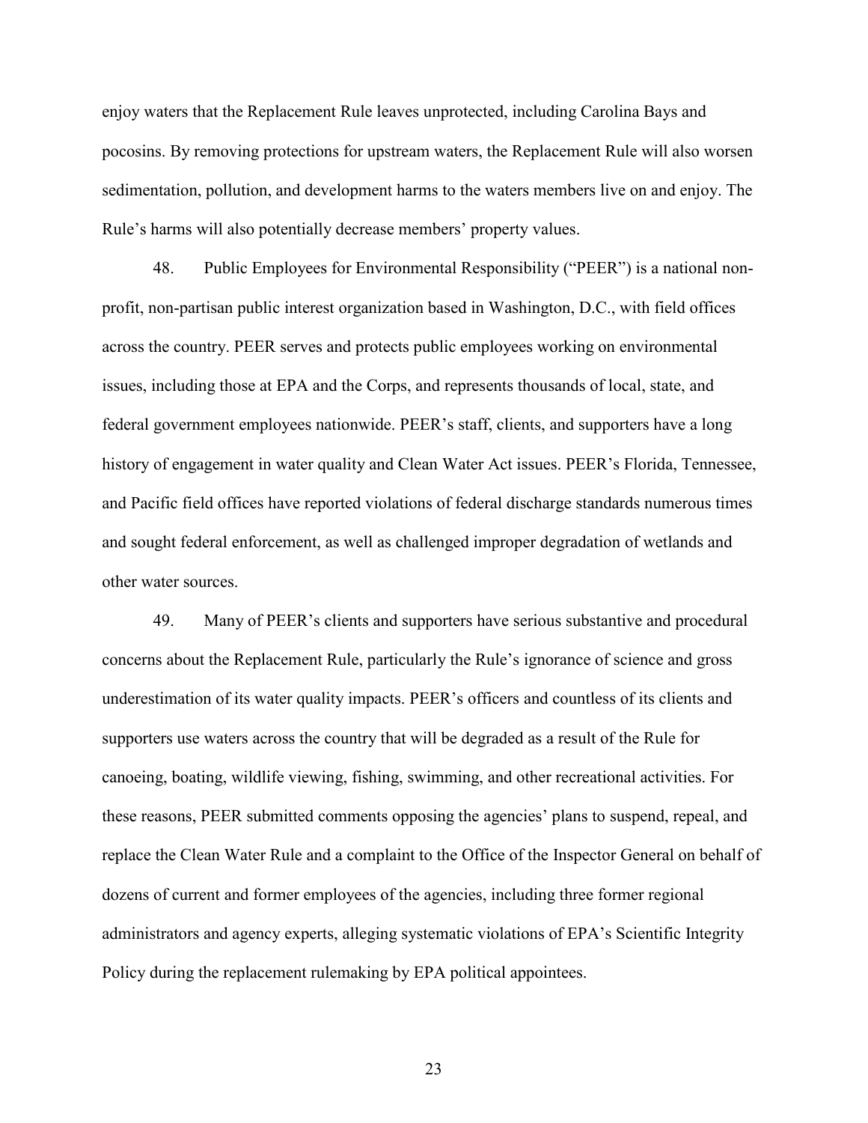enjoy waters that the Replacement Rule leaves unprotected, including Carolina Bays and pocosins. By removing protections for upstream waters, the Replacement Rule will also worsen sedimentation, pollution, and development harms to the waters members live on and enjoy. The Rule's harms will also potentially decrease members' property values.

48. Public Employees for Environmental Responsibility ("PEER") is a national nonprofit, non-partisan public interest organization based in Washington, D.C., with field offices across the country. PEER serves and protects public employees working on environmental issues, including those at EPA and the Corps, and represents thousands of local, state, and federal government employees nationwide. PEER's staff, clients, and supporters have a long history of engagement in water quality and Clean Water Act issues. PEER's Florida, Tennessee, and Pacific field offices have reported violations of federal discharge standards numerous times and sought federal enforcement, as well as challenged improper degradation of wetlands and other water sources.

49. Many of PEER's clients and supporters have serious substantive and procedural concerns about the Replacement Rule, particularly the Rule's ignorance of science and gross underestimation of its water quality impacts. PEER's officers and countless of its clients and supporters use waters across the country that will be degraded as a result of the Rule for canoeing, boating, wildlife viewing, fishing, swimming, and other recreational activities. For these reasons, PEER submitted comments opposing the agencies' plans to suspend, repeal, and replace the Clean Water Rule and a complaint to the Office of the Inspector General on behalf of dozens of current and former employees of the agencies, including three former regional administrators and agency experts, alleging systematic violations of EPA's Scientific Integrity Policy during the replacement rulemaking by EPA political appointees.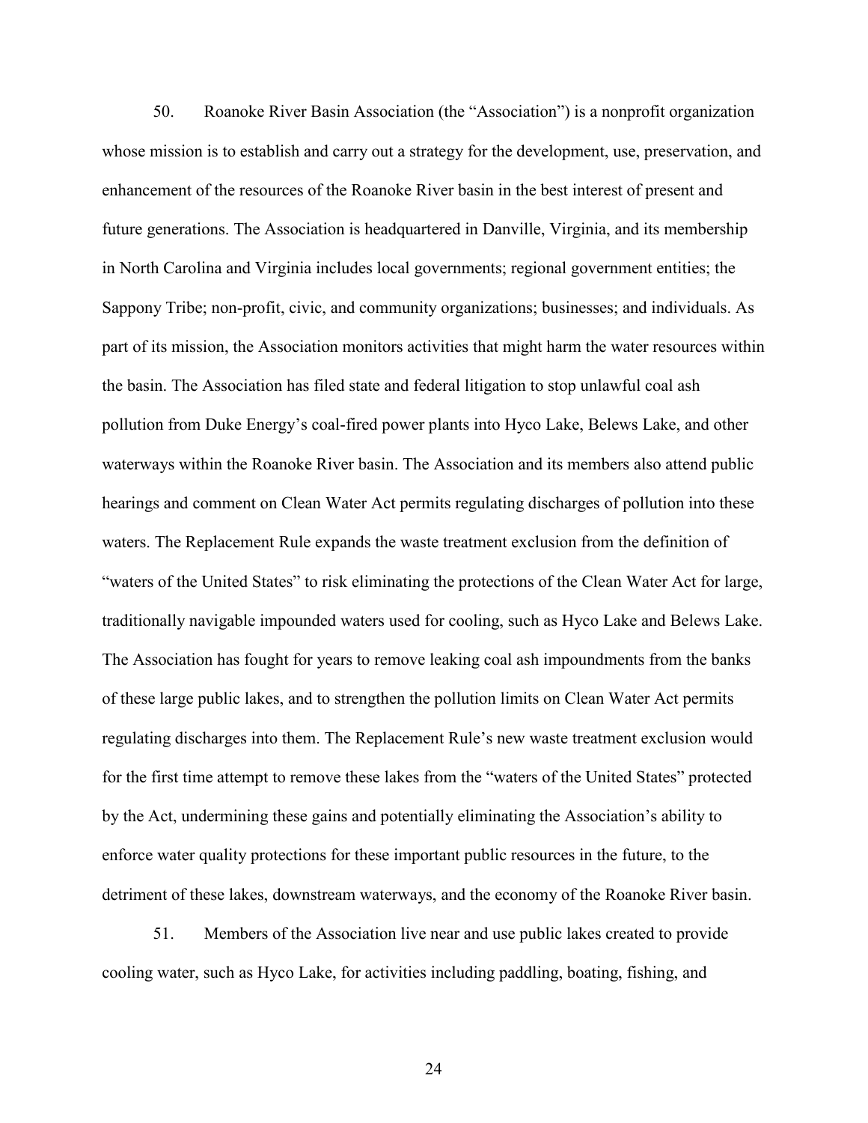50. Roanoke River Basin Association (the "Association") is a nonprofit organization whose mission is to establish and carry out a strategy for the development, use, preservation, and enhancement of the resources of the Roanoke River basin in the best interest of present and future generations. The Association is headquartered in Danville, Virginia, and its membership in North Carolina and Virginia includes local governments; regional government entities; the Sappony Tribe; non-profit, civic, and community organizations; businesses; and individuals. As part of its mission, the Association monitors activities that might harm the water resources within the basin. The Association has filed state and federal litigation to stop unlawful coal ash pollution from Duke Energy's coal-fired power plants into Hyco Lake, Belews Lake, and other waterways within the Roanoke River basin. The Association and its members also attend public hearings and comment on Clean Water Act permits regulating discharges of pollution into these waters. The Replacement Rule expands the waste treatment exclusion from the definition of "waters of the United States" to risk eliminating the protections of the Clean Water Act for large, traditionally navigable impounded waters used for cooling, such as Hyco Lake and Belews Lake. The Association has fought for years to remove leaking coal ash impoundments from the banks of these large public lakes, and to strengthen the pollution limits on Clean Water Act permits regulating discharges into them. The Replacement Rule's new waste treatment exclusion would for the first time attempt to remove these lakes from the "waters of the United States" protected by the Act, undermining these gains and potentially eliminating the Association's ability to enforce water quality protections for these important public resources in the future, to the detriment of these lakes, downstream waterways, and the economy of the Roanoke River basin.

51. Members of the Association live near and use public lakes created to provide cooling water, such as Hyco Lake, for activities including paddling, boating, fishing, and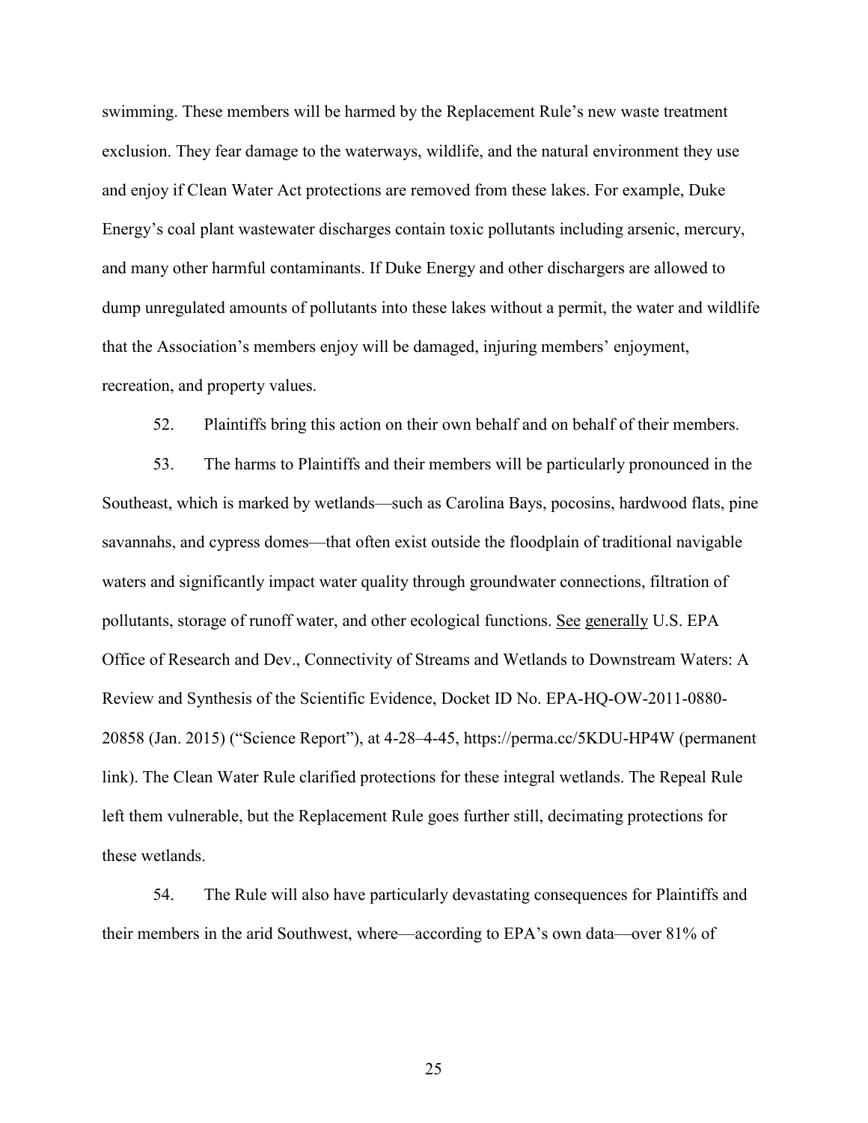swimming. These members will be harmed by the Replacement Rule's new waste treatment exclusion. They fear damage to the waterways, wildlife, and the natural environment they use and enjoy if Clean Water Act protections are removed from these lakes. For example, Duke Energy's coal plant wastewater discharges contain toxic pollutants including arsenic, mercury, and many other harmful contaminants. If Duke Energy and other dischargers are allowed to dump unregulated amounts of pollutants into these lakes without a permit, the water and wildlife that the Association's members enjoy will be damaged, injuring members' enjoyment, recreation, and property values.

52. Plaintiffs bring this action on their own behalf and on behalf of their members.

53. The harms to Plaintiffs and their members will be particularly pronounced in the Southeast, which is marked by wetlands––such as Carolina Bays, pocosins, hardwood flats, pine savannahs, and cypress domes––that often exist outside the floodplain of traditional navigable waters and significantly impact water quality through groundwater connections, filtration of pollutants, storage of runoff water, and other ecological functions. See generally U.S. EPA Office of Research and Dev., Connectivity of Streams and Wetlands to Downstream Waters: A Review and Synthesis of the Scientific Evidence, Docket ID No. EPA-HQ-OW-2011-0880- 20858 (Jan. 2015) ("Science Report"), at 4-28–4-45, https://perma.cc/5KDU-HP4W (permanent link). The Clean Water Rule clarified protections for these integral wetlands. The Repeal Rule left them vulnerable, but the Replacement Rule goes further still, decimating protections for these wetlands.

54. The Rule will also have particularly devastating consequences for Plaintiffs and their members in the arid Southwest, where––according to EPA's own data––over 81% of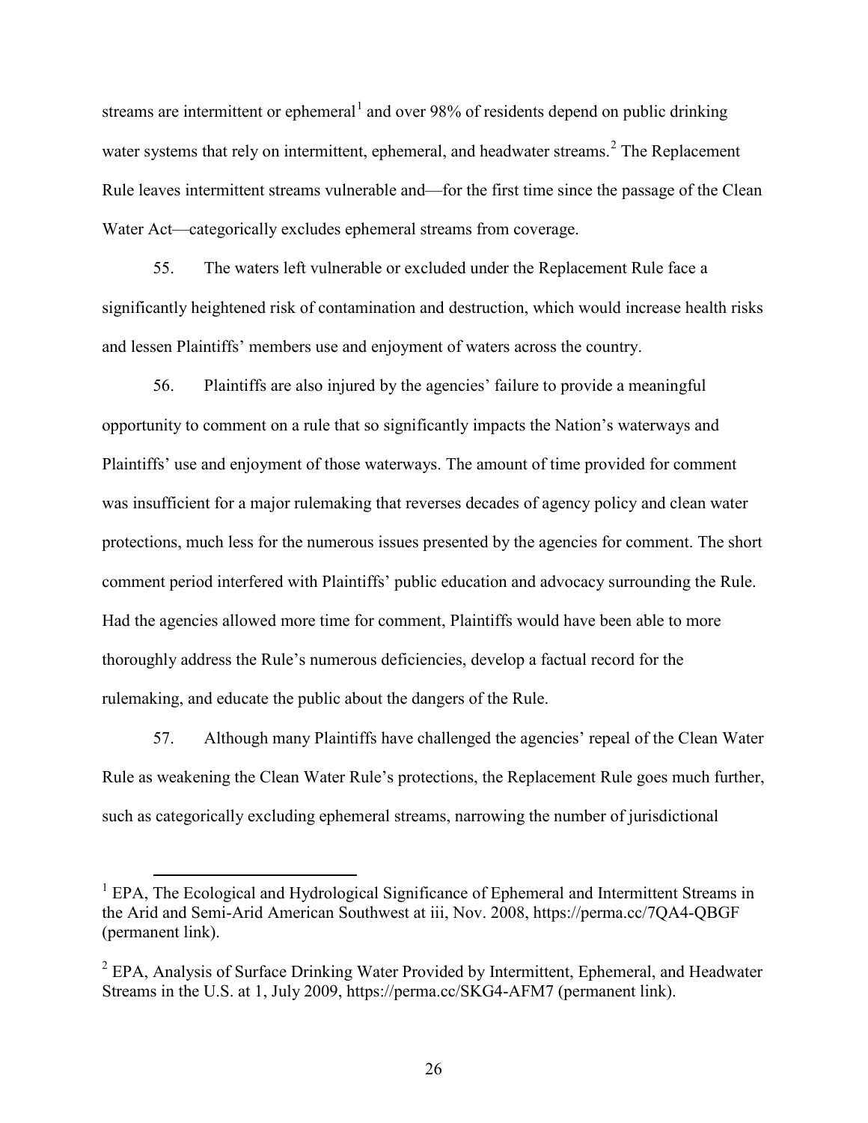streams are intermittent or ephemeral<sup>[1](#page-25-0)</sup> and over 98% of residents depend on public drinking water systems that rely on intermittent, ephemeral, and headwater streams.<sup>[2](#page-25-1)</sup> The Replacement Rule leaves intermittent streams vulnerable and––for the first time since the passage of the Clean Water Act—categorically excludes ephemeral streams from coverage.

55. The waters left vulnerable or excluded under the Replacement Rule face a significantly heightened risk of contamination and destruction, which would increase health risks and lessen Plaintiffs' members use and enjoyment of waters across the country.

56. Plaintiffs are also injured by the agencies' failure to provide a meaningful opportunity to comment on a rule that so significantly impacts the Nation's waterways and Plaintiffs' use and enjoyment of those waterways. The amount of time provided for comment was insufficient for a major rulemaking that reverses decades of agency policy and clean water protections, much less for the numerous issues presented by the agencies for comment. The short comment period interfered with Plaintiffs' public education and advocacy surrounding the Rule. Had the agencies allowed more time for comment, Plaintiffs would have been able to more thoroughly address the Rule's numerous deficiencies, develop a factual record for the rulemaking, and educate the public about the dangers of the Rule.

57. Although many Plaintiffs have challenged the agencies' repeal of the Clean Water Rule as weakening the Clean Water Rule's protections, the Replacement Rule goes much further, such as categorically excluding ephemeral streams, narrowing the number of jurisdictional

<span id="page-25-0"></span><sup>&</sup>lt;sup>1</sup> EPA, The Ecological and Hydrological Significance of Ephemeral and Intermittent Streams in the Arid and Semi-Arid American Southwest at iii, Nov. 2008, https://perma.cc/7QA4-QBGF (permanent link).

<span id="page-25-1"></span><sup>&</sup>lt;sup>2</sup> EPA, Analysis of Surface Drinking Water Provided by Intermittent, Ephemeral, and Headwater Streams in the U.S. at 1, July 2009, https://perma.cc/SKG4-AFM7 (permanent link).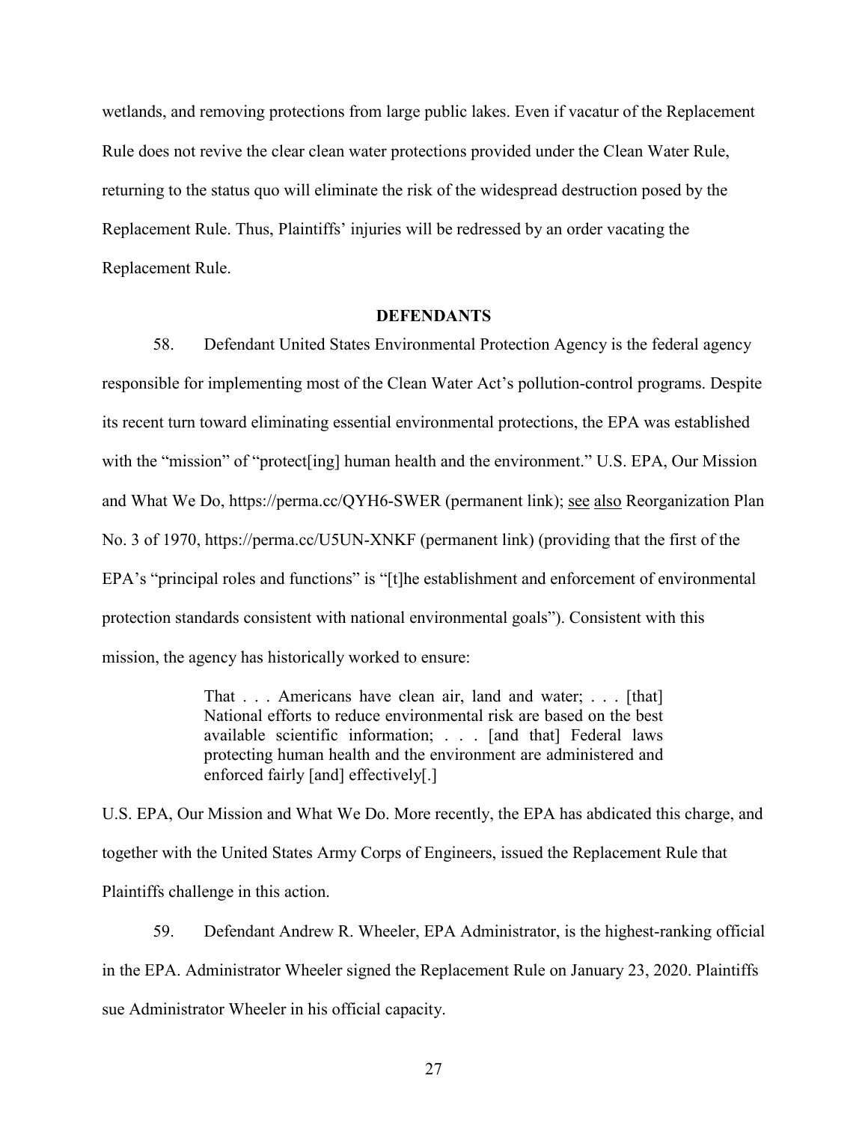wetlands, and removing protections from large public lakes. Even if vacatur of the Replacement Rule does not revive the clear clean water protections provided under the Clean Water Rule, returning to the status quo will eliminate the risk of the widespread destruction posed by the Replacement Rule. Thus, Plaintiffs' injuries will be redressed by an order vacating the Replacement Rule.

#### **DEFENDANTS**

58. Defendant United States Environmental Protection Agency is the federal agency responsible for implementing most of the Clean Water Act's pollution-control programs. Despite its recent turn toward eliminating essential environmental protections, the EPA was established with the "mission" of "protect [ing] human health and the environment." U.S. EPA, Our Mission and What We Do, https://perma.cc/QYH6-SWER (permanent link); see also Reorganization Plan No. 3 of 1970, https://perma.cc/U5UN-XNKF (permanent link) (providing that the first of the EPA's "principal roles and functions" is "[t]he establishment and enforcement of environmental protection standards consistent with national environmental goals"). Consistent with this mission, the agency has historically worked to ensure:

> That . . . Americans have clean air, land and water; . . . [that] National efforts to reduce environmental risk are based on the best available scientific information; . . . [and that] Federal laws protecting human health and the environment are administered and enforced fairly [and] effectively[.]

U.S. EPA, Our Mission and What We Do. More recently, the EPA has abdicated this charge, and together with the United States Army Corps of Engineers, issued the Replacement Rule that Plaintiffs challenge in this action.

59. Defendant Andrew R. Wheeler, EPA Administrator, is the highest-ranking official in the EPA. Administrator Wheeler signed the Replacement Rule on January 23, 2020. Plaintiffs sue Administrator Wheeler in his official capacity.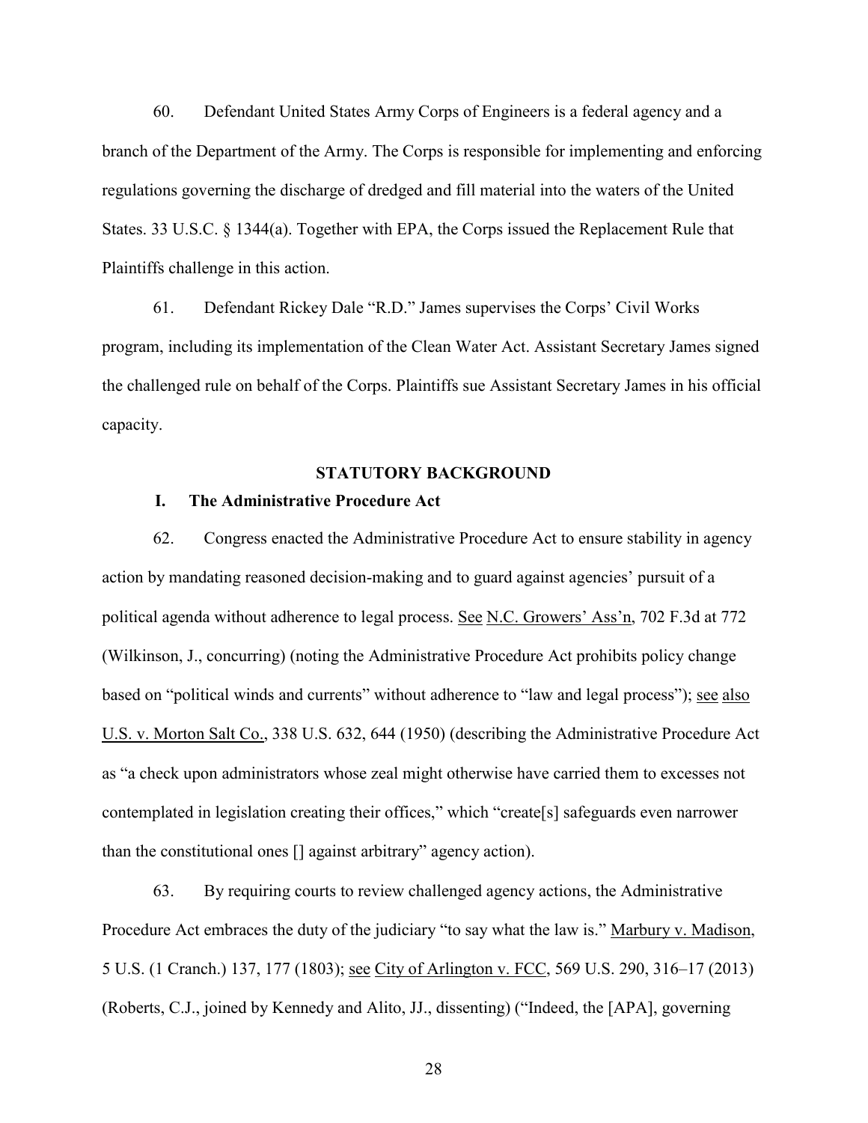60. Defendant United States Army Corps of Engineers is a federal agency and a branch of the Department of the Army. The Corps is responsible for implementing and enforcing regulations governing the discharge of dredged and fill material into the waters of the United States. 33 U.S.C. § 1344(a). Together with EPA, the Corps issued the Replacement Rule that Plaintiffs challenge in this action.

61. Defendant Rickey Dale "R.D." James supervises the Corps' Civil Works program, including its implementation of the Clean Water Act. Assistant Secretary James signed the challenged rule on behalf of the Corps. Plaintiffs sue Assistant Secretary James in his official capacity.

#### **STATUTORY BACKGROUND**

### **I. The Administrative Procedure Act**

62. Congress enacted the Administrative Procedure Act to ensure stability in agency action by mandating reasoned decision-making and to guard against agencies' pursuit of a political agenda without adherence to legal process. See N.C. Growers' Ass'n, 702 F.3d at 772 (Wilkinson, J., concurring) (noting the Administrative Procedure Act prohibits policy change based on "political winds and currents" without adherence to "law and legal process"); see also U.S. v. Morton Salt Co., 338 U.S. 632, 644 (1950) (describing the Administrative Procedure Act as "a check upon administrators whose zeal might otherwise have carried them to excesses not contemplated in legislation creating their offices," which "create[s] safeguards even narrower than the constitutional ones [] against arbitrary" agency action).

63. By requiring courts to review challenged agency actions, the Administrative Procedure Act embraces the duty of the judiciary "to say what the law is." Marbury v. Madison, 5 U.S. (1 Cranch.) 137, 177 (1803); see City of Arlington v. FCC, 569 U.S. 290, 316–17 (2013) (Roberts, C.J., joined by Kennedy and Alito, JJ., dissenting) ("Indeed, the [APA], governing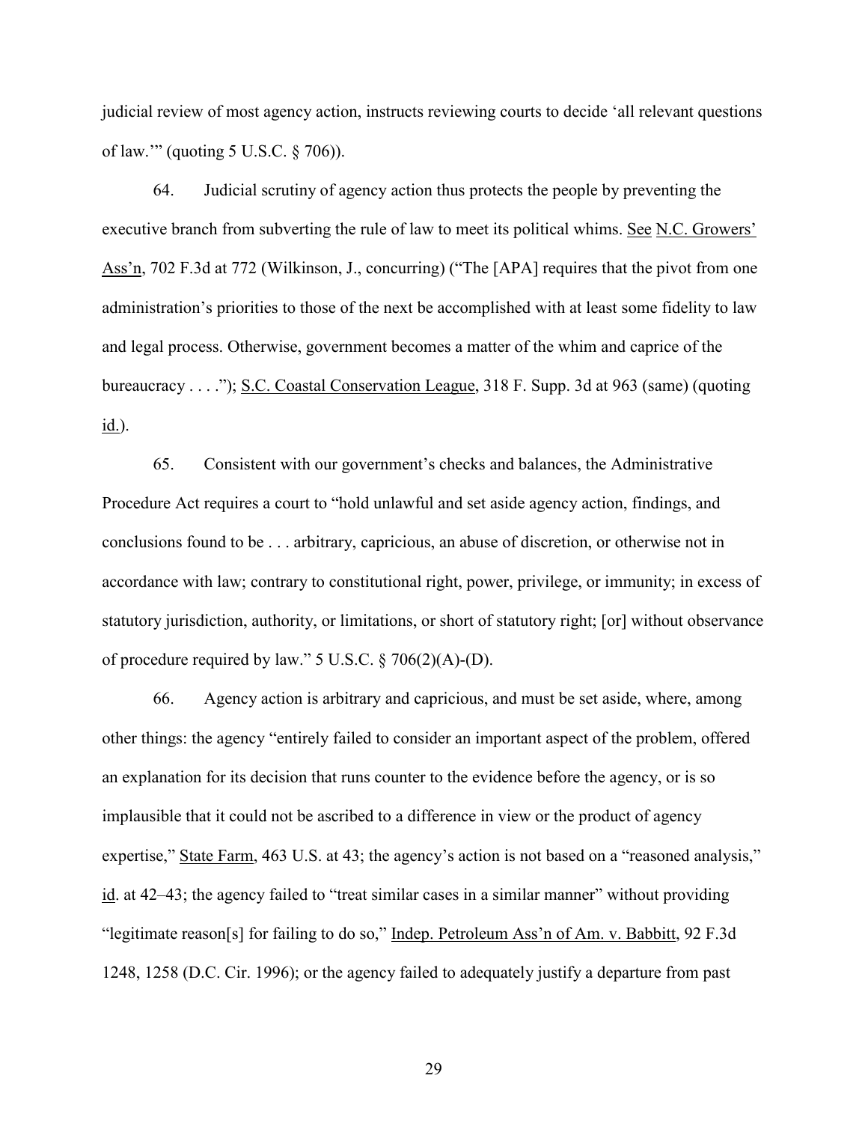judicial review of most agency action, instructs reviewing courts to decide 'all relevant questions of law.'" (quoting 5 U.S.C. § 706)).

64. Judicial scrutiny of agency action thus protects the people by preventing the executive branch from subverting the rule of law to meet its political whims. See N.C. Growers' Ass'n, 702 F.3d at 772 (Wilkinson, J., concurring) ("The [APA] requires that the pivot from one administration's priorities to those of the next be accomplished with at least some fidelity to law and legal process. Otherwise, government becomes a matter of the whim and caprice of the bureaucracy . . . ."); S.C. Coastal Conservation League, 318 F. Supp. 3d at 963 (same) (quoting id.).

65. Consistent with our government's checks and balances, the Administrative Procedure Act requires a court to "hold unlawful and set aside agency action, findings, and conclusions found to be . . . arbitrary, capricious, an abuse of discretion, or otherwise not in accordance with law; contrary to constitutional right, power, privilege, or immunity; in excess of statutory jurisdiction, authority, or limitations, or short of statutory right; [or] without observance of procedure required by law." 5 U.S.C. § 706(2)(A)-(D).

66. Agency action is arbitrary and capricious, and must be set aside, where, among other things: the agency "entirely failed to consider an important aspect of the problem, offered an explanation for its decision that runs counter to the evidence before the agency, or is so implausible that it could not be ascribed to a difference in view or the product of agency expertise," State Farm, 463 U.S. at 43; the agency's action is not based on a "reasoned analysis," id. at 42–43; the agency failed to "treat similar cases in a similar manner" without providing "legitimate reason[s] for failing to do so," Indep. Petroleum Ass'n of Am. v. Babbitt, 92 F.3d 1248, 1258 (D.C. Cir. 1996); or the agency failed to adequately justify a departure from past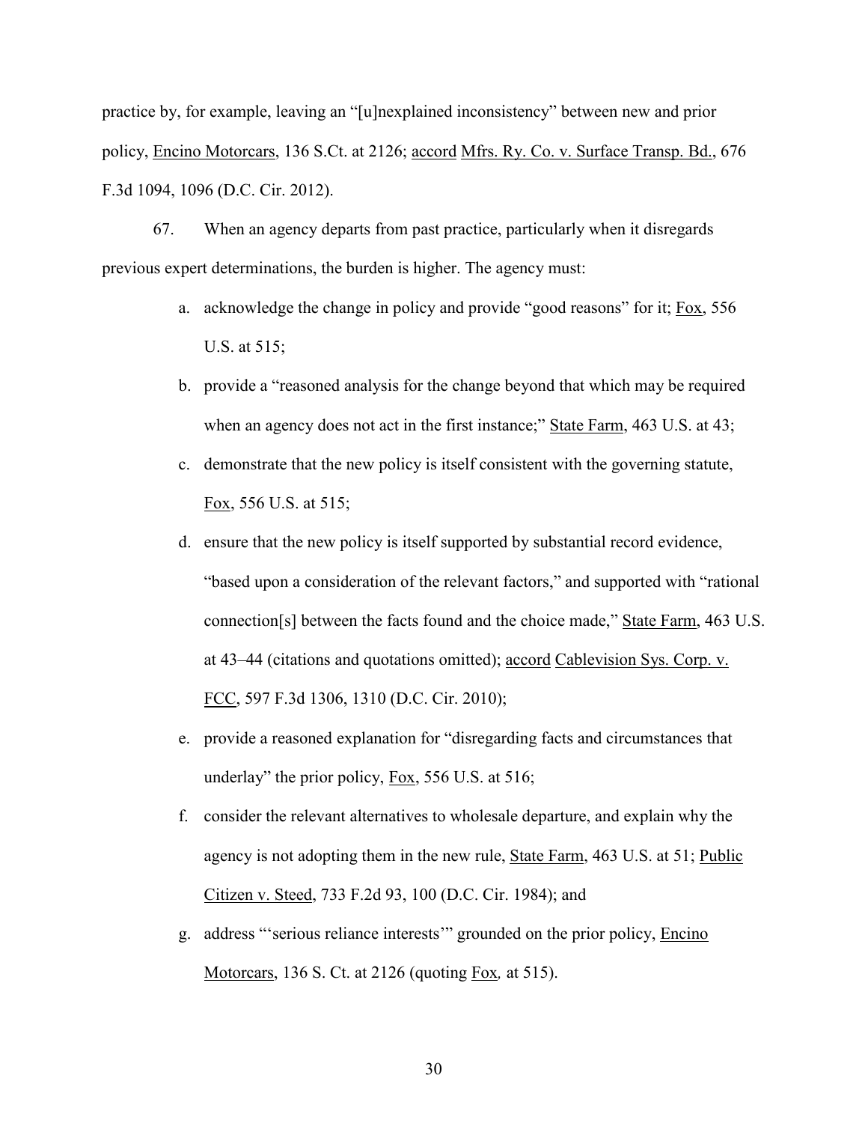practice by, for example, leaving an "[u]nexplained inconsistency" between new and prior policy, Encino Motorcars, 136 S.Ct. at 2126; accord Mfrs. Ry. Co. v. Surface Transp. Bd., 676 F.3d 1094, 1096 (D.C. Cir. 2012).

67. When an agency departs from past practice, particularly when it disregards previous expert determinations, the burden is higher. The agency must:

- a. acknowledge the change in policy and provide "good reasons" for it; Fox, 556 U.S. at 515;
- b. provide a "reasoned analysis for the change beyond that which may be required when an agency does not act in the first instance;" State Farm, 463 U.S. at 43;
- c. demonstrate that the new policy is itself consistent with the governing statute, Fox, 556 U.S. at 515;
- d. ensure that the new policy is itself supported by substantial record evidence, "based upon a consideration of the relevant factors," and supported with "rational connection[s] between the facts found and the choice made," State Farm, 463 U.S. at 43–44 (citations and quotations omitted); accord Cablevision Sys. Corp. v. FCC, 597 F.3d 1306, 1310 (D.C. Cir. 2010);
- e. provide a reasoned explanation for "disregarding facts and circumstances that underlay" the prior policy,  $\underline{Fox}$ , 556 U.S. at 516;
- f. consider the relevant alternatives to wholesale departure, and explain why the agency is not adopting them in the new rule, State Farm, 463 U.S. at 51; Public Citizen v. Steed, 733 F.2d 93, 100 (D.C. Cir. 1984); and
- g. address "'serious reliance interests'" grounded on the prior policy, Encino Motorcars, 136 S. Ct. at 2126 (quoting Fox*,* at 515).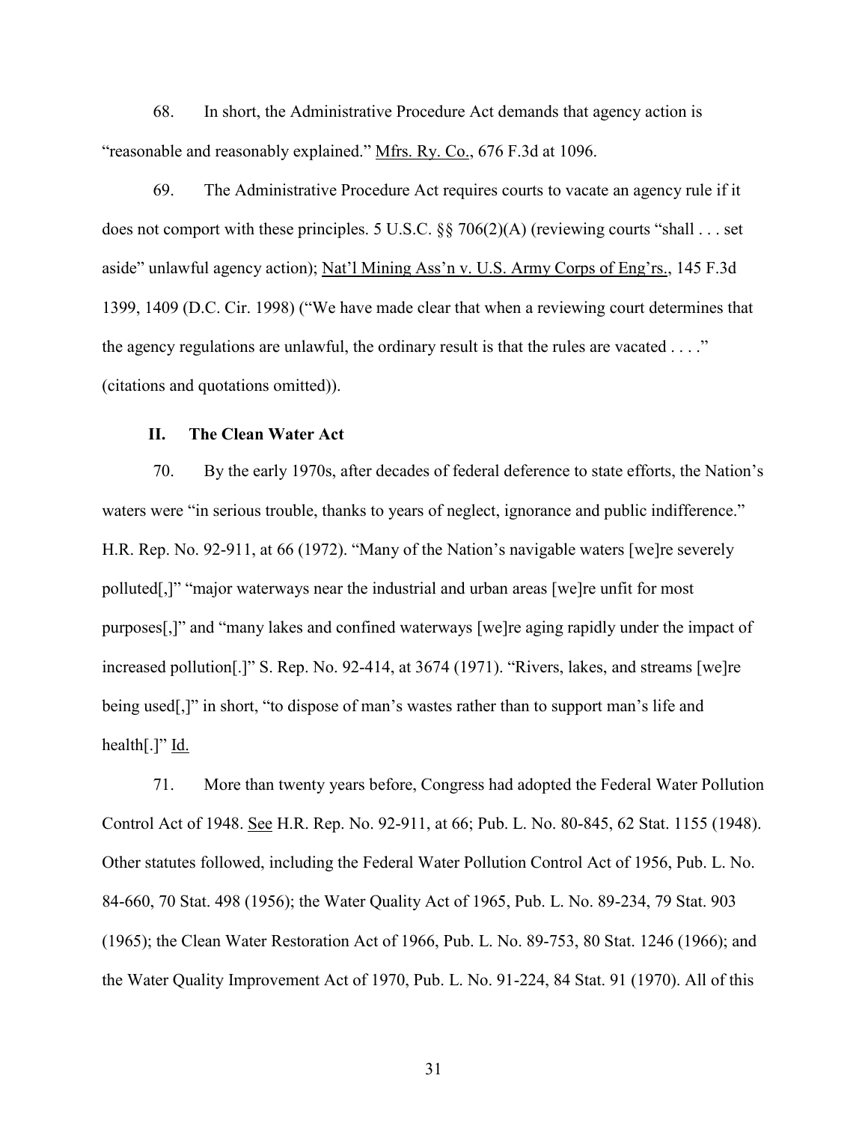68. In short, the Administrative Procedure Act demands that agency action is "reasonable and reasonably explained." Mfrs. Ry. Co., 676 F.3d at 1096.

69. The Administrative Procedure Act requires courts to vacate an agency rule if it does not comport with these principles. 5 U.S.C. §§ 706(2)(A) (reviewing courts "shall . . . set aside" unlawful agency action); Nat'l Mining Ass'n v. U.S. Army Corps of Eng'rs., 145 F.3d 1399, 1409 (D.C. Cir. 1998) ("We have made clear that when a reviewing court determines that the agency regulations are unlawful, the ordinary result is that the rules are vacated  $\dots$ ." (citations and quotations omitted)).

#### **II. The Clean Water Act**

70. By the early 1970s, after decades of federal deference to state efforts, the Nation's waters were "in serious trouble, thanks to years of neglect, ignorance and public indifference." H.R. Rep. No. 92-911, at 66 (1972). "Many of the Nation's navigable waters [we]re severely polluted[,]" "major waterways near the industrial and urban areas [we]re unfit for most purposes[,]" and "many lakes and confined waterways [we]re aging rapidly under the impact of increased pollution[.]" S. Rep. No. 92-414, at 3674 (1971). "Rivers, lakes, and streams [we]re being used[,]" in short, "to dispose of man's wastes rather than to support man's life and health $[.]$ " Id.

71. More than twenty years before, Congress had adopted the Federal Water Pollution Control Act of 1948. See H.R. Rep. No. 92-911, at 66; Pub. L. No. 80-845, 62 Stat. 1155 (1948). Other statutes followed, including the Federal Water Pollution Control Act of 1956, Pub. L. No. 84-660, 70 Stat. 498 (1956); the Water Quality Act of 1965, Pub. L. No. 89-234, 79 Stat. 903 (1965); the Clean Water Restoration Act of 1966, Pub. L. No. 89-753, 80 Stat. 1246 (1966); and the Water Quality Improvement Act of 1970, Pub. L. No. 91-224, 84 Stat. 91 (1970). All of this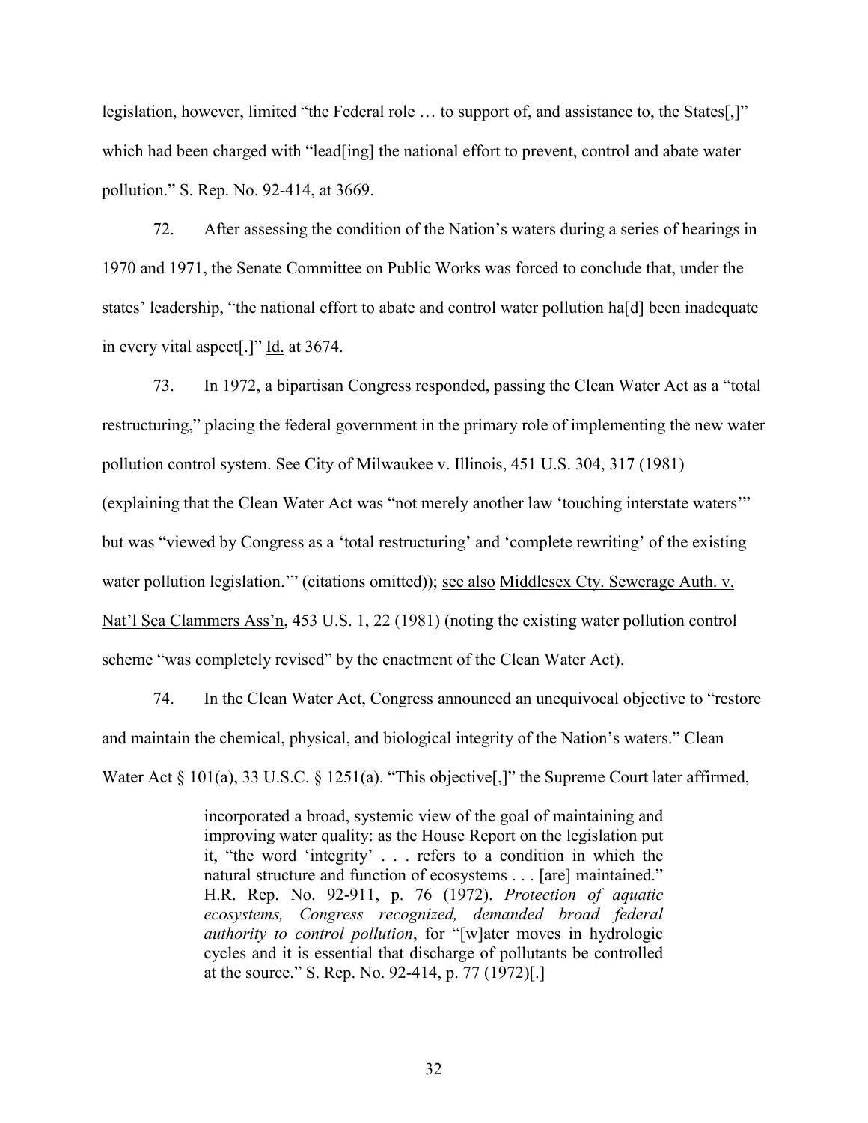legislation, however, limited "the Federal role … to support of, and assistance to, the States[,]" which had been charged with "lead [ing] the national effort to prevent, control and abate water pollution." S. Rep. No. 92-414, at 3669.

72. After assessing the condition of the Nation's waters during a series of hearings in 1970 and 1971, the Senate Committee on Public Works was forced to conclude that, under the states' leadership, "the national effort to abate and control water pollution ha[d] been inadequate in every vital aspect[.]" Id. at 3674.

73. In 1972, a bipartisan Congress responded, passing the Clean Water Act as a "total restructuring," placing the federal government in the primary role of implementing the new water pollution control system. See City of Milwaukee v. Illinois, 451 U.S. 304, 317 (1981) (explaining that the Clean Water Act was "not merely another law 'touching interstate waters'" but was "viewed by Congress as a 'total restructuring' and 'complete rewriting' of the existing water pollution legislation.'" (citations omitted)); <u>see also Middlesex Cty. Sewerage Auth. v.</u> Nat'l Sea Clammers Ass'n, 453 U.S. 1, 22 (1981) (noting the existing water pollution control scheme "was completely revised" by the enactment of the Clean Water Act).

74. In the Clean Water Act, Congress announced an unequivocal objective to "restore and maintain the chemical, physical, and biological integrity of the Nation's waters." Clean Water Act § 101(a), 33 U.S.C. § 1251(a). "This objective<sup>[1]</sup>," the Supreme Court later affirmed,

> incorporated a broad, systemic view of the goal of maintaining and improving water quality: as the House Report on the legislation put it, "the word 'integrity' . . . refers to a condition in which the natural structure and function of ecosystems . . . [are] maintained." H.R. Rep. No. 92-911, p. 76 (1972). *Protection of aquatic ecosystems, Congress recognized, demanded broad federal authority to control pollution*, for "[w]ater moves in hydrologic cycles and it is essential that discharge of pollutants be controlled at the source." S. Rep. No. 92-414, p. 77 (1972)[.]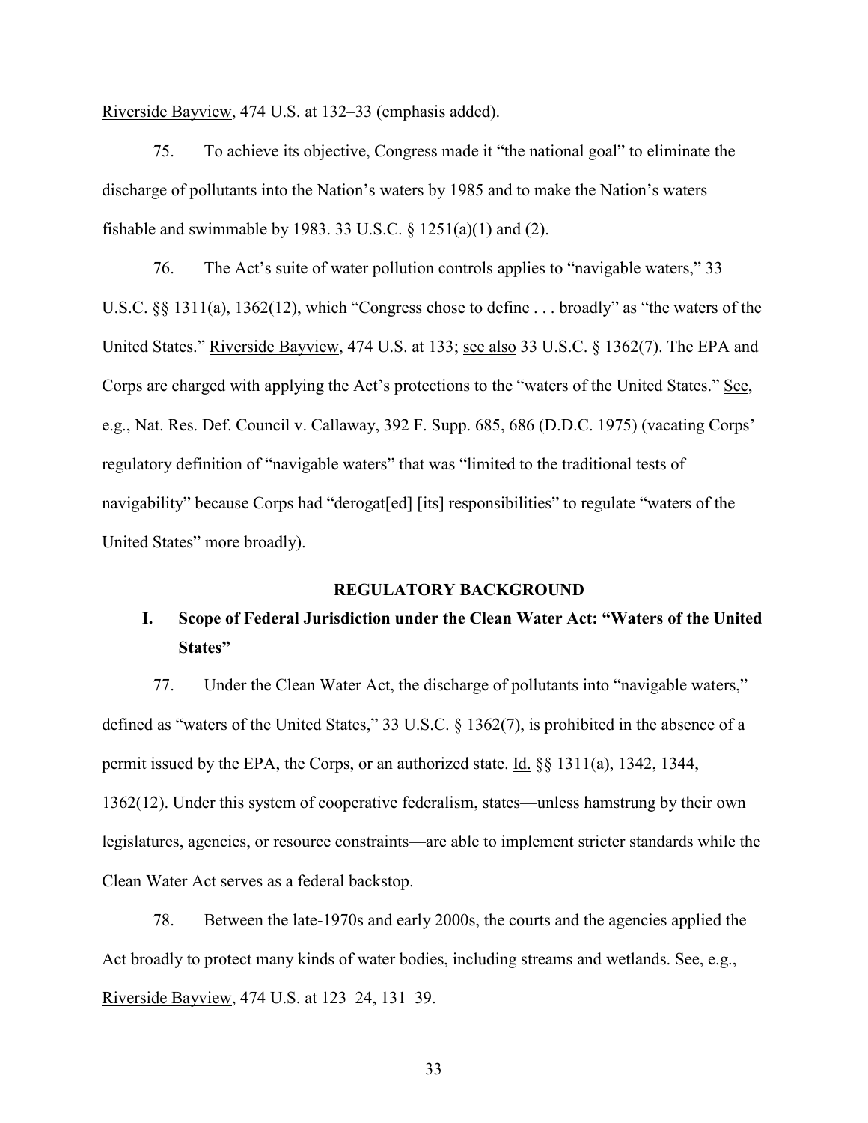Riverside Bayview, 474 U.S. at 132–33 (emphasis added).

75. To achieve its objective, Congress made it "the national goal" to eliminate the discharge of pollutants into the Nation's waters by 1985 and to make the Nation's waters fishable and swimmable by 1983. 33 U.S.C.  $\S$  1251(a)(1) and (2).

76. The Act's suite of water pollution controls applies to "navigable waters," 33 U.S.C. §§ 1311(a), 1362(12), which "Congress chose to define . . . broadly" as "the waters of the United States." Riverside Bayview, 474 U.S. at 133; see also 33 U.S.C. § 1362(7). The EPA and Corps are charged with applying the Act's protections to the "waters of the United States." See, e.g., Nat. Res. Def. Council v. Callaway, 392 F. Supp. 685, 686 (D.D.C. 1975) (vacating Corps' regulatory definition of "navigable waters" that was "limited to the traditional tests of navigability" because Corps had "derogat[ed] [its] responsibilities" to regulate "waters of the United States" more broadly).

#### **REGULATORY BACKGROUND**

## **I. Scope of Federal Jurisdiction under the Clean Water Act: "Waters of the United States"**

77. Under the Clean Water Act, the discharge of pollutants into "navigable waters," defined as "waters of the United States," 33 U.S.C. § 1362(7), is prohibited in the absence of a permit issued by the EPA, the Corps, or an authorized state. Id. §§ 1311(a), 1342, 1344, 1362(12). Under this system of cooperative federalism, states—unless hamstrung by their own legislatures, agencies, or resource constraints—are able to implement stricter standards while the Clean Water Act serves as a federal backstop.

78. Between the late-1970s and early 2000s, the courts and the agencies applied the Act broadly to protect many kinds of water bodies, including streams and wetlands. See, e.g., Riverside Bayview, 474 U.S. at 123–24, 131–39.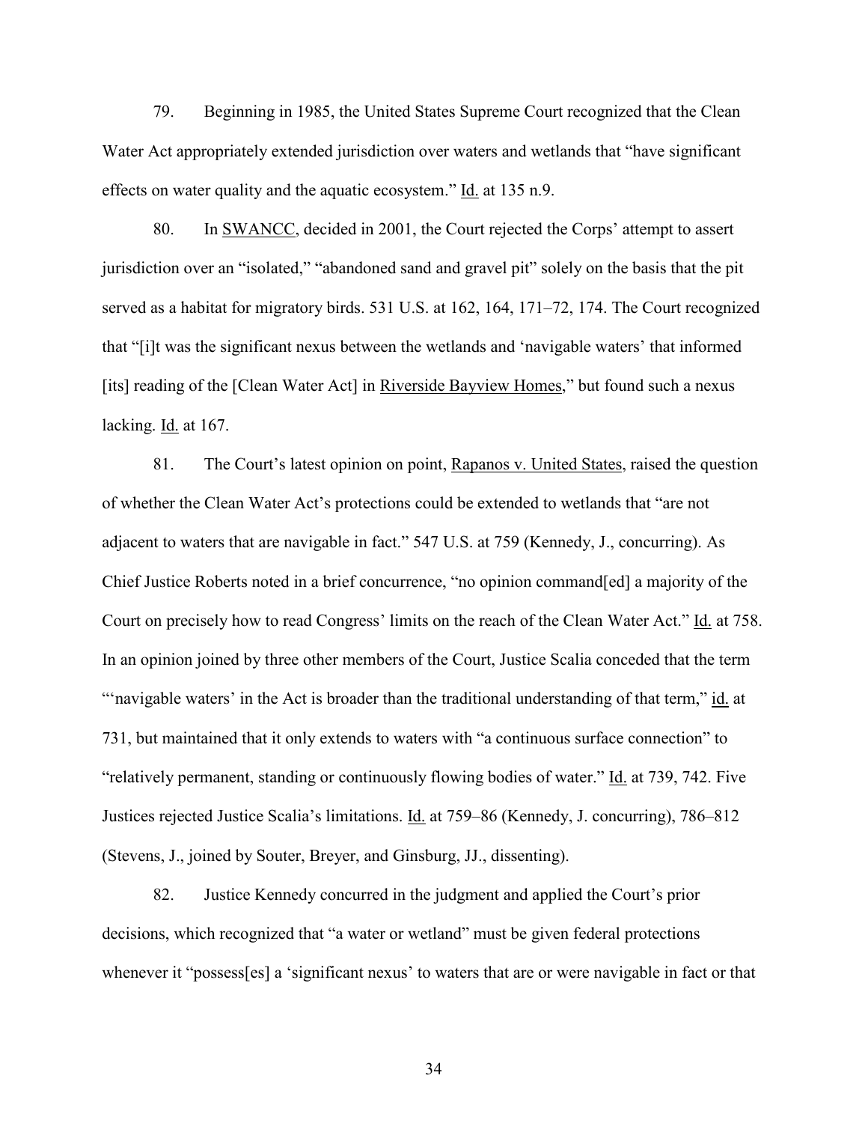79. Beginning in 1985, the United States Supreme Court recognized that the Clean Water Act appropriately extended jurisdiction over waters and wetlands that "have significant effects on water quality and the aquatic ecosystem." Id. at 135 n.9.

80. In SWANCC, decided in 2001, the Court rejected the Corps' attempt to assert jurisdiction over an "isolated," "abandoned sand and gravel pit" solely on the basis that the pit served as a habitat for migratory birds. 531 U.S. at 162, 164, 171–72, 174. The Court recognized that "[i]t was the significant nexus between the wetlands and 'navigable waters' that informed [its] reading of the [Clean Water Act] in Riverside Bayview Homes," but found such a nexus lacking. Id. at 167.

81. The Court's latest opinion on point, Rapanos v. United States, raised the question of whether the Clean Water Act's protections could be extended to wetlands that "are not adjacent to waters that are navigable in fact." 547 U.S. at 759 (Kennedy, J., concurring). As Chief Justice Roberts noted in a brief concurrence, "no opinion command[ed] a majority of the Court on precisely how to read Congress' limits on the reach of the Clean Water Act." Id. at 758. In an opinion joined by three other members of the Court, Justice Scalia conceded that the term "'navigable waters' in the Act is broader than the traditional understanding of that term," id. at 731, but maintained that it only extends to waters with "a continuous surface connection" to "relatively permanent, standing or continuously flowing bodies of water." Id. at 739, 742. Five Justices rejected Justice Scalia's limitations. Id. at 759–86 (Kennedy, J. concurring), 786–812 (Stevens, J., joined by Souter, Breyer, and Ginsburg, JJ., dissenting).

82. Justice Kennedy concurred in the judgment and applied the Court's prior decisions, which recognized that "a water or wetland" must be given federal protections whenever it "possess[es] a 'significant nexus' to waters that are or were navigable in fact or that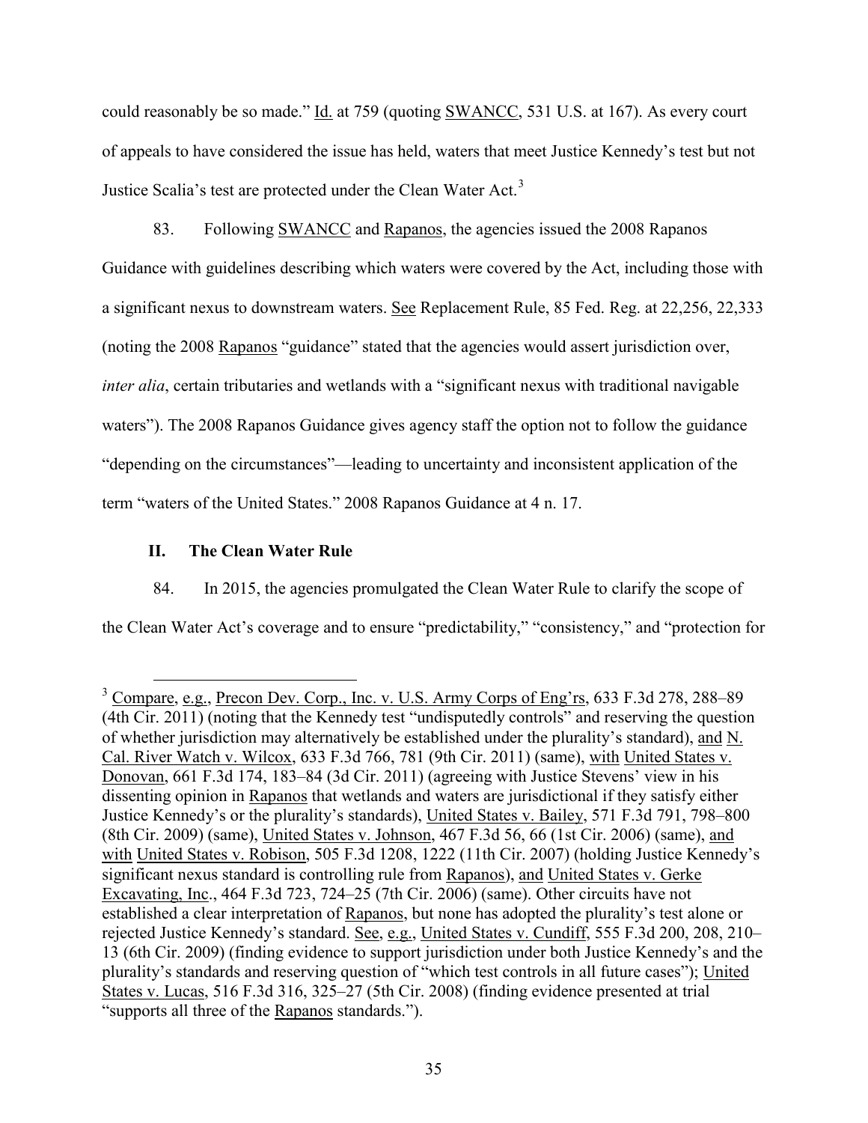could reasonably be so made." Id. at 759 (quoting SWANCC, 531 U.S. at 167). As every court of appeals to have considered the issue has held, waters that meet Justice Kennedy's test but not Justice Scalia's test are protected under the Clean Water Act.<sup>[3](#page-34-0)</sup>

83. Following SWANCC and Rapanos, the agencies issued the 2008 Rapanos Guidance with guidelines describing which waters were covered by the Act, including those with a significant nexus to downstream waters. See Replacement Rule, 85 Fed. Reg. at 22,256, 22,333 (noting the 2008 Rapanos "guidance" stated that the agencies would assert jurisdiction over, *inter alia*, certain tributaries and wetlands with a "significant nexus with traditional navigable waters"). The 2008 Rapanos Guidance gives agency staff the option not to follow the guidance "depending on the circumstances"—leading to uncertainty and inconsistent application of the term "waters of the United States." 2008 Rapanos Guidance at 4 n. 17.

### **II. The Clean Water Rule**

84. In 2015, the agencies promulgated the Clean Water Rule to clarify the scope of the Clean Water Act's coverage and to ensure "predictability," "consistency," and "protection for

<span id="page-34-0"></span><sup>&</sup>lt;sup>3</sup> Compare, e.g., Precon Dev. Corp., Inc. v. U.S. Army Corps of Eng'rs, 633 F.3d 278, 288–89 (4th Cir. 2011) (noting that the Kennedy test "undisputedly controls" and reserving the question of whether jurisdiction may alternatively be established under the plurality's standard), and N. Cal. River Watch v. Wilcox, 633 F.3d 766, 781 (9th Cir. 2011) (same), with United States v. Donovan, 661 F.3d 174, 183–84 (3d Cir. 2011) (agreeing with Justice Stevens' view in his dissenting opinion in Rapanos that wetlands and waters are jurisdictional if they satisfy either Justice Kennedy's or the plurality's standards), United States v. Bailey, 571 F.3d 791, 798–800 (8th Cir. 2009) (same), United States v. Johnson, 467 F.3d 56, 66 (1st Cir. 2006) (same), and with United States v. Robison, 505 F.3d 1208, 1222 (11th Cir. 2007) (holding Justice Kennedy's significant nexus standard is controlling rule from Rapanos), and United States v. Gerke Excavating, Inc., 464 F.3d 723, 724–25 (7th Cir. 2006) (same). Other circuits have not established a clear interpretation of Rapanos, but none has adopted the plurality's test alone or rejected Justice Kennedy's standard. See, e.g., United States v. Cundiff, 555 F.3d 200, 208, 210– 13 (6th Cir. 2009) (finding evidence to support jurisdiction under both Justice Kennedy's and the plurality's standards and reserving question of "which test controls in all future cases"); United States v. Lucas, 516 F.3d 316, 325–27 (5th Cir. 2008) (finding evidence presented at trial "supports all three of the Rapanos standards.").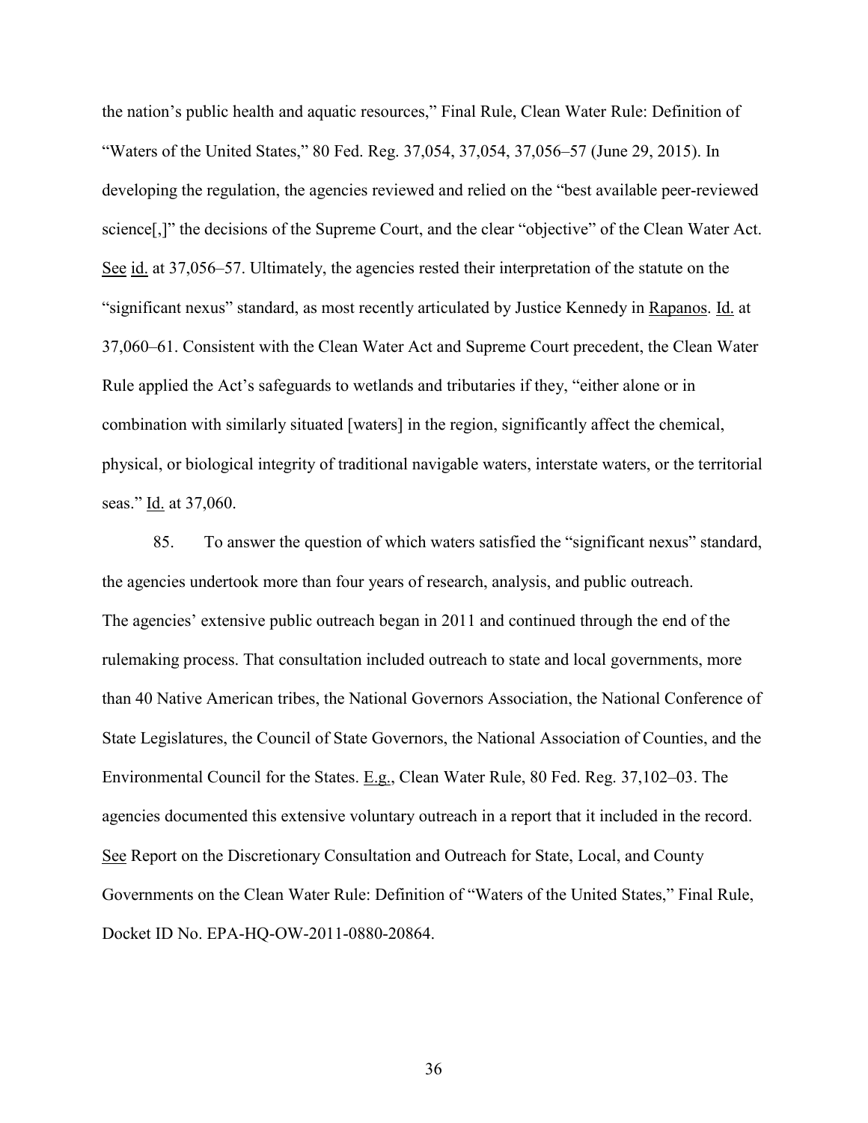the nation's public health and aquatic resources," Final Rule, Clean Water Rule: Definition of "Waters of the United States," 80 Fed. Reg. 37,054, 37,054, 37,056–57 (June 29, 2015). In developing the regulation, the agencies reviewed and relied on the "best available peer-reviewed science[,]" the decisions of the Supreme Court, and the clear "objective" of the Clean Water Act. See id. at 37,056–57. Ultimately, the agencies rested their interpretation of the statute on the "significant nexus" standard, as most recently articulated by Justice Kennedy in Rapanos. Id. at 37,060–61. Consistent with the Clean Water Act and Supreme Court precedent, the Clean Water Rule applied the Act's safeguards to wetlands and tributaries if they, "either alone or in combination with similarly situated [waters] in the region, significantly affect the chemical, physical, or biological integrity of traditional navigable waters, interstate waters, or the territorial seas." Id. at 37,060.

85. To answer the question of which waters satisfied the "significant nexus" standard, the agencies undertook more than four years of research, analysis, and public outreach. The agencies' extensive public outreach began in 2011 and continued through the end of the rulemaking process. That consultation included outreach to state and local governments, more than 40 Native American tribes, the National Governors Association, the National Conference of State Legislatures, the Council of State Governors, the National Association of Counties, and the Environmental Council for the States. E.g., Clean Water Rule, 80 Fed. Reg. 37,102–03. The agencies documented this extensive voluntary outreach in a report that it included in the record. See Report on the Discretionary Consultation and Outreach for State, Local, and County Governments on the Clean Water Rule: Definition of "Waters of the United States," Final Rule, Docket ID No. EPA-HQ-OW-2011-0880-20864.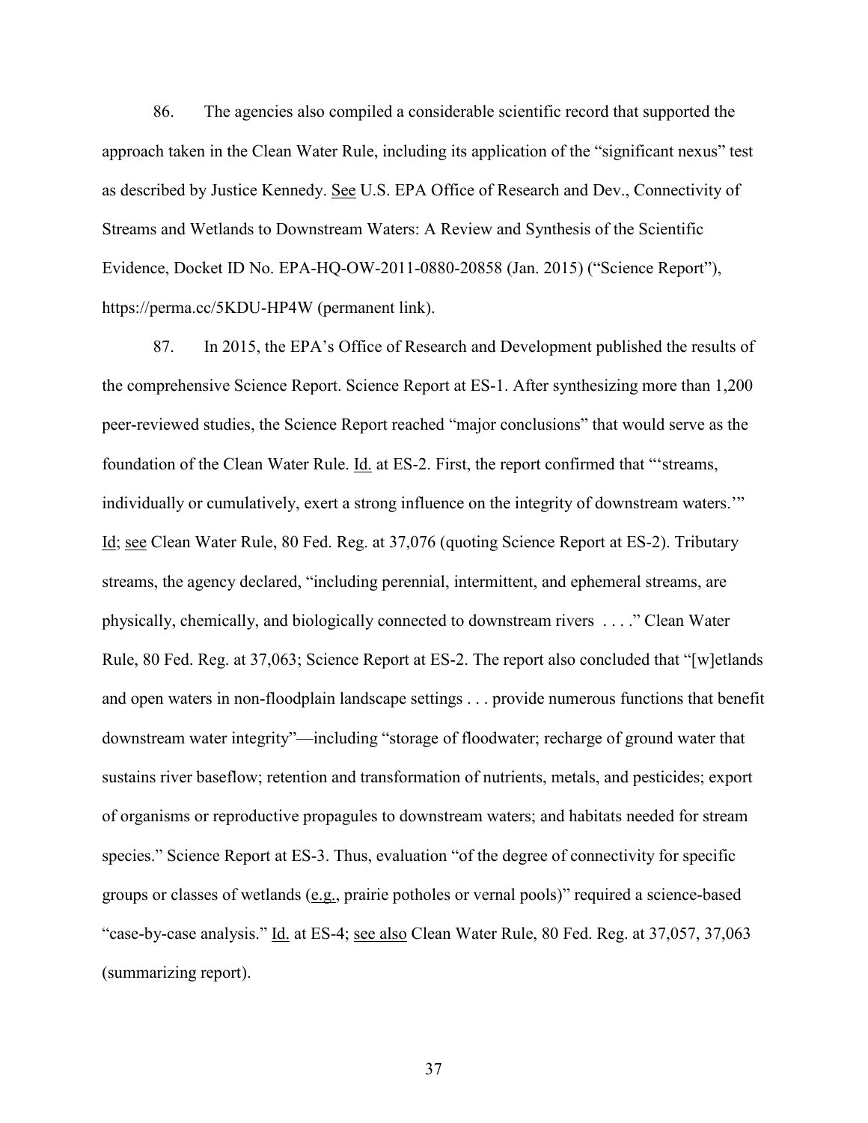86. The agencies also compiled a considerable scientific record that supported the approach taken in the Clean Water Rule, including its application of the "significant nexus" test as described by Justice Kennedy. See U.S. EPA Office of Research and Dev., Connectivity of Streams and Wetlands to Downstream Waters: A Review and Synthesis of the Scientific Evidence, Docket ID No. EPA-HQ-OW-2011-0880-20858 (Jan. 2015) ("Science Report"), https://perma.cc/5KDU-HP4W (permanent link).

87. In 2015, the EPA's Office of Research and Development published the results of the comprehensive Science Report. Science Report at ES-1. After synthesizing more than 1,200 peer-reviewed studies, the Science Report reached "major conclusions" that would serve as the foundation of the Clean Water Rule. Id. at ES-2. First, the report confirmed that "'streams, individually or cumulatively, exert a strong influence on the integrity of downstream waters.'" Id; see Clean Water Rule, 80 Fed. Reg. at 37,076 (quoting Science Report at ES-2). Tributary streams, the agency declared, "including perennial, intermittent, and ephemeral streams, are physically, chemically, and biologically connected to downstream rivers . . . ." Clean Water Rule, 80 Fed. Reg. at 37,063; Science Report at ES-2. The report also concluded that "[w]etlands and open waters in non-floodplain landscape settings . . . provide numerous functions that benefit downstream water integrity"—including "storage of floodwater; recharge of ground water that sustains river baseflow; retention and transformation of nutrients, metals, and pesticides; export of organisms or reproductive propagules to downstream waters; and habitats needed for stream species." Science Report at ES-3. Thus, evaluation "of the degree of connectivity for specific groups or classes of wetlands (e.g., prairie potholes or vernal pools)" required a science-based "case-by-case analysis." Id. at ES-4; see also Clean Water Rule, 80 Fed. Reg. at 37,057, 37,063 (summarizing report).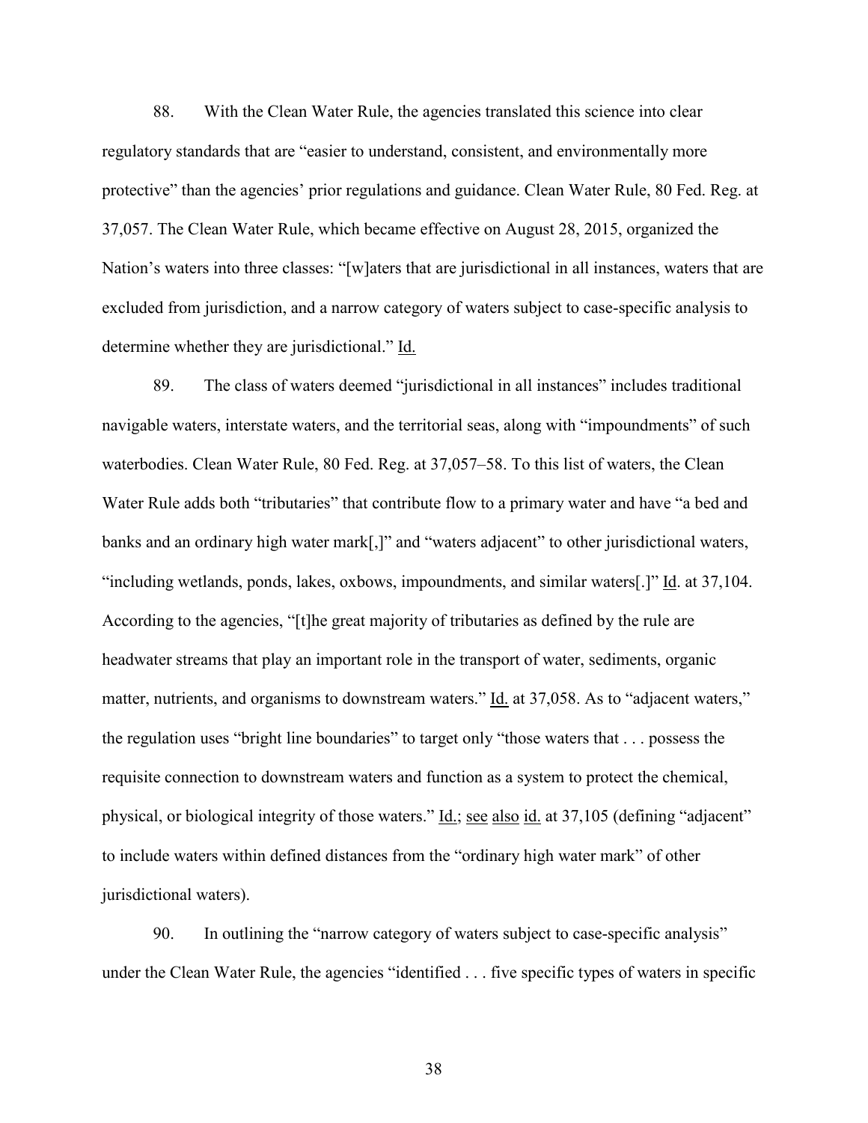88. With the Clean Water Rule, the agencies translated this science into clear regulatory standards that are "easier to understand, consistent, and environmentally more protective" than the agencies' prior regulations and guidance. Clean Water Rule, 80 Fed. Reg. at 37,057. The Clean Water Rule, which became effective on August 28, 2015, organized the Nation's waters into three classes: "[w]aters that are jurisdictional in all instances, waters that are excluded from jurisdiction, and a narrow category of waters subject to case-specific analysis to determine whether they are jurisdictional." Id.

89. The class of waters deemed "jurisdictional in all instances" includes traditional navigable waters, interstate waters, and the territorial seas, along with "impoundments" of such waterbodies. Clean Water Rule, 80 Fed. Reg. at 37,057–58. To this list of waters, the Clean Water Rule adds both "tributaries" that contribute flow to a primary water and have "a bed and banks and an ordinary high water mark[,]" and "waters adjacent" to other jurisdictional waters, "including wetlands, ponds, lakes, oxbows, impoundments, and similar waters[.]" Id. at 37,104. According to the agencies, "[t]he great majority of tributaries as defined by the rule are headwater streams that play an important role in the transport of water, sediments, organic matter, nutrients, and organisms to downstream waters." Id. at 37,058. As to "adjacent waters," the regulation uses "bright line boundaries" to target only "those waters that . . . possess the requisite connection to downstream waters and function as a system to protect the chemical, physical, or biological integrity of those waters." <u>Id.; see also id.</u> at 37,105 (defining "adjacent" to include waters within defined distances from the "ordinary high water mark" of other jurisdictional waters).

90. In outlining the "narrow category of waters subject to case-specific analysis" under the Clean Water Rule, the agencies "identified . . . five specific types of waters in specific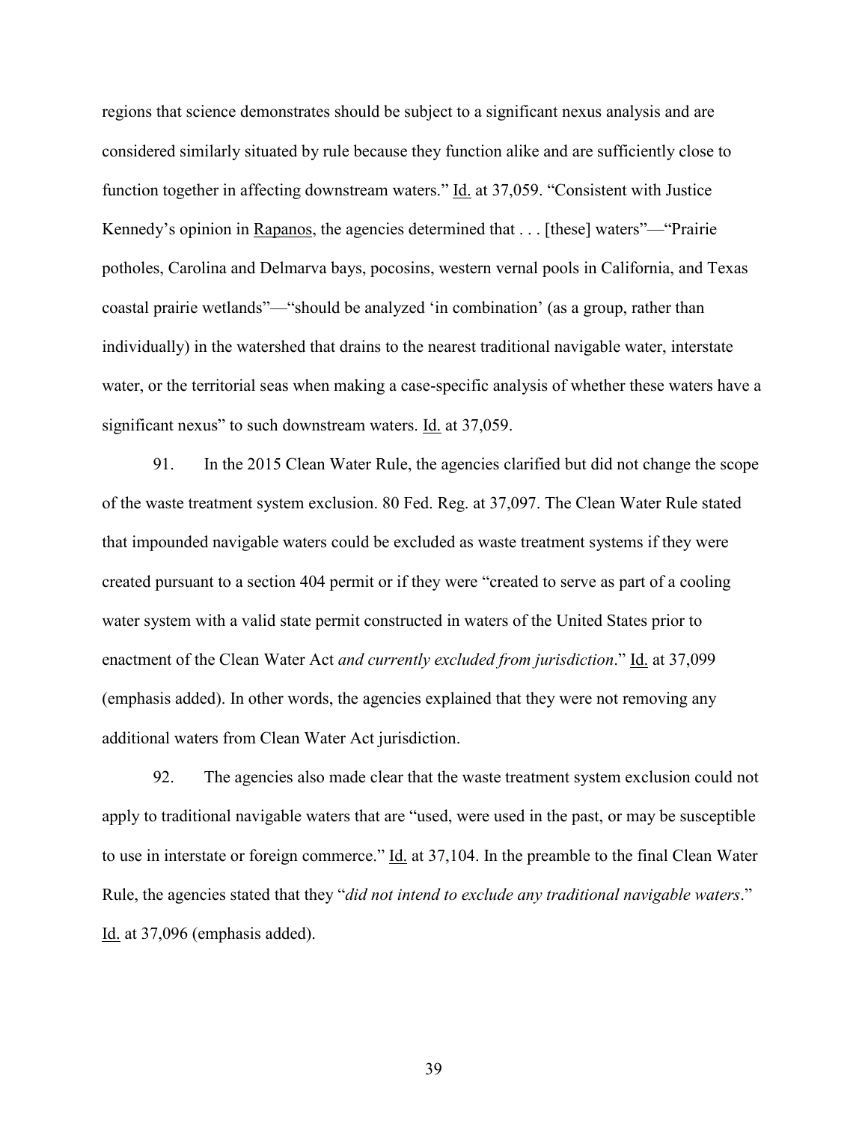regions that science demonstrates should be subject to a significant nexus analysis and are considered similarly situated by rule because they function alike and are sufficiently close to function together in affecting downstream waters." Id. at 37,059. "Consistent with Justice Kennedy's opinion in Rapanos, the agencies determined that . . . [these] waters"—"Prairie potholes, Carolina and Delmarva bays, pocosins, western vernal pools in California, and Texas coastal prairie wetlands"—"should be analyzed 'in combination' (as a group, rather than individually) in the watershed that drains to the nearest traditional navigable water, interstate water, or the territorial seas when making a case-specific analysis of whether these waters have a significant nexus" to such downstream waters. Id. at 37,059.

91. In the 2015 Clean Water Rule, the agencies clarified but did not change the scope of the waste treatment system exclusion. 80 Fed. Reg. at 37,097. The Clean Water Rule stated that impounded navigable waters could be excluded as waste treatment systems if they were created pursuant to a section 404 permit or if they were "created to serve as part of a cooling water system with a valid state permit constructed in waters of the United States prior to enactment of the Clean Water Act *and currently excluded from jurisdiction*." Id. at 37,099 (emphasis added). In other words, the agencies explained that they were not removing any additional waters from Clean Water Act jurisdiction.

92. The agencies also made clear that the waste treatment system exclusion could not apply to traditional navigable waters that are "used, were used in the past, or may be susceptible to use in interstate or foreign commerce." Id. at 37,104. In the preamble to the final Clean Water Rule, the agencies stated that they "*did not intend to exclude any traditional navigable waters*." Id. at 37,096 (emphasis added).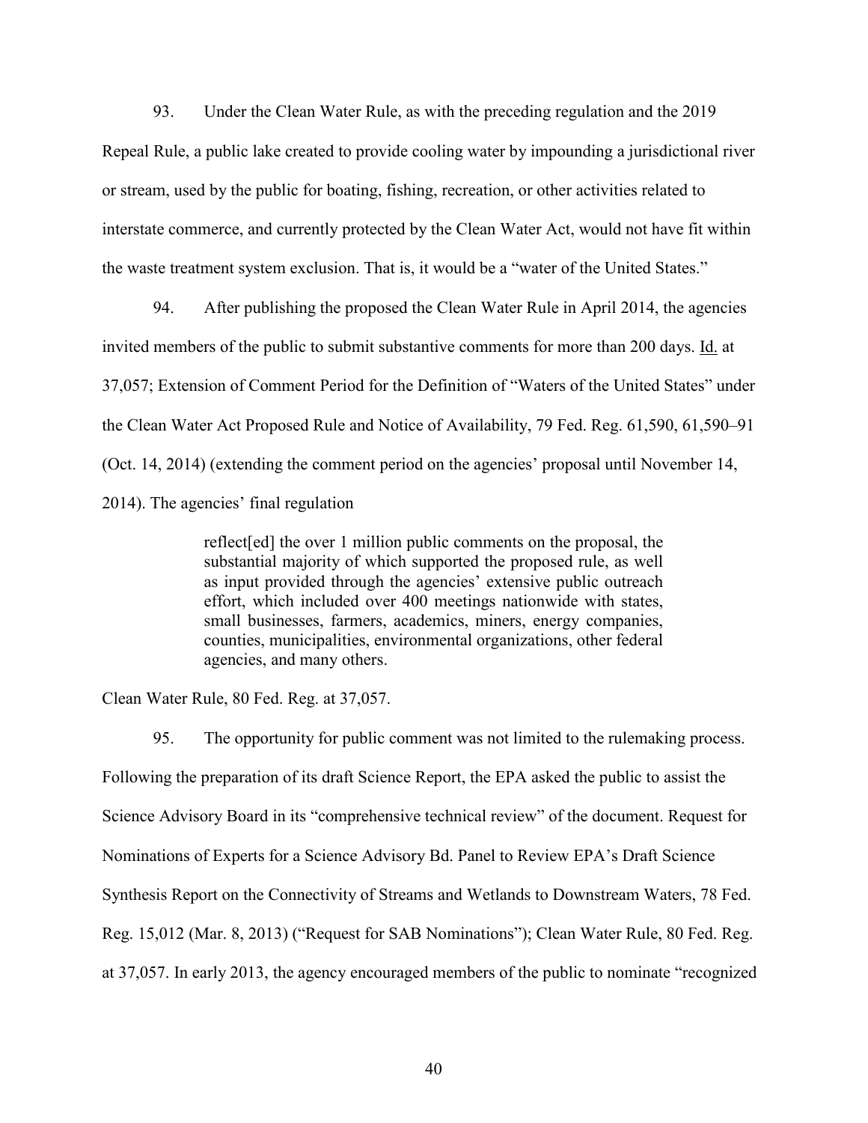93. Under the Clean Water Rule, as with the preceding regulation and the 2019 Repeal Rule, a public lake created to provide cooling water by impounding a jurisdictional river or stream, used by the public for boating, fishing, recreation, or other activities related to interstate commerce, and currently protected by the Clean Water Act, would not have fit within the waste treatment system exclusion. That is, it would be a "water of the United States."

94. After publishing the proposed the Clean Water Rule in April 2014, the agencies invited members of the public to submit substantive comments for more than 200 days. Id. at 37,057; Extension of Comment Period for the Definition of "Waters of the United States" under the Clean Water Act Proposed Rule and Notice of Availability, 79 Fed. Reg. 61,590, 61,590–91 (Oct. 14, 2014) (extending the comment period on the agencies' proposal until November 14, 2014). The agencies' final regulation

> reflect[ed] the over 1 million public comments on the proposal, the substantial majority of which supported the proposed rule, as well as input provided through the agencies' extensive public outreach effort, which included over 400 meetings nationwide with states, small businesses, farmers, academics, miners, energy companies, counties, municipalities, environmental organizations, other federal agencies, and many others.

Clean Water Rule, 80 Fed. Reg. at 37,057.

95. The opportunity for public comment was not limited to the rulemaking process. Following the preparation of its draft Science Report, the EPA asked the public to assist the Science Advisory Board in its "comprehensive technical review" of the document. Request for Nominations of Experts for a Science Advisory Bd. Panel to Review EPA's Draft Science Synthesis Report on the Connectivity of Streams and Wetlands to Downstream Waters, 78 Fed. Reg. 15,012 (Mar. 8, 2013) ("Request for SAB Nominations"); Clean Water Rule, 80 Fed. Reg. at 37,057. In early 2013, the agency encouraged members of the public to nominate "recognized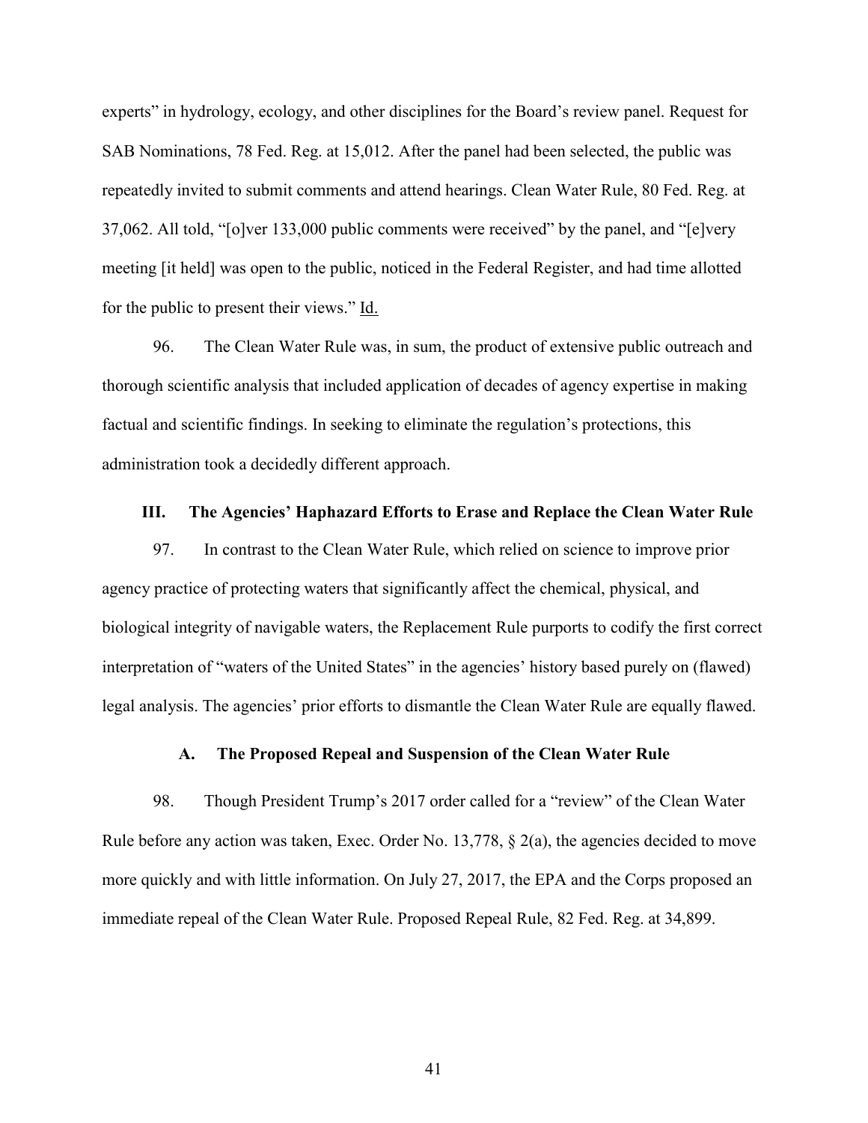experts" in hydrology, ecology, and other disciplines for the Board's review panel. Request for SAB Nominations, 78 Fed. Reg. at 15,012. After the panel had been selected, the public was repeatedly invited to submit comments and attend hearings. Clean Water Rule, 80 Fed. Reg. at 37,062. All told, "[o]ver 133,000 public comments were received" by the panel, and "[e]very meeting [it held] was open to the public, noticed in the Federal Register, and had time allotted for the public to present their views." Id.

96. The Clean Water Rule was, in sum, the product of extensive public outreach and thorough scientific analysis that included application of decades of agency expertise in making factual and scientific findings. In seeking to eliminate the regulation's protections, this administration took a decidedly different approach.

### **III. The Agencies' Haphazard Efforts to Erase and Replace the Clean Water Rule**

97. In contrast to the Clean Water Rule, which relied on science to improve prior agency practice of protecting waters that significantly affect the chemical, physical, and biological integrity of navigable waters, the Replacement Rule purports to codify the first correct interpretation of "waters of the United States" in the agencies' history based purely on (flawed) legal analysis. The agencies' prior efforts to dismantle the Clean Water Rule are equally flawed.

### **A. The Proposed Repeal and Suspension of the Clean Water Rule**

98. Though President Trump's 2017 order called for a "review" of the Clean Water Rule before any action was taken, Exec. Order No. 13,778, § 2(a), the agencies decided to move more quickly and with little information. On July 27, 2017, the EPA and the Corps proposed an immediate repeal of the Clean Water Rule. Proposed Repeal Rule, 82 Fed. Reg. at 34,899.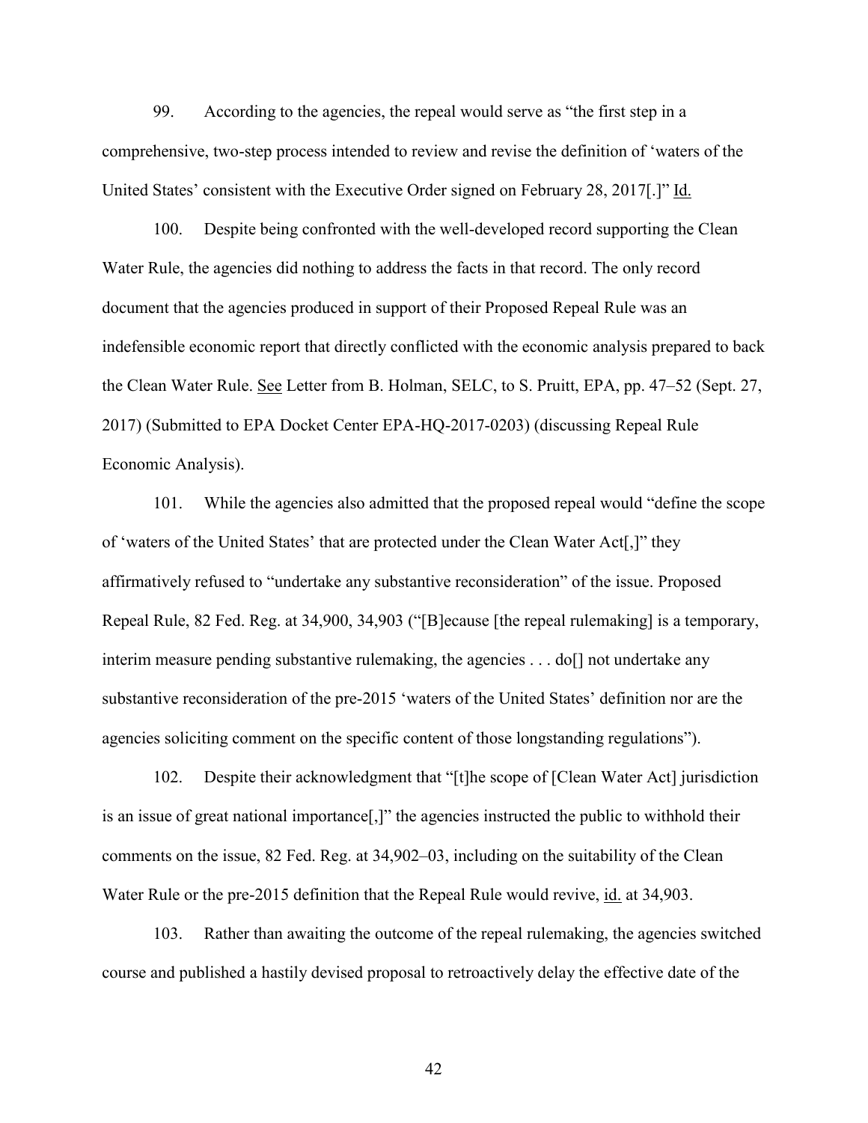99. According to the agencies, the repeal would serve as "the first step in a comprehensive, two-step process intended to review and revise the definition of 'waters of the United States' consistent with the Executive Order signed on February 28, 2017[.]" Id.

100. Despite being confronted with the well-developed record supporting the Clean Water Rule, the agencies did nothing to address the facts in that record. The only record document that the agencies produced in support of their Proposed Repeal Rule was an indefensible economic report that directly conflicted with the economic analysis prepared to back the Clean Water Rule. See Letter from B. Holman, SELC, to S. Pruitt, EPA, pp. 47–52 (Sept. 27, 2017) (Submitted to EPA Docket Center EPA-HQ-2017-0203) (discussing Repeal Rule Economic Analysis).

101. While the agencies also admitted that the proposed repeal would "define the scope of 'waters of the United States' that are protected under the Clean Water Act[,]" they affirmatively refused to "undertake any substantive reconsideration" of the issue. Proposed Repeal Rule, 82 Fed. Reg. at 34,900, 34,903 ("[B]ecause [the repeal rulemaking] is a temporary, interim measure pending substantive rulemaking, the agencies . . . do<sup>[]</sup> not undertake any substantive reconsideration of the pre-2015 'waters of the United States' definition nor are the agencies soliciting comment on the specific content of those longstanding regulations").

102. Despite their acknowledgment that "[t]he scope of [Clean Water Act] jurisdiction is an issue of great national importance[,]" the agencies instructed the public to withhold their comments on the issue, 82 Fed. Reg. at 34,902–03, including on the suitability of the Clean Water Rule or the pre-2015 definition that the Repeal Rule would revive, id. at 34,903.

103. Rather than awaiting the outcome of the repeal rulemaking, the agencies switched course and published a hastily devised proposal to retroactively delay the effective date of the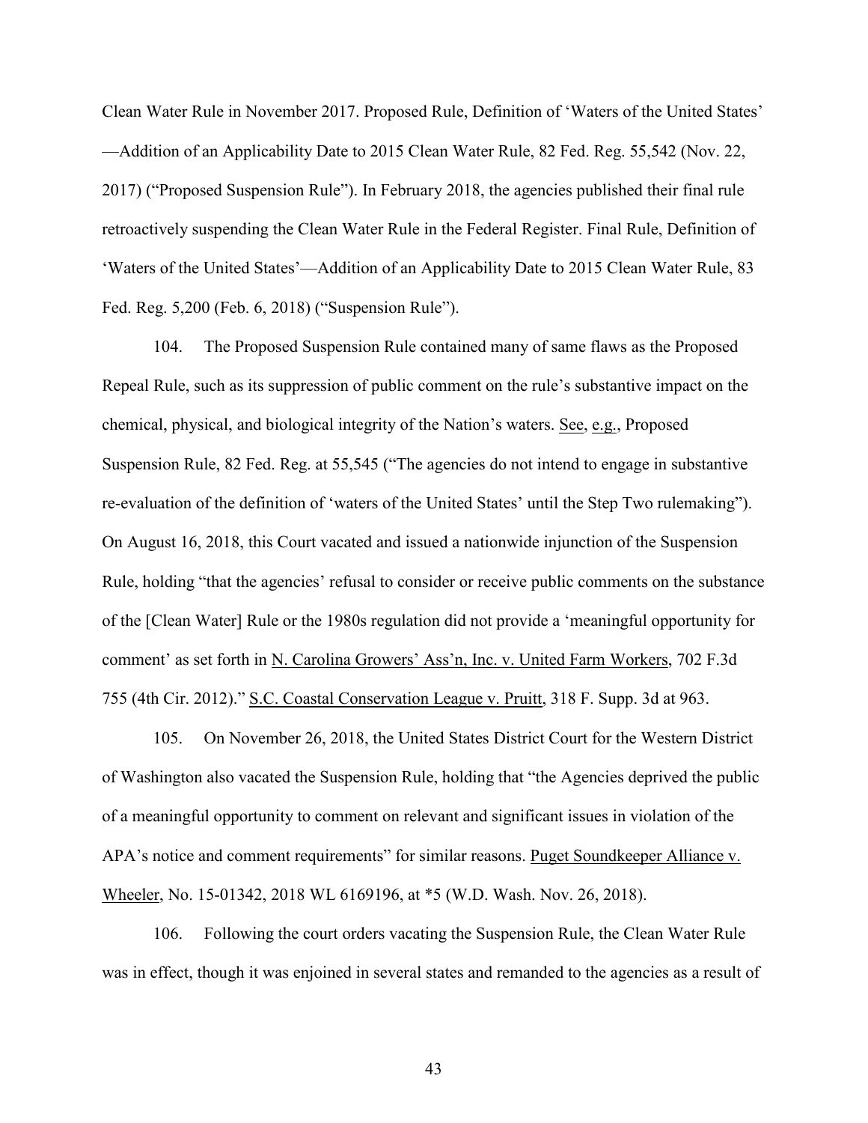Clean Water Rule in November 2017. Proposed Rule, Definition of 'Waters of the United States' ––Addition of an Applicability Date to 2015 Clean Water Rule, 82 Fed. Reg. 55,542 (Nov. 22, 2017) ("Proposed Suspension Rule"). In February 2018, the agencies published their final rule retroactively suspending the Clean Water Rule in the Federal Register. Final Rule, Definition of 'Waters of the United States'––Addition of an Applicability Date to 2015 Clean Water Rule, 83 Fed. Reg. 5,200 (Feb. 6, 2018) ("Suspension Rule").

104. The Proposed Suspension Rule contained many of same flaws as the Proposed Repeal Rule, such as its suppression of public comment on the rule's substantive impact on the chemical, physical, and biological integrity of the Nation's waters. See, e.g., Proposed Suspension Rule, 82 Fed. Reg. at 55,545 ("The agencies do not intend to engage in substantive re-evaluation of the definition of 'waters of the United States' until the Step Two rulemaking"). On August 16, 2018, this Court vacated and issued a nationwide injunction of the Suspension Rule, holding "that the agencies' refusal to consider or receive public comments on the substance of the [Clean Water] Rule or the 1980s regulation did not provide a 'meaningful opportunity for comment' as set forth in N. Carolina Growers' Ass'n, Inc. v. United Farm Workers, 702 F.3d 755 (4th Cir. 2012)." S.C. Coastal Conservation League v. Pruitt, 318 F. Supp. 3d at 963.

105. On November 26, 2018, the United States District Court for the Western District of Washington also vacated the Suspension Rule, holding that "the Agencies deprived the public of a meaningful opportunity to comment on relevant and significant issues in violation of the APA's notice and comment requirements" for similar reasons. Puget Soundkeeper Alliance v. Wheeler, No. 15-01342, 2018 WL 6169196, at \*5 (W.D. Wash. Nov. 26, 2018).

106. Following the court orders vacating the Suspension Rule, the Clean Water Rule was in effect, though it was enjoined in several states and remanded to the agencies as a result of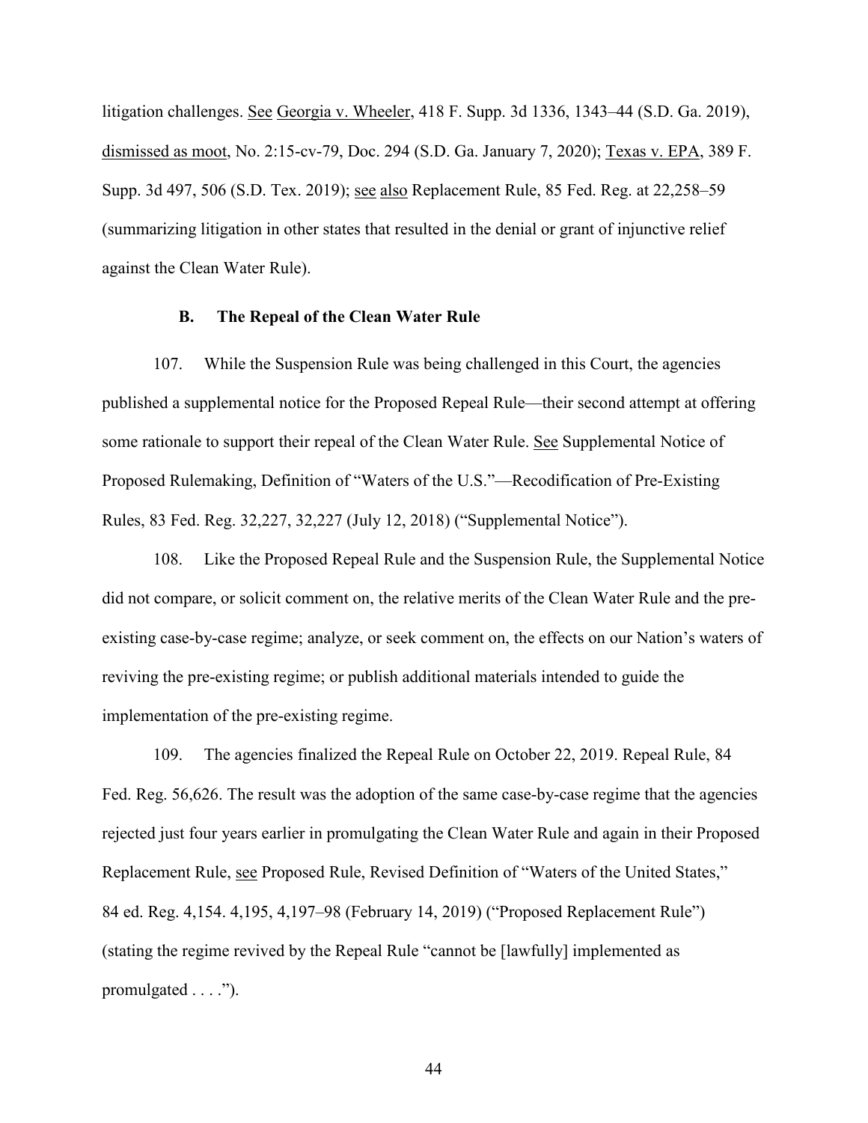litigation challenges. See Georgia v. Wheeler, 418 F. Supp. 3d 1336, 1343–44 (S.D. Ga. 2019), dismissed as moot, No. 2:15-cv-79, Doc. 294 (S.D. Ga. January 7, 2020); Texas v. EPA, 389 F. Supp. 3d 497, 506 (S.D. Tex. 2019); see also Replacement Rule, 85 Fed. Reg. at 22,258–59 (summarizing litigation in other states that resulted in the denial or grant of injunctive relief against the Clean Water Rule).

#### **B. The Repeal of the Clean Water Rule**

107. While the Suspension Rule was being challenged in this Court, the agencies published a supplemental notice for the Proposed Repeal Rule—their second attempt at offering some rationale to support their repeal of the Clean Water Rule. See Supplemental Notice of Proposed Rulemaking, Definition of "Waters of the U.S."—Recodification of Pre-Existing Rules, 83 Fed. Reg. 32,227, 32,227 (July 12, 2018) ("Supplemental Notice").

108. Like the Proposed Repeal Rule and the Suspension Rule, the Supplemental Notice did not compare, or solicit comment on, the relative merits of the Clean Water Rule and the preexisting case-by-case regime; analyze, or seek comment on, the effects on our Nation's waters of reviving the pre-existing regime; or publish additional materials intended to guide the implementation of the pre-existing regime.

109. The agencies finalized the Repeal Rule on October 22, 2019. Repeal Rule, 84 Fed. Reg. 56,626. The result was the adoption of the same case-by-case regime that the agencies rejected just four years earlier in promulgating the Clean Water Rule and again in their Proposed Replacement Rule, see Proposed Rule, Revised Definition of "Waters of the United States," 84 ed. Reg. 4,154. 4,195, 4,197–98 (February 14, 2019) ("Proposed Replacement Rule") (stating the regime revived by the Repeal Rule "cannot be [lawfully] implemented as promulgated  $\dots$ .").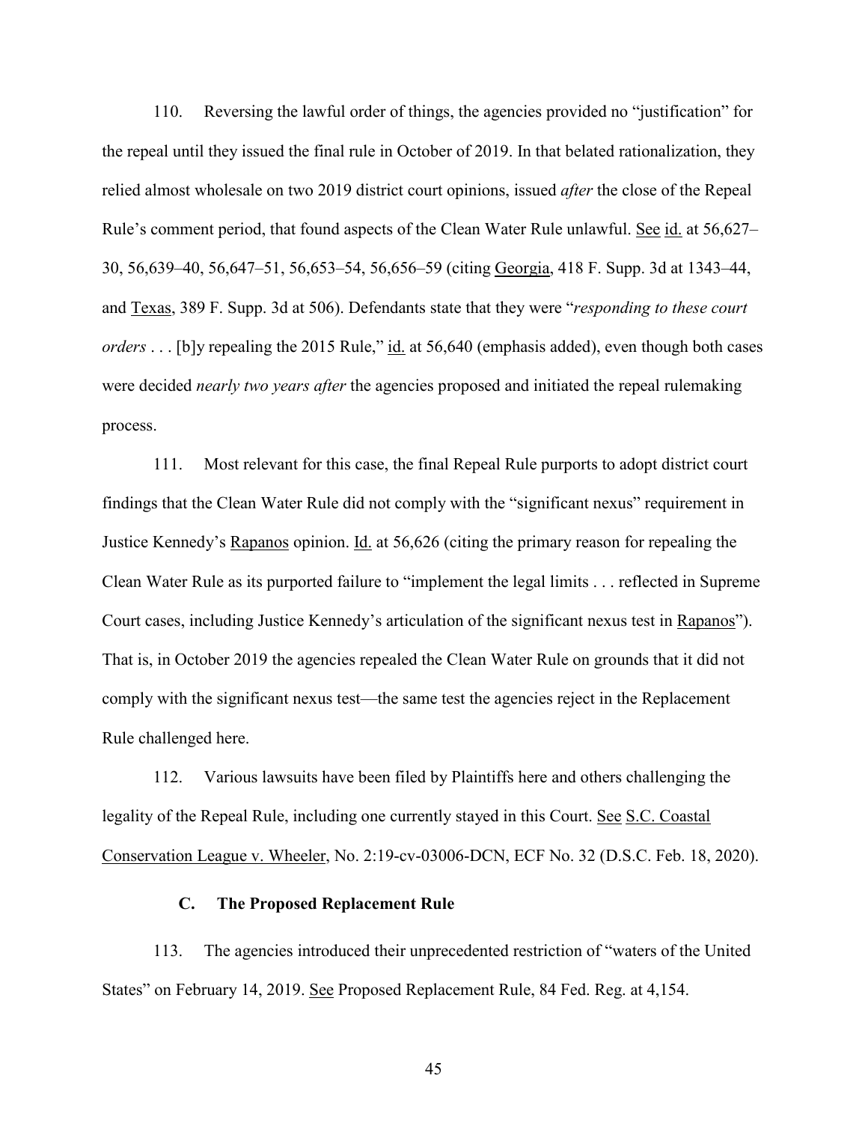110. Reversing the lawful order of things, the agencies provided no "justification" for the repeal until they issued the final rule in October of 2019. In that belated rationalization, they relied almost wholesale on two 2019 district court opinions, issued *after* the close of the Repeal Rule's comment period, that found aspects of the Clean Water Rule unlawful. See id. at 56,627– 30, 56,639–40, 56,647–51, 56,653–54, 56,656–59 (citing Georgia, 418 F. Supp. 3d at 1343–44, and Texas, 389 F. Supp. 3d at 506). Defendants state that they were "*responding to these court orders* . . . [b]y repealing the 2015 Rule," id. at 56,640 (emphasis added), even though both cases were decided *nearly two years after* the agencies proposed and initiated the repeal rulemaking process.

111. Most relevant for this case, the final Repeal Rule purports to adopt district court findings that the Clean Water Rule did not comply with the "significant nexus" requirement in Justice Kennedy's Rapanos opinion. Id. at 56,626 (citing the primary reason for repealing the Clean Water Rule as its purported failure to "implement the legal limits . . . reflected in Supreme Court cases, including Justice Kennedy's articulation of the significant nexus test in Rapanos"). That is, in October 2019 the agencies repealed the Clean Water Rule on grounds that it did not comply with the significant nexus test—the same test the agencies reject in the Replacement Rule challenged here.

112. Various lawsuits have been filed by Plaintiffs here and others challenging the legality of the Repeal Rule, including one currently stayed in this Court. See S.C. Coastal Conservation League v. Wheeler, No. 2:19-cv-03006-DCN, ECF No. 32 (D.S.C. Feb. 18, 2020).

### **C. The Proposed Replacement Rule**

113. The agencies introduced their unprecedented restriction of "waters of the United States" on February 14, 2019. See Proposed Replacement Rule, 84 Fed. Reg. at 4,154.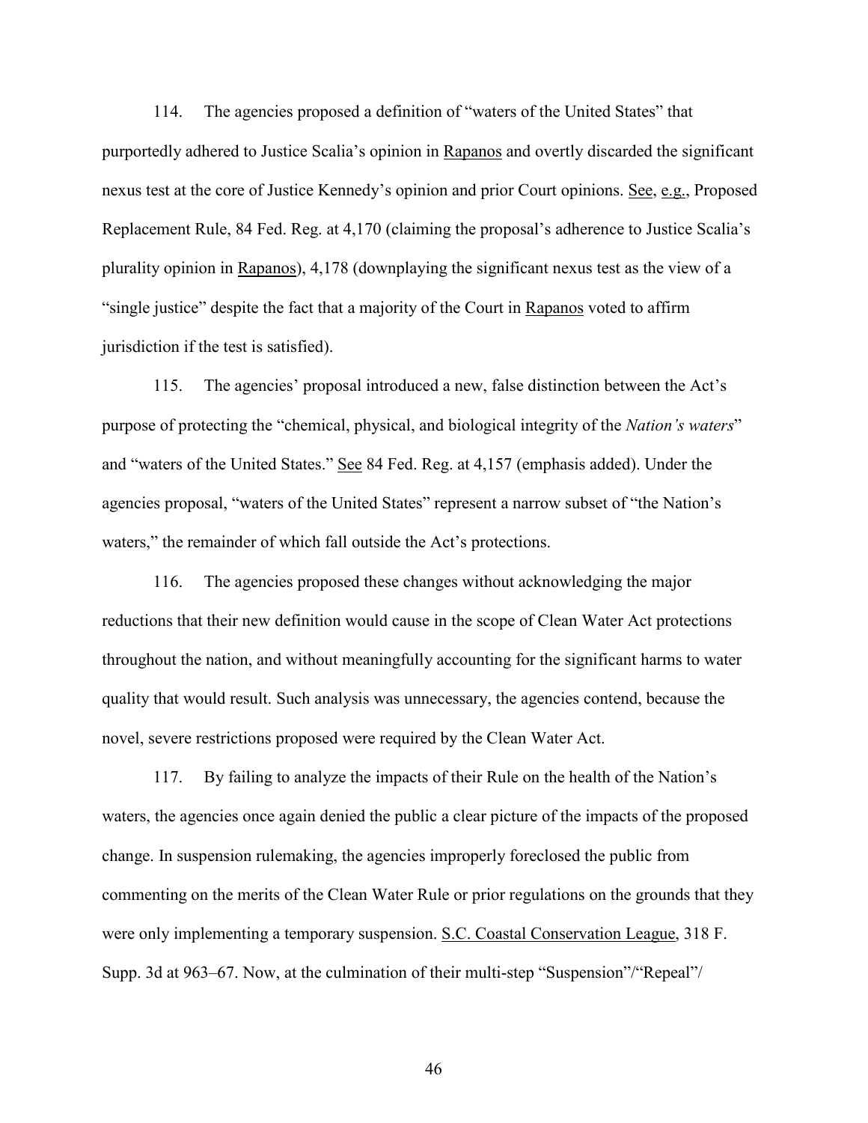114. The agencies proposed a definition of "waters of the United States" that purportedly adhered to Justice Scalia's opinion in Rapanos and overtly discarded the significant nexus test at the core of Justice Kennedy's opinion and prior Court opinions. See, e.g., Proposed Replacement Rule, 84 Fed. Reg. at 4,170 (claiming the proposal's adherence to Justice Scalia's plurality opinion in Rapanos), 4,178 (downplaying the significant nexus test as the view of a "single justice" despite the fact that a majority of the Court in Rapanos voted to affirm jurisdiction if the test is satisfied).

115. The agencies' proposal introduced a new, false distinction between the Act's purpose of protecting the "chemical, physical, and biological integrity of the *Nation's waters*" and "waters of the United States." See 84 Fed. Reg. at 4,157 (emphasis added). Under the agencies proposal, "waters of the United States" represent a narrow subset of "the Nation's waters," the remainder of which fall outside the Act's protections.

116. The agencies proposed these changes without acknowledging the major reductions that their new definition would cause in the scope of Clean Water Act protections throughout the nation, and without meaningfully accounting for the significant harms to water quality that would result. Such analysis was unnecessary, the agencies contend, because the novel, severe restrictions proposed were required by the Clean Water Act.

117. By failing to analyze the impacts of their Rule on the health of the Nation's waters, the agencies once again denied the public a clear picture of the impacts of the proposed change. In suspension rulemaking, the agencies improperly foreclosed the public from commenting on the merits of the Clean Water Rule or prior regulations on the grounds that they were only implementing a temporary suspension. S.C. Coastal Conservation League, 318 F. Supp. 3d at 963–67. Now, at the culmination of their multi-step "Suspension"/"Repeal"/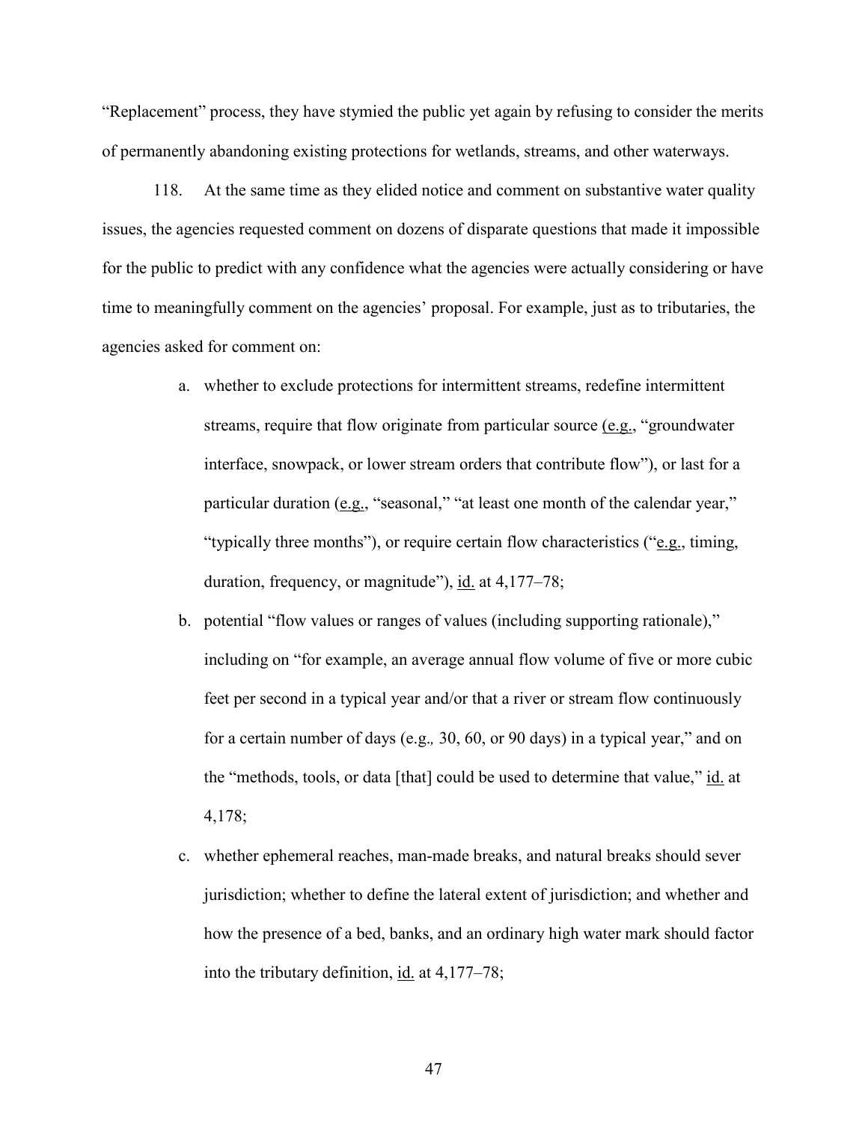"Replacement" process, they have stymied the public yet again by refusing to consider the merits of permanently abandoning existing protections for wetlands, streams, and other waterways.

118. At the same time as they elided notice and comment on substantive water quality issues, the agencies requested comment on dozens of disparate questions that made it impossible for the public to predict with any confidence what the agencies were actually considering or have time to meaningfully comment on the agencies' proposal. For example, just as to tributaries, the agencies asked for comment on:

- a. whether to exclude protections for intermittent streams, redefine intermittent streams, require that flow originate from particular source (e.g., "groundwater interface, snowpack, or lower stream orders that contribute flow"), or last for a particular duration (e.g., "seasonal," "at least one month of the calendar year," "typically three months"), or require certain flow characteristics ("e.g., timing, duration, frequency, or magnitude"), id. at 4,177–78;
- b. potential "flow values or ranges of values (including supporting rationale)," including on "for example, an average annual flow volume of five or more cubic feet per second in a typical year and/or that a river or stream flow continuously for a certain number of days (e.g.*,* 30, 60, or 90 days) in a typical year," and on the "methods, tools, or data [that] could be used to determine that value," id. at 4,178;
- c. whether ephemeral reaches, man-made breaks, and natural breaks should sever jurisdiction; whether to define the lateral extent of jurisdiction; and whether and how the presence of a bed, banks, and an ordinary high water mark should factor into the tributary definition, id. at 4,177–78;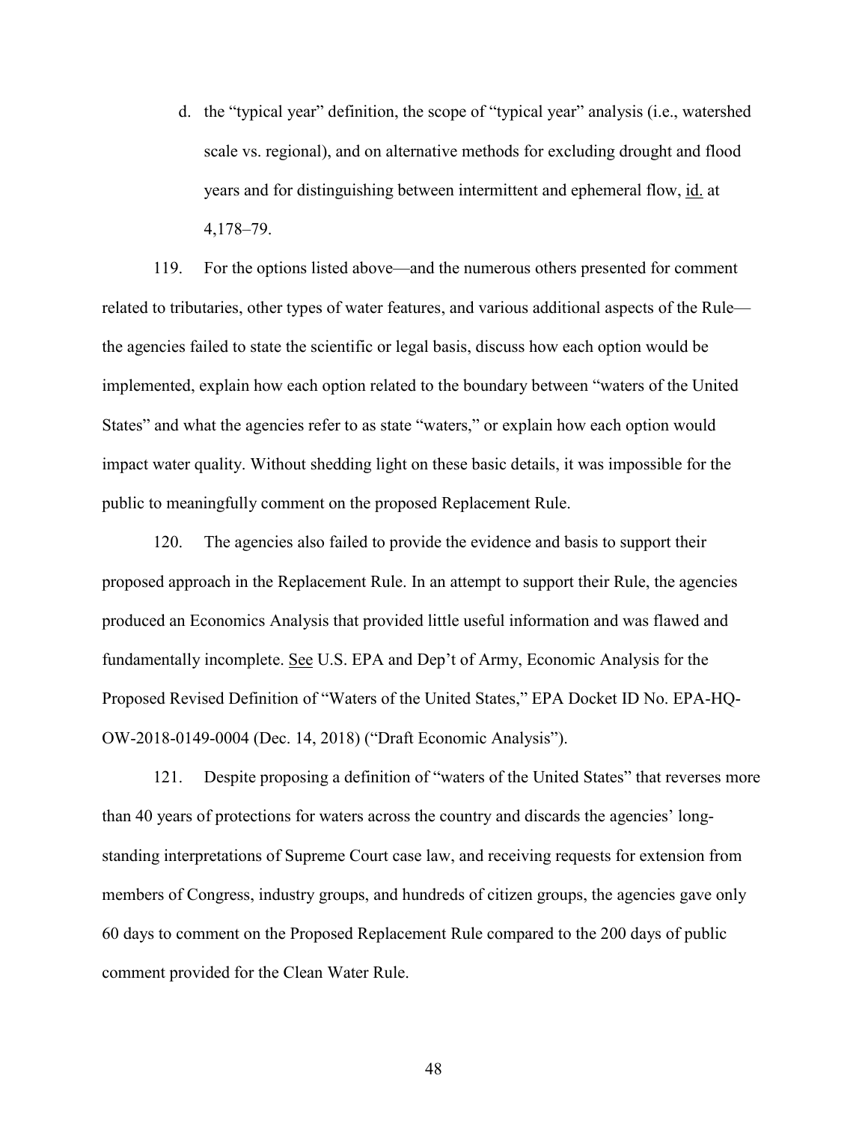d. the "typical year" definition, the scope of "typical year" analysis (i.e., watershed scale vs. regional), and on alternative methods for excluding drought and flood years and for distinguishing between intermittent and ephemeral flow, id. at 4,178–79.

119. For the options listed above—and the numerous others presented for comment related to tributaries, other types of water features, and various additional aspects of the Rule the agencies failed to state the scientific or legal basis, discuss how each option would be implemented, explain how each option related to the boundary between "waters of the United States" and what the agencies refer to as state "waters," or explain how each option would impact water quality. Without shedding light on these basic details, it was impossible for the public to meaningfully comment on the proposed Replacement Rule.

120. The agencies also failed to provide the evidence and basis to support their proposed approach in the Replacement Rule. In an attempt to support their Rule, the agencies produced an Economics Analysis that provided little useful information and was flawed and fundamentally incomplete. See U.S. EPA and Dep't of Army, Economic Analysis for the Proposed Revised Definition of "Waters of the United States," EPA Docket ID No. EPA-HQ-OW-2018-0149-0004 (Dec. 14, 2018) ("Draft Economic Analysis").

121. Despite proposing a definition of "waters of the United States" that reverses more than 40 years of protections for waters across the country and discards the agencies' longstanding interpretations of Supreme Court case law, and receiving requests for extension from members of Congress, industry groups, and hundreds of citizen groups, the agencies gave only 60 days to comment on the Proposed Replacement Rule compared to the 200 days of public comment provided for the Clean Water Rule.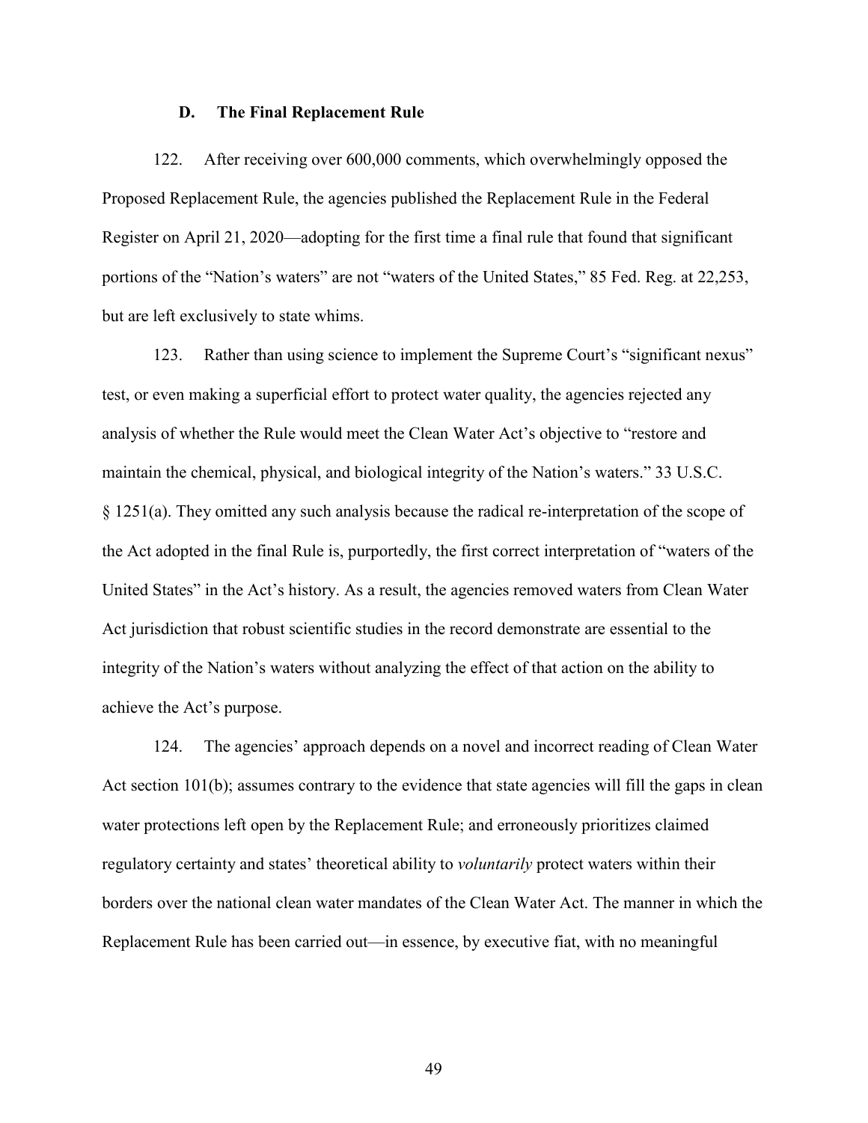### **D. The Final Replacement Rule**

122. After receiving over 600,000 comments, which overwhelmingly opposed the Proposed Replacement Rule, the agencies published the Replacement Rule in the Federal Register on April 21, 2020—adopting for the first time a final rule that found that significant portions of the "Nation's waters" are not "waters of the United States," 85 Fed. Reg. at 22,253, but are left exclusively to state whims.

123. Rather than using science to implement the Supreme Court's "significant nexus" test, or even making a superficial effort to protect water quality, the agencies rejected any analysis of whether the Rule would meet the Clean Water Act's objective to "restore and maintain the chemical, physical, and biological integrity of the Nation's waters." 33 U.S.C. § 1251(a). They omitted any such analysis because the radical re-interpretation of the scope of the Act adopted in the final Rule is, purportedly, the first correct interpretation of "waters of the United States" in the Act's history. As a result, the agencies removed waters from Clean Water Act jurisdiction that robust scientific studies in the record demonstrate are essential to the integrity of the Nation's waters without analyzing the effect of that action on the ability to achieve the Act's purpose.

124. The agencies' approach depends on a novel and incorrect reading of Clean Water Act section 101(b); assumes contrary to the evidence that state agencies will fill the gaps in clean water protections left open by the Replacement Rule; and erroneously prioritizes claimed regulatory certainty and states' theoretical ability to *voluntarily* protect waters within their borders over the national clean water mandates of the Clean Water Act. The manner in which the Replacement Rule has been carried out—in essence, by executive fiat, with no meaningful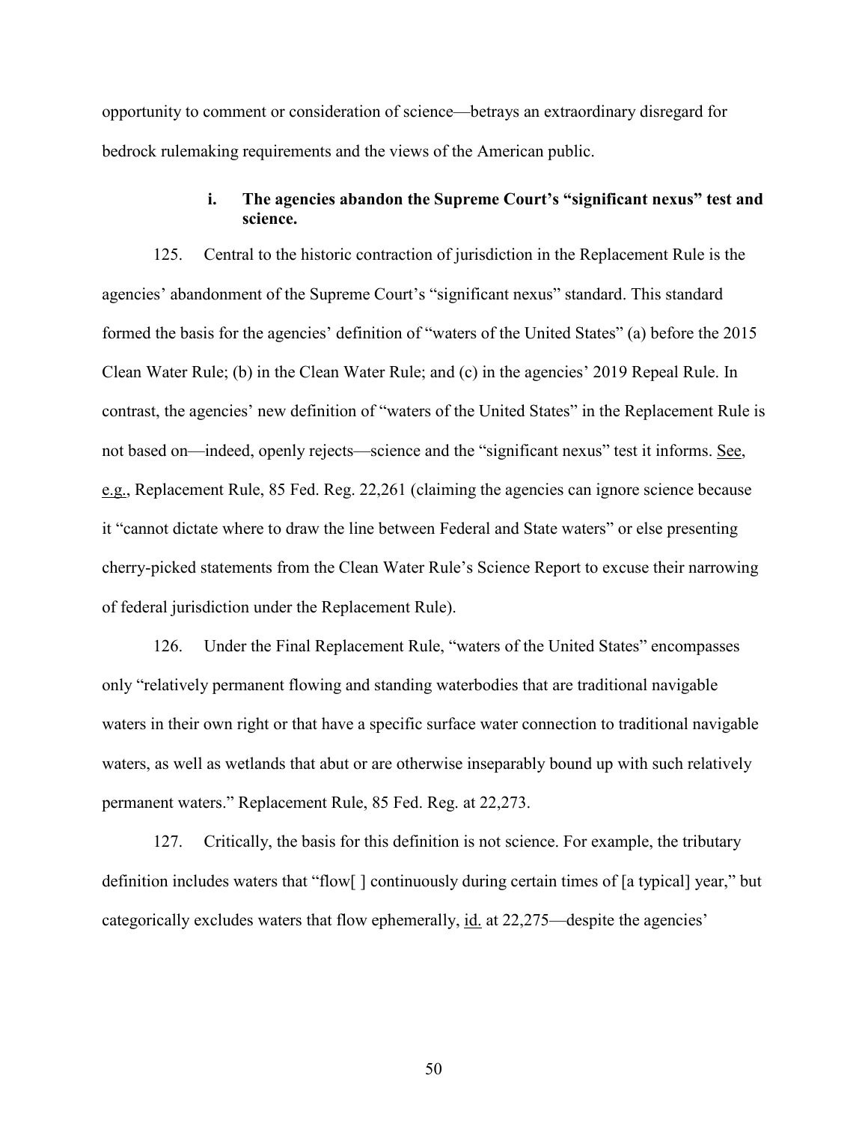opportunity to comment or consideration of science—betrays an extraordinary disregard for bedrock rulemaking requirements and the views of the American public.

# **i. The agencies abandon the Supreme Court's "significant nexus" test and science.**

125. Central to the historic contraction of jurisdiction in the Replacement Rule is the agencies' abandonment of the Supreme Court's "significant nexus" standard. This standard formed the basis for the agencies' definition of "waters of the United States" (a) before the 2015 Clean Water Rule; (b) in the Clean Water Rule; and (c) in the agencies' 2019 Repeal Rule. In contrast, the agencies' new definition of "waters of the United States" in the Replacement Rule is not based on—indeed, openly rejects—science and the "significant nexus" test it informs. See, e.g., Replacement Rule, 85 Fed. Reg. 22,261 (claiming the agencies can ignore science because it "cannot dictate where to draw the line between Federal and State waters" or else presenting cherry-picked statements from the Clean Water Rule's Science Report to excuse their narrowing of federal jurisdiction under the Replacement Rule).

126. Under the Final Replacement Rule, "waters of the United States" encompasses only "relatively permanent flowing and standing waterbodies that are traditional navigable waters in their own right or that have a specific surface water connection to traditional navigable waters, as well as wetlands that abut or are otherwise inseparably bound up with such relatively permanent waters." Replacement Rule, 85 Fed. Reg. at 22,273.

127. Critically, the basis for this definition is not science. For example, the tributary definition includes waters that "flow[ ] continuously during certain times of [a typical] year," but categorically excludes waters that flow ephemerally, id. at 22,275—despite the agencies'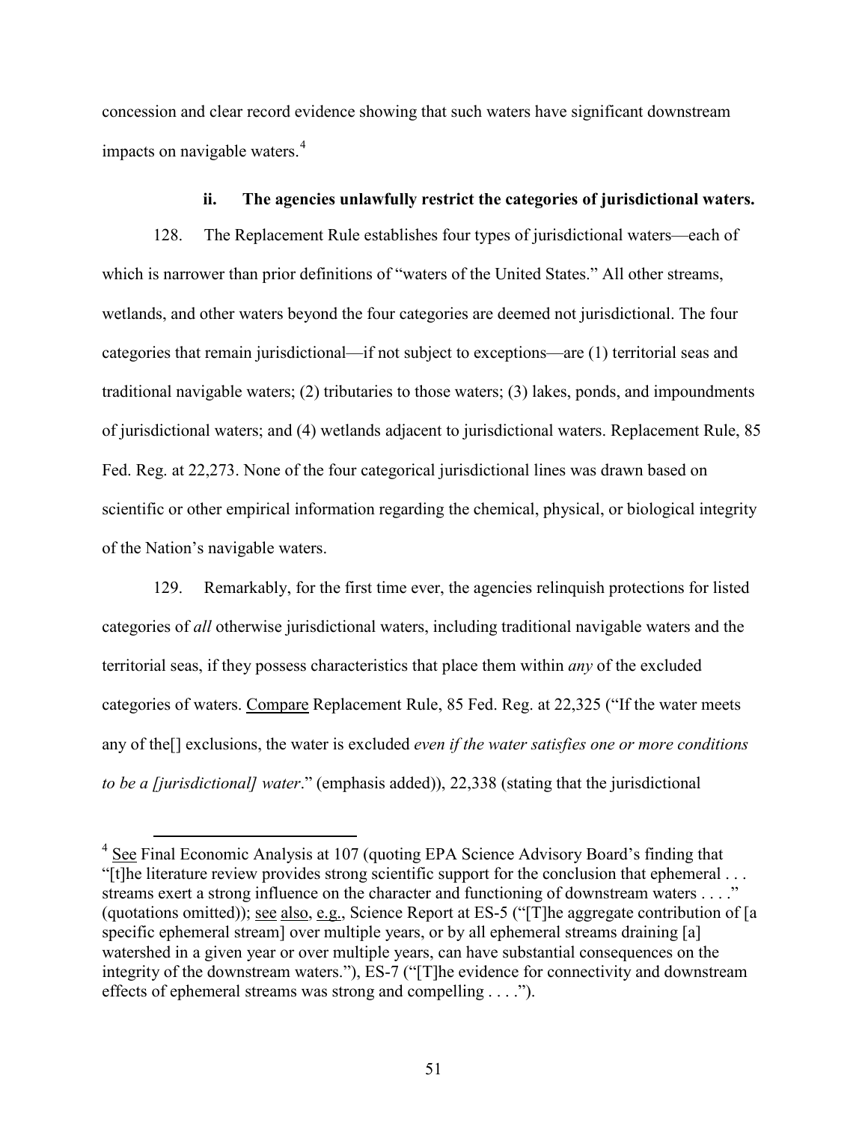concession and clear record evidence showing that such waters have significant downstream impacts on navigable waters. [4](#page-50-0)

### **ii. The agencies unlawfully restrict the categories of jurisdictional waters.**

128. The Replacement Rule establishes four types of jurisdictional waters—each of which is narrower than prior definitions of "waters of the United States." All other streams, wetlands, and other waters beyond the four categories are deemed not jurisdictional. The four categories that remain jurisdictional—if not subject to exceptions—are (1) territorial seas and traditional navigable waters; (2) tributaries to those waters; (3) lakes, ponds, and impoundments of jurisdictional waters; and (4) wetlands adjacent to jurisdictional waters. Replacement Rule, 85 Fed. Reg. at 22,273. None of the four categorical jurisdictional lines was drawn based on scientific or other empirical information regarding the chemical, physical, or biological integrity of the Nation's navigable waters.

129. Remarkably, for the first time ever, the agencies relinquish protections for listed categories of *all* otherwise jurisdictional waters, including traditional navigable waters and the territorial seas, if they possess characteristics that place them within *any* of the excluded categories of waters. Compare Replacement Rule, 85 Fed. Reg. at 22,325 ("If the water meets any of the[] exclusions, the water is excluded *even if the water satisfies one or more conditions to be a [jurisdictional] water*." (emphasis added)), 22,338 (stating that the jurisdictional

<span id="page-50-0"></span> <sup>4</sup> See Final Economic Analysis at 107 (quoting EPA Science Advisory Board's finding that "[t]he literature review provides strong scientific support for the conclusion that ephemeral . . . streams exert a strong influence on the character and functioning of downstream waters . . . ." (quotations omitted)); see also, e.g., Science Report at ES-5 ("[T]he aggregate contribution of [a specific ephemeral stream] over multiple years, or by all ephemeral streams draining [a] watershed in a given year or over multiple years, can have substantial consequences on the integrity of the downstream waters."), ES-7 ("[T]he evidence for connectivity and downstream effects of ephemeral streams was strong and compelling . . . .").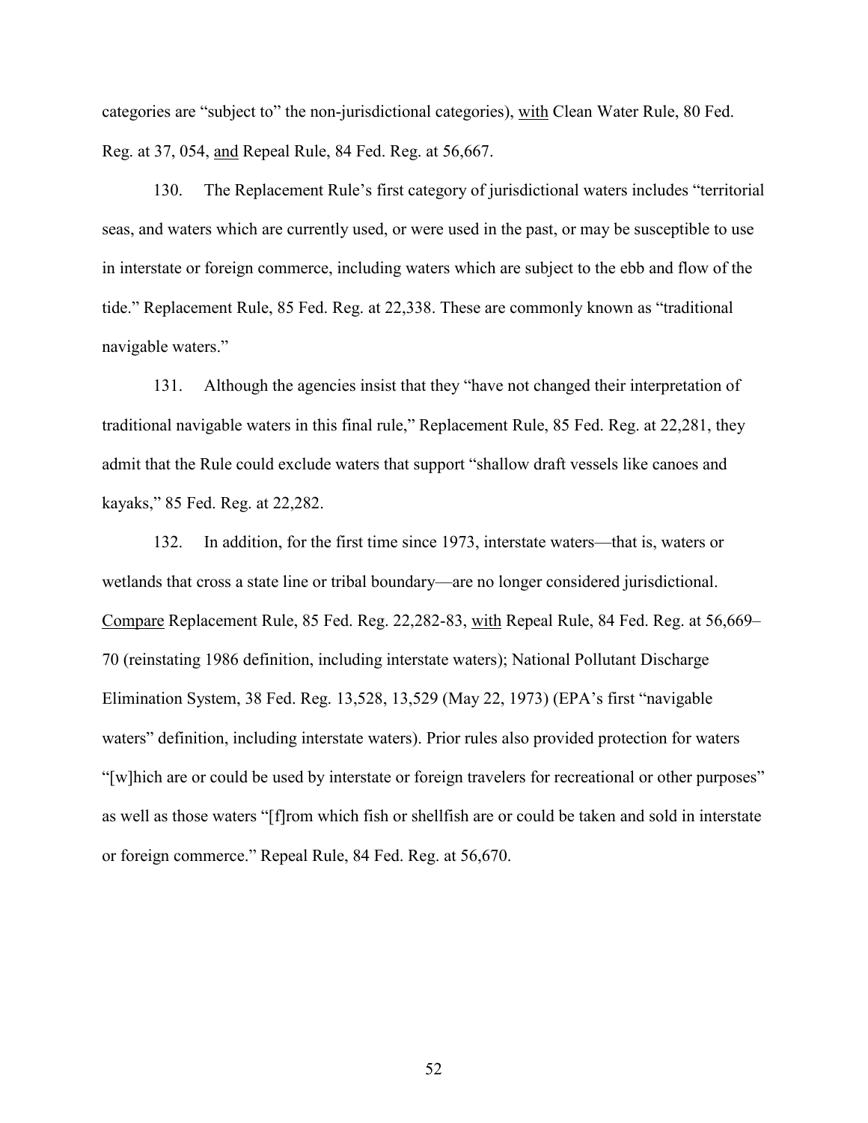categories are "subject to" the non-jurisdictional categories), with Clean Water Rule, 80 Fed. Reg. at 37, 054, and Repeal Rule, 84 Fed. Reg. at 56,667.

130. The Replacement Rule's first category of jurisdictional waters includes "territorial seas, and waters which are currently used, or were used in the past, or may be susceptible to use in interstate or foreign commerce, including waters which are subject to the ebb and flow of the tide." Replacement Rule, 85 Fed. Reg. at 22,338. These are commonly known as "traditional navigable waters."

131. Although the agencies insist that they "have not changed their interpretation of traditional navigable waters in this final rule," Replacement Rule, 85 Fed. Reg. at 22,281, they admit that the Rule could exclude waters that support "shallow draft vessels like canoes and kayaks," 85 Fed. Reg. at 22,282.

132. In addition, for the first time since 1973, interstate waters—that is, waters or wetlands that cross a state line or tribal boundary—are no longer considered jurisdictional. Compare Replacement Rule, 85 Fed. Reg. 22,282-83, with Repeal Rule, 84 Fed. Reg. at 56,669– 70 (reinstating 1986 definition, including interstate waters); National Pollutant Discharge Elimination System, 38 Fed. Reg. 13,528, 13,529 (May 22, 1973) (EPA's first "navigable waters" definition, including interstate waters). Prior rules also provided protection for waters "[w]hich are or could be used by interstate or foreign travelers for recreational or other purposes" as well as those waters "[f]rom which fish or shellfish are or could be taken and sold in interstate or foreign commerce." Repeal Rule, 84 Fed. Reg. at 56,670.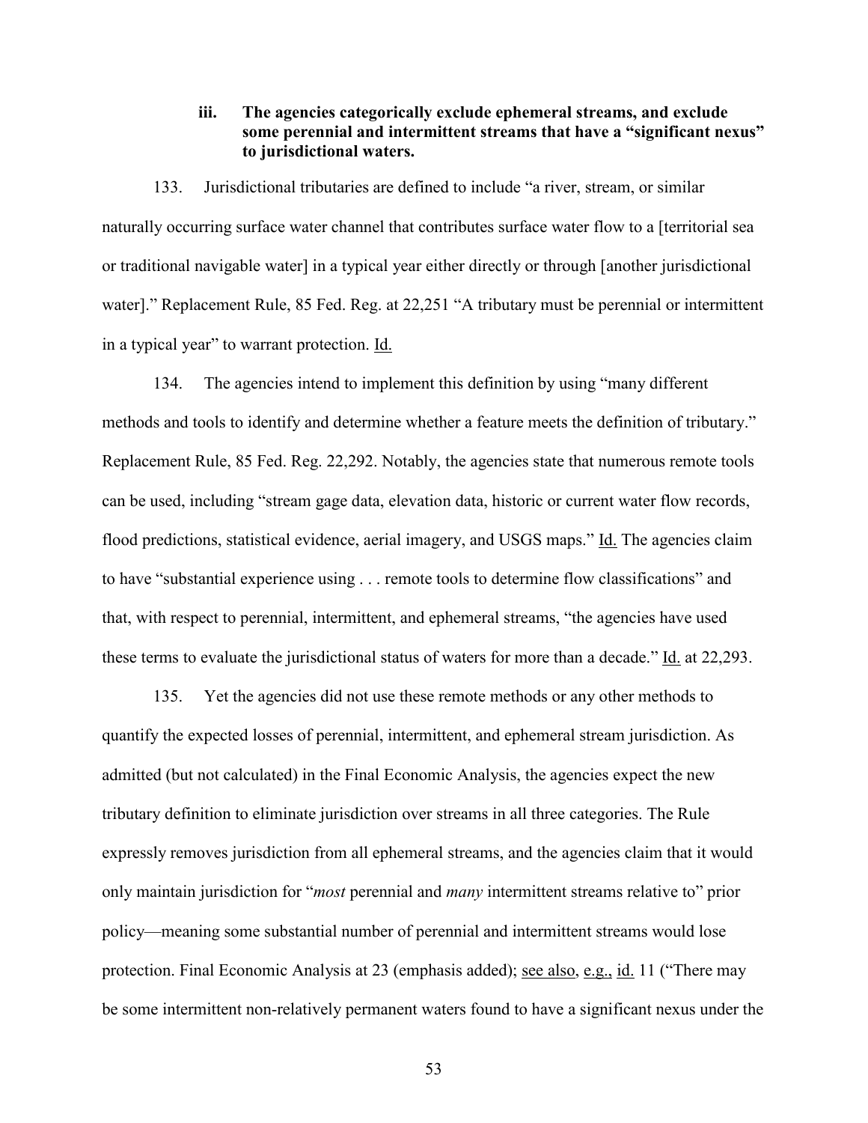# **iii. The agencies categorically exclude ephemeral streams, and exclude some perennial and intermittent streams that have a "significant nexus" to jurisdictional waters.**

133. Jurisdictional tributaries are defined to include "a river, stream, or similar naturally occurring surface water channel that contributes surface water flow to a [territorial sea or traditional navigable water] in a typical year either directly or through [another jurisdictional water]." Replacement Rule, 85 Fed. Reg. at 22,251 "A tributary must be perennial or intermittent in a typical year" to warrant protection. Id.

134. The agencies intend to implement this definition by using "many different methods and tools to identify and determine whether a feature meets the definition of tributary." Replacement Rule, 85 Fed. Reg. 22,292. Notably, the agencies state that numerous remote tools can be used, including "stream gage data, elevation data, historic or current water flow records, flood predictions, statistical evidence, aerial imagery, and USGS maps." Id. The agencies claim to have "substantial experience using . . . remote tools to determine flow classifications" and that, with respect to perennial, intermittent, and ephemeral streams, "the agencies have used these terms to evaluate the jurisdictional status of waters for more than a decade." Id. at 22,293.

135. Yet the agencies did not use these remote methods or any other methods to quantify the expected losses of perennial, intermittent, and ephemeral stream jurisdiction. As admitted (but not calculated) in the Final Economic Analysis, the agencies expect the new tributary definition to eliminate jurisdiction over streams in all three categories. The Rule expressly removes jurisdiction from all ephemeral streams, and the agencies claim that it would only maintain jurisdiction for "*most* perennial and *many* intermittent streams relative to" prior policy—meaning some substantial number of perennial and intermittent streams would lose protection. Final Economic Analysis at 23 (emphasis added); see also, e.g., id. 11 ("There may be some intermittent non-relatively permanent waters found to have a significant nexus under the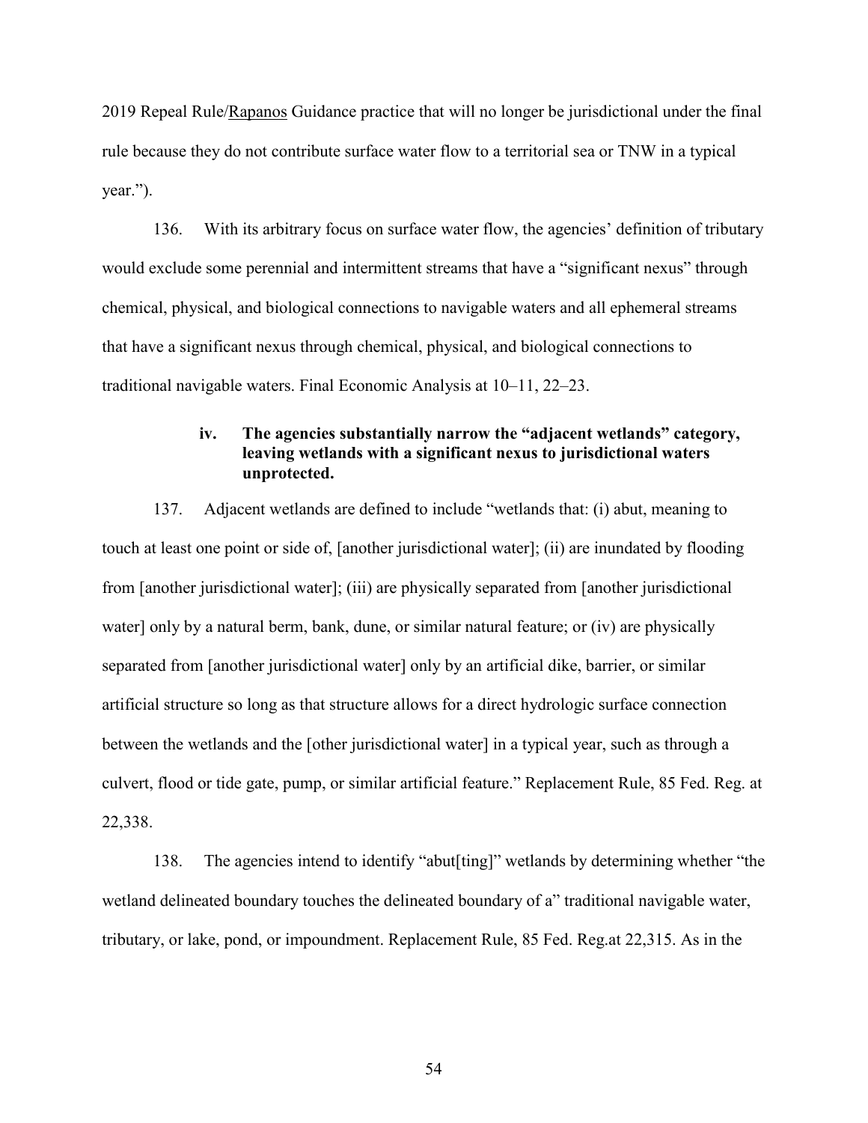2019 Repeal Rule/Rapanos Guidance practice that will no longer be jurisdictional under the final rule because they do not contribute surface water flow to a territorial sea or TNW in a typical year.").

136. With its arbitrary focus on surface water flow, the agencies' definition of tributary would exclude some perennial and intermittent streams that have a "significant nexus" through chemical, physical, and biological connections to navigable waters and all ephemeral streams that have a significant nexus through chemical, physical, and biological connections to traditional navigable waters. Final Economic Analysis at 10–11, 22–23.

# **iv. The agencies substantially narrow the "adjacent wetlands" category, leaving wetlands with a significant nexus to jurisdictional waters unprotected.**

137. Adjacent wetlands are defined to include "wetlands that: (i) abut, meaning to touch at least one point or side of, [another jurisdictional water]; (ii) are inundated by flooding from [another jurisdictional water]; (iii) are physically separated from [another jurisdictional water] only by a natural berm, bank, dune, or similar natural feature; or (iv) are physically separated from [another jurisdictional water] only by an artificial dike, barrier, or similar artificial structure so long as that structure allows for a direct hydrologic surface connection between the wetlands and the [other jurisdictional water] in a typical year, such as through a culvert, flood or tide gate, pump, or similar artificial feature." Replacement Rule, 85 Fed. Reg. at 22,338.

138. The agencies intend to identify "abut[ting]" wetlands by determining whether "the wetland delineated boundary touches the delineated boundary of a" traditional navigable water, tributary, or lake, pond, or impoundment. Replacement Rule, 85 Fed. Reg.at 22,315. As in the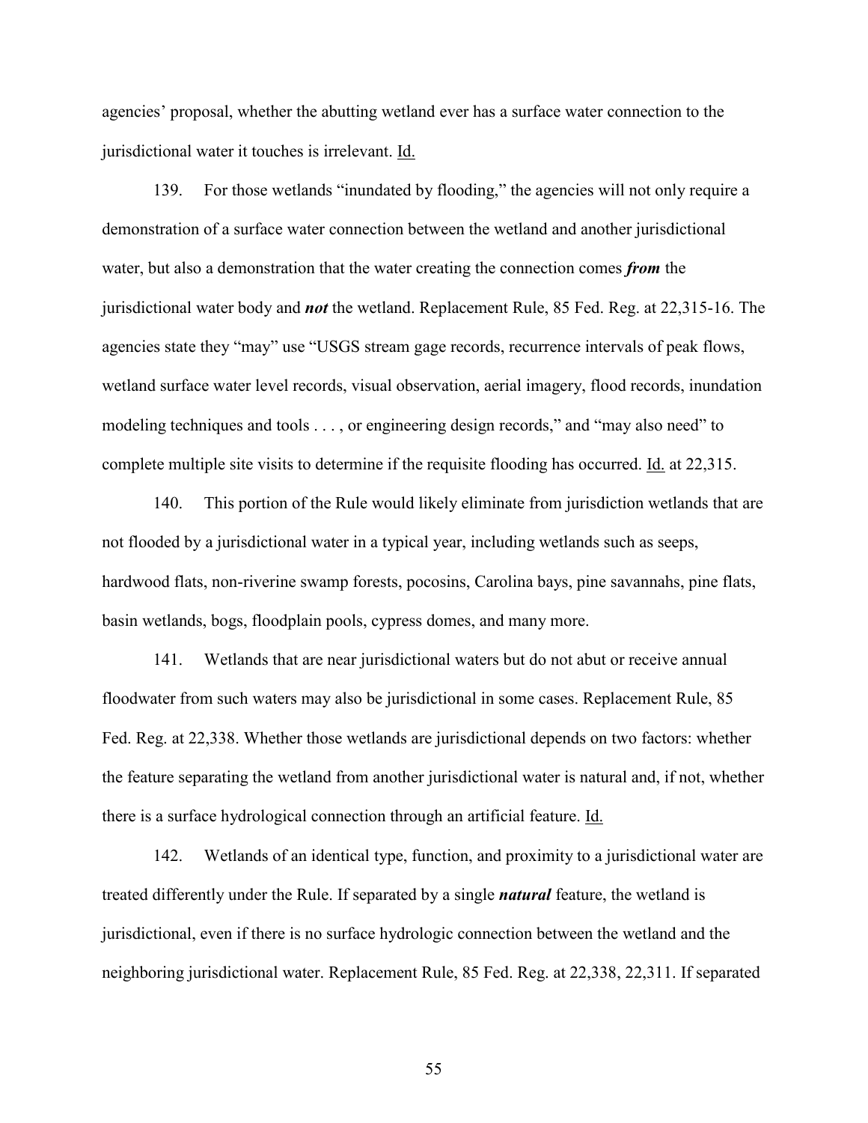agencies' proposal, whether the abutting wetland ever has a surface water connection to the jurisdictional water it touches is irrelevant. Id.

139. For those wetlands "inundated by flooding," the agencies will not only require a demonstration of a surface water connection between the wetland and another jurisdictional water, but also a demonstration that the water creating the connection comes *from* the jurisdictional water body and *not* the wetland. Replacement Rule, 85 Fed. Reg. at 22,315-16. The agencies state they "may" use "USGS stream gage records, recurrence intervals of peak flows, wetland surface water level records, visual observation, aerial imagery, flood records, inundation modeling techniques and tools . . . , or engineering design records," and "may also need" to complete multiple site visits to determine if the requisite flooding has occurred. Id. at 22,315.

140. This portion of the Rule would likely eliminate from jurisdiction wetlands that are not flooded by a jurisdictional water in a typical year, including wetlands such as seeps, hardwood flats, non-riverine swamp forests, pocosins, Carolina bays, pine savannahs, pine flats, basin wetlands, bogs, floodplain pools, cypress domes, and many more.

141. Wetlands that are near jurisdictional waters but do not abut or receive annual floodwater from such waters may also be jurisdictional in some cases. Replacement Rule, 85 Fed. Reg. at 22,338. Whether those wetlands are jurisdictional depends on two factors: whether the feature separating the wetland from another jurisdictional water is natural and, if not, whether there is a surface hydrological connection through an artificial feature. Id.

142. Wetlands of an identical type, function, and proximity to a jurisdictional water are treated differently under the Rule. If separated by a single *natural* feature, the wetland is jurisdictional, even if there is no surface hydrologic connection between the wetland and the neighboring jurisdictional water. Replacement Rule, 85 Fed. Reg. at 22,338, 22,311. If separated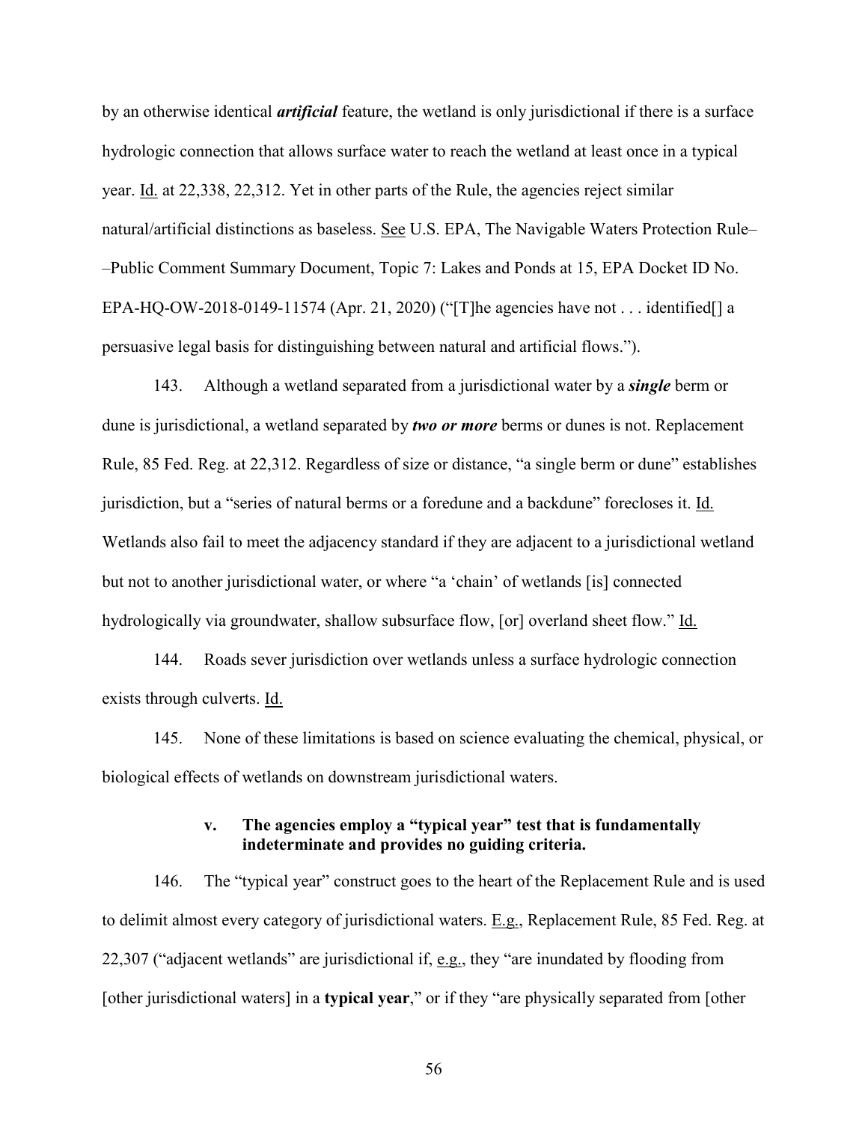by an otherwise identical *artificial* feature, the wetland is only jurisdictional if there is a surface hydrologic connection that allows surface water to reach the wetland at least once in a typical year. Id. at 22,338, 22,312. Yet in other parts of the Rule, the agencies reject similar natural/artificial distinctions as baseless. See U.S. EPA, The Navigable Waters Protection Rule– –Public Comment Summary Document, Topic 7: Lakes and Ponds at 15, EPA Docket ID No. EPA-HQ-OW-2018-0149-11574 (Apr. 21, 2020) ("[T]he agencies have not . . . identified[] a persuasive legal basis for distinguishing between natural and artificial flows.").

143. Although a wetland separated from a jurisdictional water by a *single* berm or dune is jurisdictional, a wetland separated by *two or more* berms or dunes is not. Replacement Rule, 85 Fed. Reg. at 22,312. Regardless of size or distance, "a single berm or dune" establishes jurisdiction, but a "series of natural berms or a foredune and a backdune" forecloses it. Id. Wetlands also fail to meet the adjacency standard if they are adjacent to a jurisdictional wetland but not to another jurisdictional water, or where "a 'chain' of wetlands [is] connected hydrologically via groundwater, shallow subsurface flow, [or] overland sheet flow." Id.

144. Roads sever jurisdiction over wetlands unless a surface hydrologic connection exists through culverts. Id.

145. None of these limitations is based on science evaluating the chemical, physical, or biological effects of wetlands on downstream jurisdictional waters.

# **v. The agencies employ a "typical year" test that is fundamentally indeterminate and provides no guiding criteria.**

146. The "typical year" construct goes to the heart of the Replacement Rule and is used to delimit almost every category of jurisdictional waters. E.g., Replacement Rule, 85 Fed. Reg. at 22,307 ("adjacent wetlands" are jurisdictional if, e.g., they "are inundated by flooding from [other jurisdictional waters] in a **typical year**," or if they "are physically separated from [other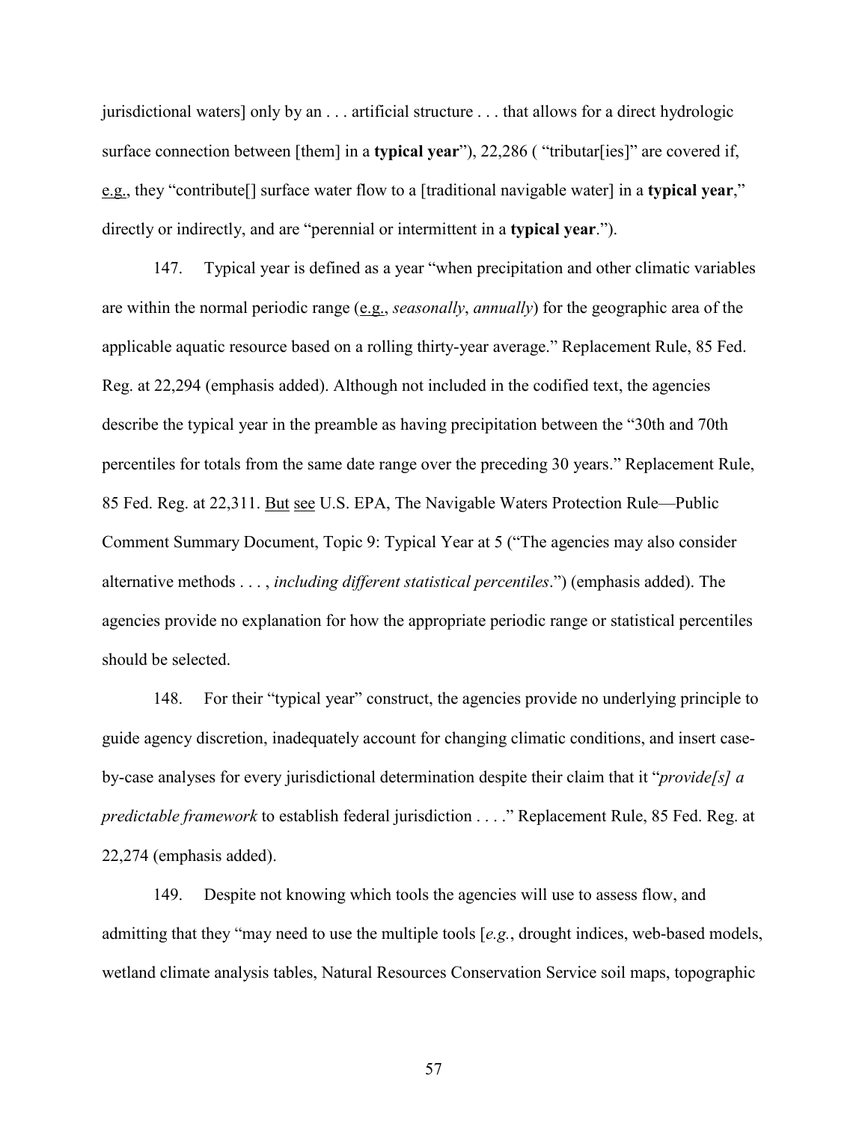jurisdictional waters] only by an . . . artificial structure . . . that allows for a direct hydrologic surface connection between [them] in a **typical year**"), 22,286 ( "tributar[ies]" are covered if, e.g., they "contribute[] surface water flow to a [traditional navigable water] in a **typical year**," directly or indirectly, and are "perennial or intermittent in a **typical year**.").

147. Typical year is defined as a year "when precipitation and other climatic variables are within the normal periodic range (e.g., *seasonally*, *annually*) for the geographic area of the applicable aquatic resource based on a rolling thirty-year average." Replacement Rule, 85 Fed. Reg. at 22,294 (emphasis added). Although not included in the codified text, the agencies describe the typical year in the preamble as having precipitation between the "30th and 70th percentiles for totals from the same date range over the preceding 30 years." Replacement Rule, 85 Fed. Reg. at 22,311. But see U.S. EPA, The Navigable Waters Protection Rule––Public Comment Summary Document, Topic 9: Typical Year at 5 ("The agencies may also consider alternative methods . . . , *including different statistical percentiles*.") (emphasis added). The agencies provide no explanation for how the appropriate periodic range or statistical percentiles should be selected.

148. For their "typical year" construct, the agencies provide no underlying principle to guide agency discretion, inadequately account for changing climatic conditions, and insert caseby-case analyses for every jurisdictional determination despite their claim that it "*provide[s] a predictable framework* to establish federal jurisdiction . . . ." Replacement Rule, 85 Fed. Reg. at 22,274 (emphasis added).

149. Despite not knowing which tools the agencies will use to assess flow, and admitting that they "may need to use the multiple tools [*e.g.*, drought indices, web-based models, wetland climate analysis tables, Natural Resources Conservation Service soil maps, topographic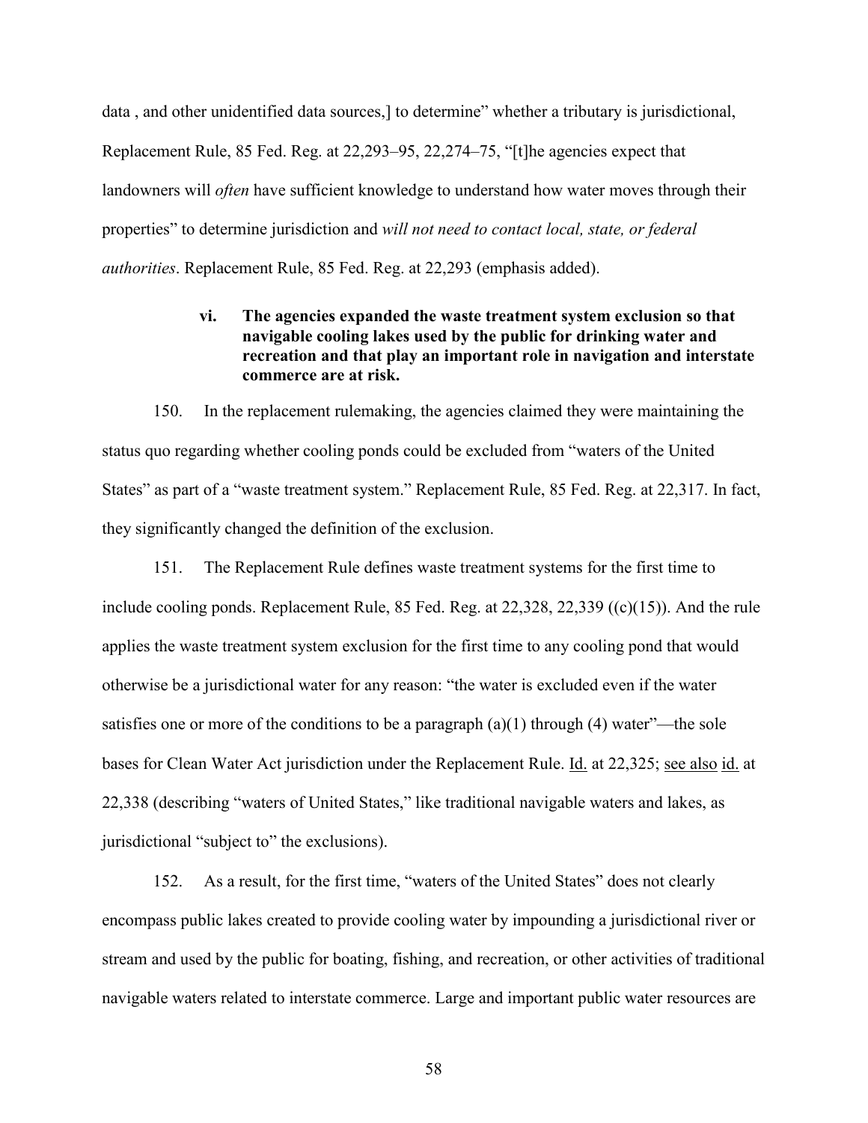data , and other unidentified data sources,] to determine" whether a tributary is jurisdictional, Replacement Rule, 85 Fed. Reg. at 22,293–95, 22,274–75, "[t]he agencies expect that landowners will *often* have sufficient knowledge to understand how water moves through their properties" to determine jurisdiction and *will not need to contact local, state, or federal authorities*. Replacement Rule, 85 Fed. Reg. at 22,293 (emphasis added).

# **vi. The agencies expanded the waste treatment system exclusion so that navigable cooling lakes used by the public for drinking water and recreation and that play an important role in navigation and interstate commerce are at risk.**

150. In the replacement rulemaking, the agencies claimed they were maintaining the status quo regarding whether cooling ponds could be excluded from "waters of the United States" as part of a "waste treatment system." Replacement Rule, 85 Fed. Reg. at 22,317. In fact, they significantly changed the definition of the exclusion.

151. The Replacement Rule defines waste treatment systems for the first time to include cooling ponds. Replacement Rule, 85 Fed. Reg. at 22,328, 22,339 ((c)(15)). And the rule applies the waste treatment system exclusion for the first time to any cooling pond that would otherwise be a jurisdictional water for any reason: "the water is excluded even if the water satisfies one or more of the conditions to be a paragraph  $(a)(1)$  through  $(4)$  water"—the sole bases for Clean Water Act jurisdiction under the Replacement Rule. Id. at 22,325; see also id. at 22,338 (describing "waters of United States," like traditional navigable waters and lakes, as jurisdictional "subject to" the exclusions).

152. As a result, for the first time, "waters of the United States" does not clearly encompass public lakes created to provide cooling water by impounding a jurisdictional river or stream and used by the public for boating, fishing, and recreation, or other activities of traditional navigable waters related to interstate commerce. Large and important public water resources are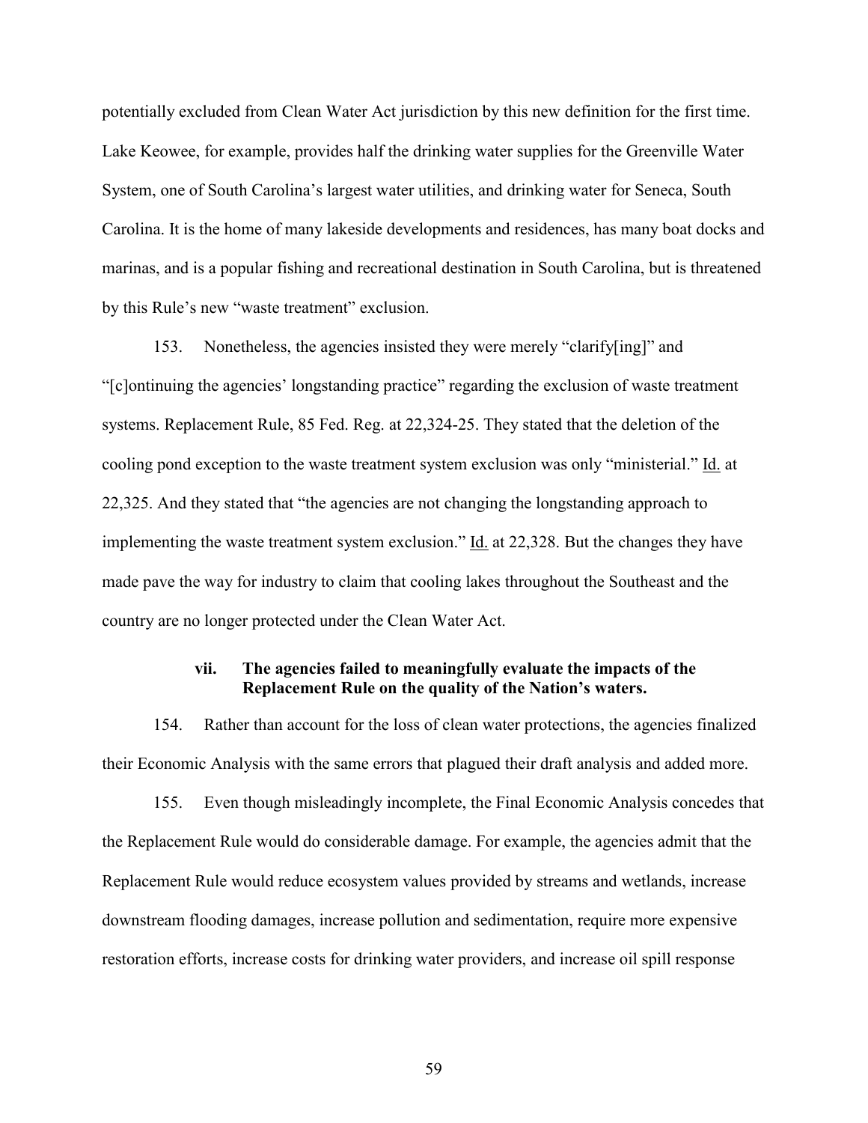potentially excluded from Clean Water Act jurisdiction by this new definition for the first time. Lake Keowee, for example, provides half the drinking water supplies for the Greenville Water System, one of South Carolina's largest water utilities, and drinking water for Seneca, South Carolina. It is the home of many lakeside developments and residences, has many boat docks and marinas, and is a popular fishing and recreational destination in South Carolina, but is threatened by this Rule's new "waste treatment" exclusion.

153. Nonetheless, the agencies insisted they were merely "clarify[ing]" and "[c]ontinuing the agencies' longstanding practice" regarding the exclusion of waste treatment systems. Replacement Rule, 85 Fed. Reg. at 22,324-25. They stated that the deletion of the cooling pond exception to the waste treatment system exclusion was only "ministerial." Id. at 22,325. And they stated that "the agencies are not changing the longstanding approach to implementing the waste treatment system exclusion." Id. at 22,328. But the changes they have made pave the way for industry to claim that cooling lakes throughout the Southeast and the country are no longer protected under the Clean Water Act.

### **vii. The agencies failed to meaningfully evaluate the impacts of the Replacement Rule on the quality of the Nation's waters.**

154. Rather than account for the loss of clean water protections, the agencies finalized their Economic Analysis with the same errors that plagued their draft analysis and added more.

155. Even though misleadingly incomplete, the Final Economic Analysis concedes that the Replacement Rule would do considerable damage. For example, the agencies admit that the Replacement Rule would reduce ecosystem values provided by streams and wetlands, increase downstream flooding damages, increase pollution and sedimentation, require more expensive restoration efforts, increase costs for drinking water providers, and increase oil spill response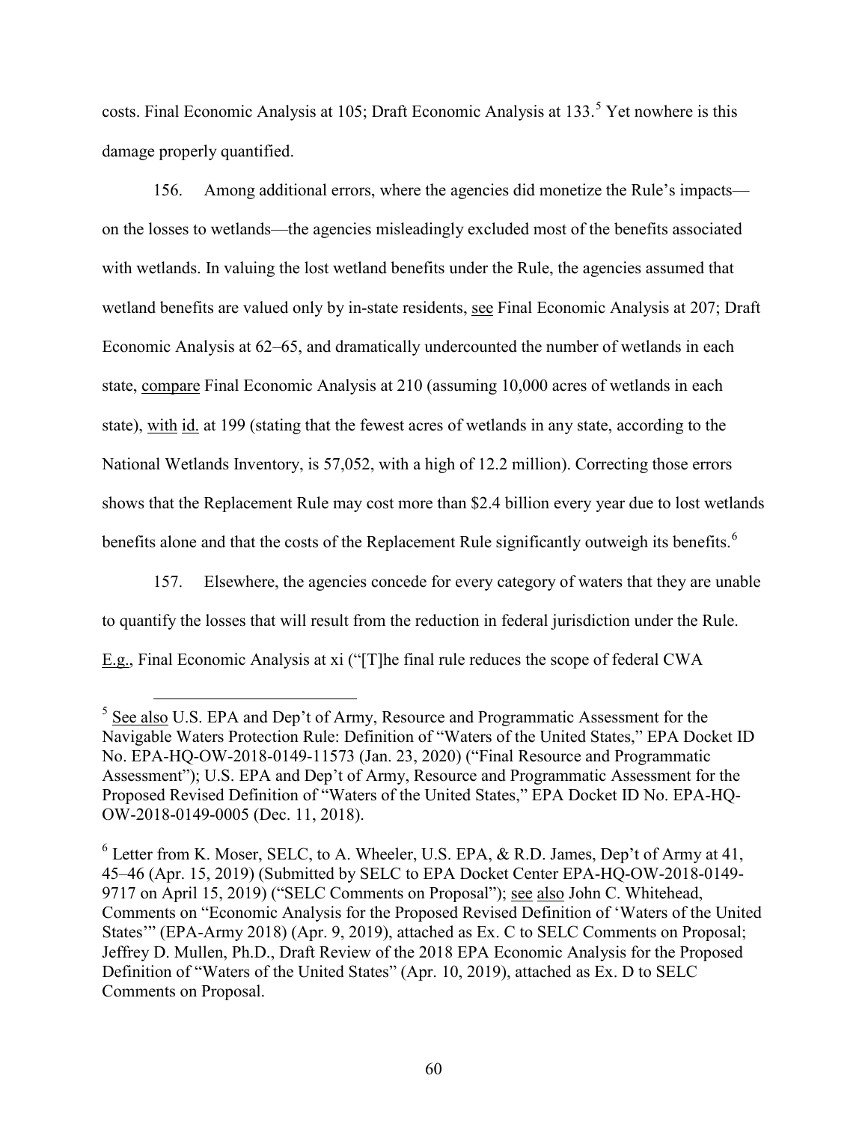costs. Final Economic Analysis at 10[5](#page-59-0); Draft Economic Analysis at 133.<sup>5</sup> Yet nowhere is this damage properly quantified.

156. Among additional errors, where the agencies did monetize the Rule's impacts on the losses to wetlands—the agencies misleadingly excluded most of the benefits associated with wetlands. In valuing the lost wetland benefits under the Rule, the agencies assumed that wetland benefits are valued only by in-state residents, see Final Economic Analysis at 207; Draft Economic Analysis at 62–65, and dramatically undercounted the number of wetlands in each state, compare Final Economic Analysis at 210 (assuming 10,000 acres of wetlands in each state), with id. at 199 (stating that the fewest acres of wetlands in any state, according to the National Wetlands Inventory, is 57,052, with a high of 12.2 million). Correcting those errors shows that the Replacement Rule may cost more than \$2.4 billion every year due to lost wetlands benefits alone and that the costs of the Replacement Rule significantly outweigh its benefits.<sup>[6](#page-59-1)</sup>

157. Elsewhere, the agencies concede for every category of waters that they are unable to quantify the losses that will result from the reduction in federal jurisdiction under the Rule. E.g., Final Economic Analysis at xi ("[T]he final rule reduces the scope of federal CWA

<span id="page-59-0"></span><sup>&</sup>lt;sup>5</sup> See also U.S. EPA and Dep't of Army, Resource and Programmatic Assessment for the Navigable Waters Protection Rule: Definition of "Waters of the United States," EPA Docket ID No. EPA-HQ-OW-2018-0149-11573 (Jan. 23, 2020) ("Final Resource and Programmatic Assessment"); U.S. EPA and Dep't of Army, Resource and Programmatic Assessment for the Proposed Revised Definition of "Waters of the United States," EPA Docket ID No. EPA-HQ-OW-2018-0149-0005 (Dec. 11, 2018).

<span id="page-59-1"></span> $6$  Letter from K. Moser, SELC, to A. Wheeler, U.S. EPA, & R.D. James, Dep't of Army at 41, 45–46 (Apr. 15, 2019) (Submitted by SELC to EPA Docket Center EPA-HQ-OW-2018-0149- 9717 on April 15, 2019) ("SELC Comments on Proposal"); see also John C. Whitehead, Comments on "Economic Analysis for the Proposed Revised Definition of 'Waters of the United States'" (EPA-Army 2018) (Apr. 9, 2019), attached as Ex. C to SELC Comments on Proposal; Jeffrey D. Mullen, Ph.D., Draft Review of the 2018 EPA Economic Analysis for the Proposed Definition of "Waters of the United States" (Apr. 10, 2019), attached as Ex. D to SELC Comments on Proposal.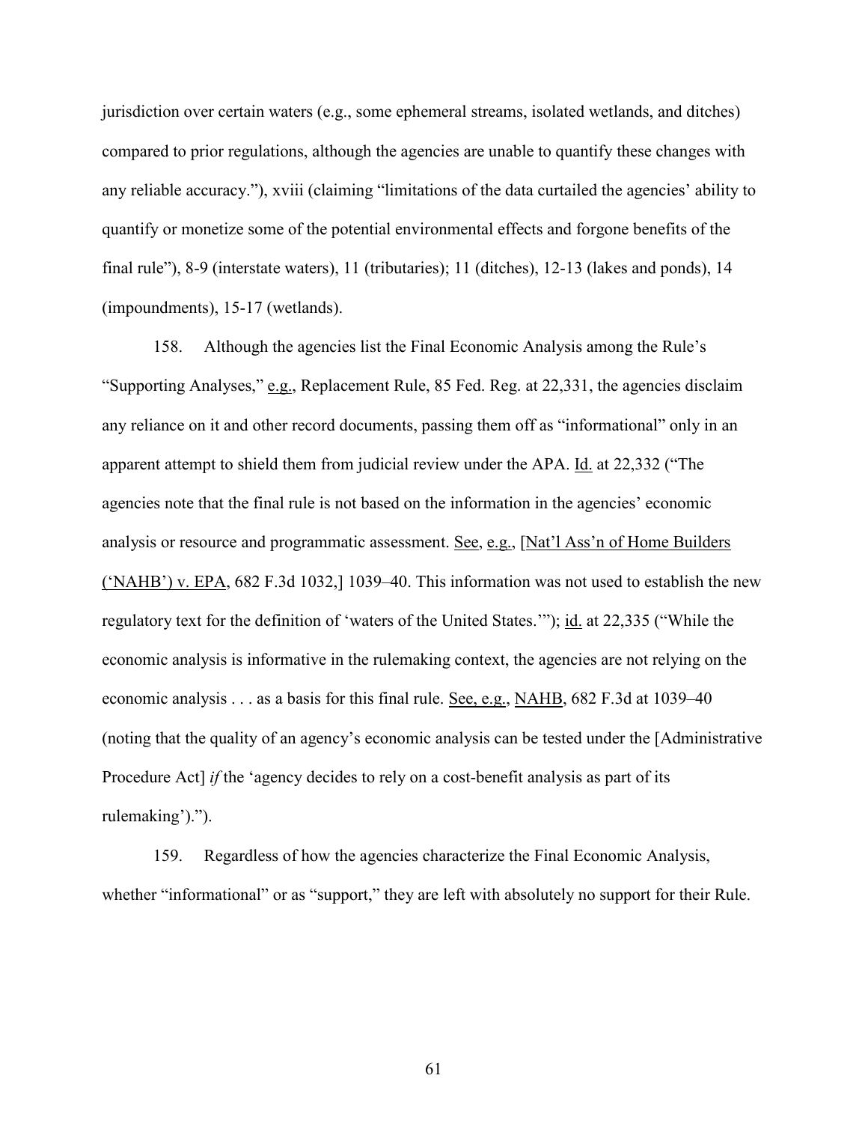jurisdiction over certain waters (e.g., some ephemeral streams, isolated wetlands, and ditches) compared to prior regulations, although the agencies are unable to quantify these changes with any reliable accuracy."), xviii (claiming "limitations of the data curtailed the agencies' ability to quantify or monetize some of the potential environmental effects and forgone benefits of the final rule"), 8-9 (interstate waters), 11 (tributaries); 11 (ditches), 12-13 (lakes and ponds), 14 (impoundments), 15-17 (wetlands).

158. Although the agencies list the Final Economic Analysis among the Rule's "Supporting Analyses," e.g., Replacement Rule, 85 Fed. Reg. at 22,331, the agencies disclaim any reliance on it and other record documents, passing them off as "informational" only in an apparent attempt to shield them from judicial review under the APA. Id. at 22,332 ("The agencies note that the final rule is not based on the information in the agencies' economic analysis or resource and programmatic assessment. See, e.g., [Nat'l Ass'n of Home Builders  $('NAHB')$  v. EPA, 682 F.3d 1032, 1039–40. This information was not used to establish the new regulatory text for the definition of 'waters of the United States.'"); id. at 22,335 ("While the economic analysis is informative in the rulemaking context, the agencies are not relying on the economic analysis . . . as a basis for this final rule. See, e.g., NAHB, 682 F.3d at 1039–40 (noting that the quality of an agency's economic analysis can be tested under the [Administrative Procedure Act] *if* the 'agency decides to rely on a cost-benefit analysis as part of its rulemaking').").

159. Regardless of how the agencies characterize the Final Economic Analysis, whether "informational" or as "support," they are left with absolutely no support for their Rule.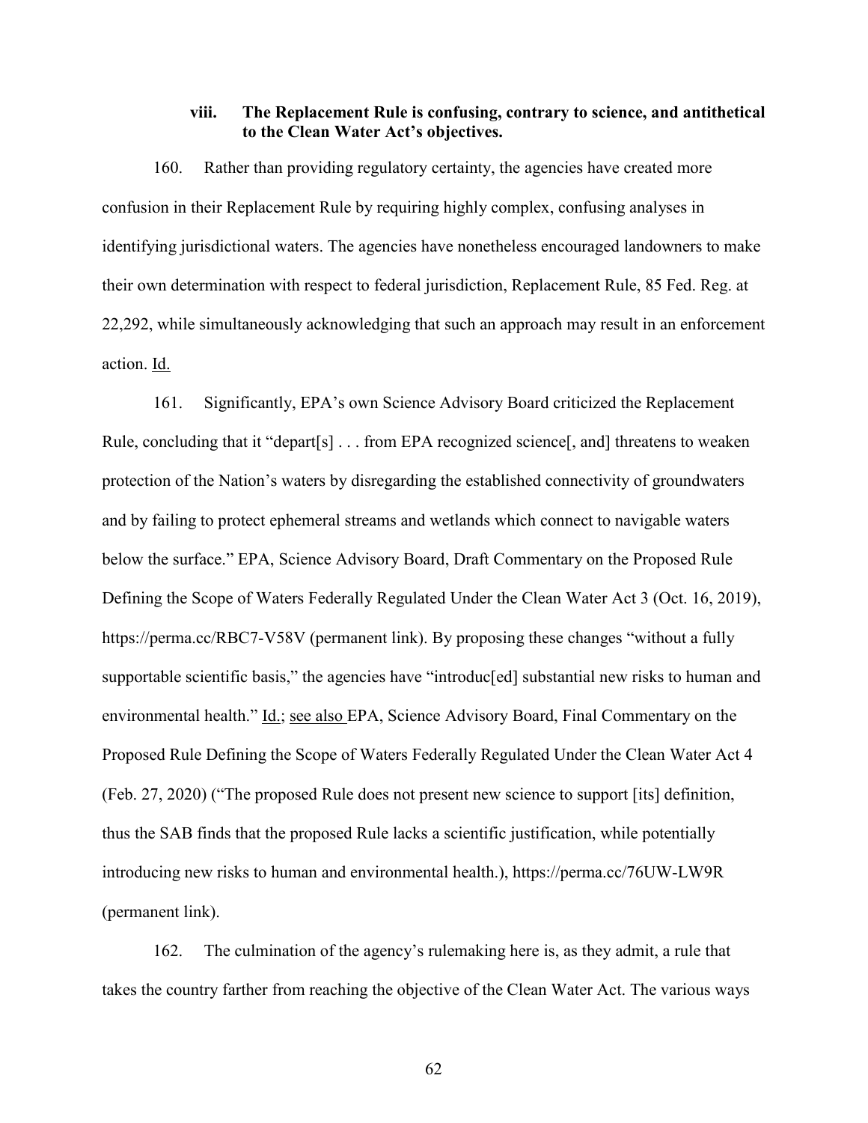### **viii. The Replacement Rule is confusing, contrary to science, and antithetical to the Clean Water Act's objectives.**

160. Rather than providing regulatory certainty, the agencies have created more confusion in their Replacement Rule by requiring highly complex, confusing analyses in identifying jurisdictional waters. The agencies have nonetheless encouraged landowners to make their own determination with respect to federal jurisdiction, Replacement Rule, 85 Fed. Reg. at 22,292, while simultaneously acknowledging that such an approach may result in an enforcement action. Id.

161. Significantly, EPA's own Science Advisory Board criticized the Replacement Rule, concluding that it "depart[s] . . . from EPA recognized science[, and] threatens to weaken protection of the Nation's waters by disregarding the established connectivity of groundwaters and by failing to protect ephemeral streams and wetlands which connect to navigable waters below the surface." EPA, Science Advisory Board, Draft Commentary on the Proposed Rule Defining the Scope of Waters Federally Regulated Under the Clean Water Act 3 (Oct. 16, 2019), https://perma.cc/RBC7-V58V (permanent link). By proposing these changes "without a fully supportable scientific basis," the agencies have "introduc[ed] substantial new risks to human and environmental health." Id.; see also EPA, Science Advisory Board, Final Commentary on the Proposed Rule Defining the Scope of Waters Federally Regulated Under the Clean Water Act 4 (Feb. 27, 2020) ("The proposed Rule does not present new science to support [its] definition, thus the SAB finds that the proposed Rule lacks a scientific justification, while potentially introducing new risks to human and environmental health.), https://perma.cc/76UW-LW9R (permanent link).

162. The culmination of the agency's rulemaking here is, as they admit, a rule that takes the country farther from reaching the objective of the Clean Water Act. The various ways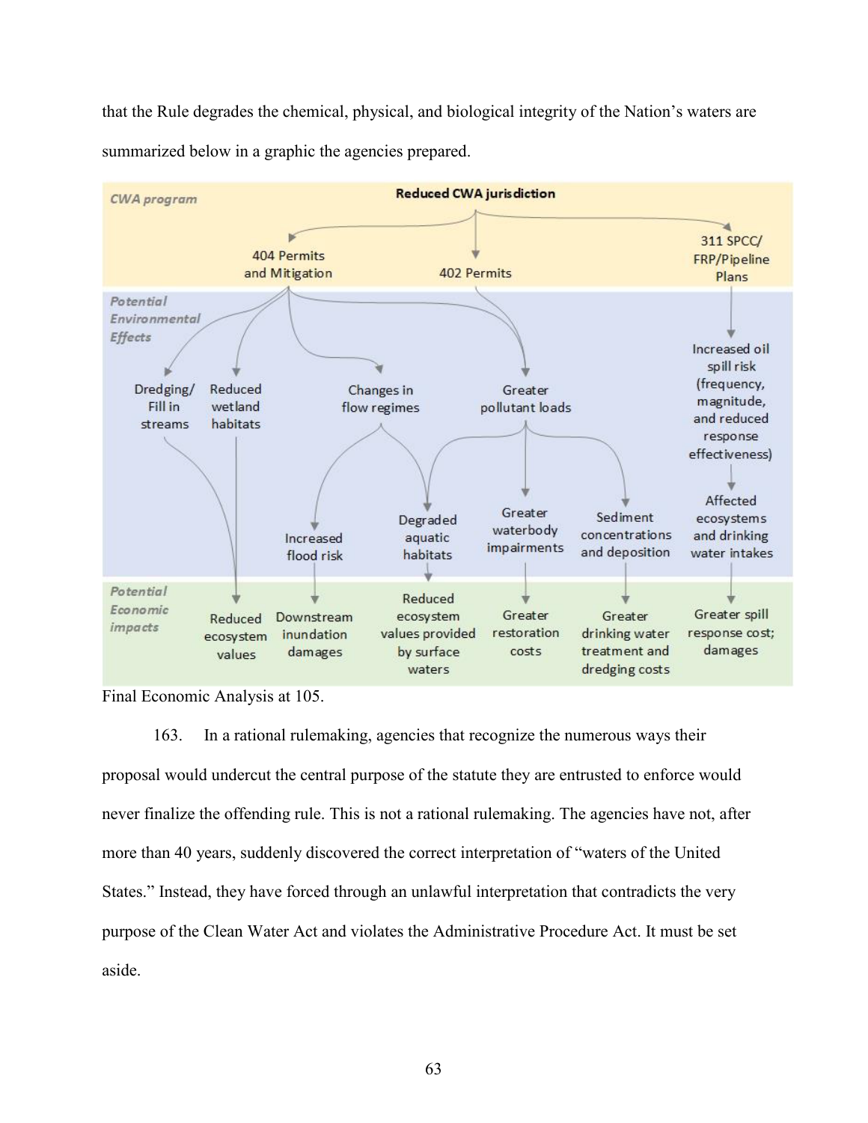that the Rule degrades the chemical, physical, and biological integrity of the Nation's waters are summarized below in a graphic the agencies prepared.



Final Economic Analysis at 105.

163. In a rational rulemaking, agencies that recognize the numerous ways their proposal would undercut the central purpose of the statute they are entrusted to enforce would never finalize the offending rule. This is not a rational rulemaking. The agencies have not, after more than 40 years, suddenly discovered the correct interpretation of "waters of the United States." Instead, they have forced through an unlawful interpretation that contradicts the very purpose of the Clean Water Act and violates the Administrative Procedure Act. It must be set aside.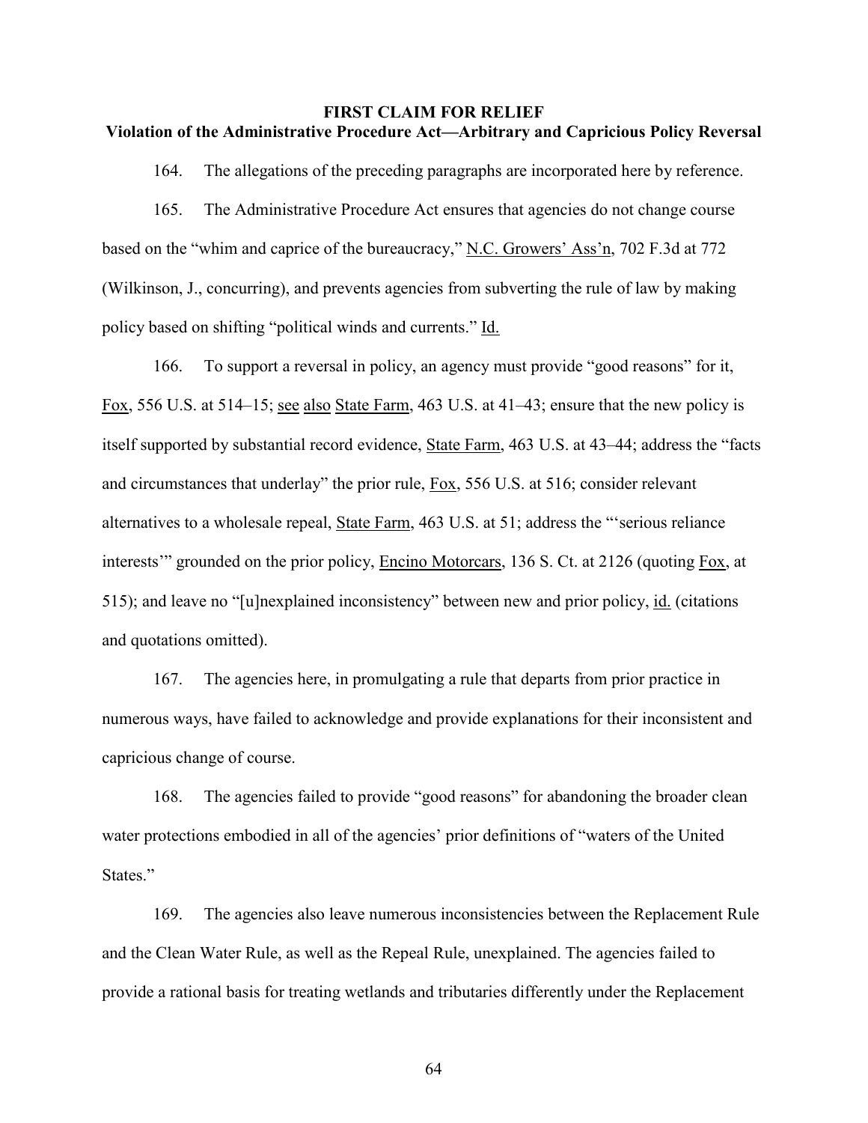### **FIRST CLAIM FOR RELIEF Violation of the Administrative Procedure Act—Arbitrary and Capricious Policy Reversal**

164. The allegations of the preceding paragraphs are incorporated here by reference.

165. The Administrative Procedure Act ensures that agencies do not change course based on the "whim and caprice of the bureaucracy," N.C. Growers' Ass'n, 702 F.3d at 772 (Wilkinson, J., concurring), and prevents agencies from subverting the rule of law by making policy based on shifting "political winds and currents." Id.

166. To support a reversal in policy, an agency must provide "good reasons" for it, Fox, 556 U.S. at 514–15; see also State Farm, 463 U.S. at 41–43; ensure that the new policy is itself supported by substantial record evidence, State Farm, 463 U.S. at 43–44; address the "facts and circumstances that underlay" the prior rule, Fox, 556 U.S. at 516; consider relevant alternatives to a wholesale repeal, State Farm, 463 U.S. at 51; address the "'serious reliance interests'" grounded on the prior policy, Encino Motorcars, 136 S. Ct. at 2126 (quoting Fox, at 515); and leave no "[u]nexplained inconsistency" between new and prior policy, id. (citations and quotations omitted).

167. The agencies here, in promulgating a rule that departs from prior practice in numerous ways, have failed to acknowledge and provide explanations for their inconsistent and capricious change of course.

168. The agencies failed to provide "good reasons" for abandoning the broader clean water protections embodied in all of the agencies' prior definitions of "waters of the United States."

169. The agencies also leave numerous inconsistencies between the Replacement Rule and the Clean Water Rule, as well as the Repeal Rule, unexplained. The agencies failed to provide a rational basis for treating wetlands and tributaries differently under the Replacement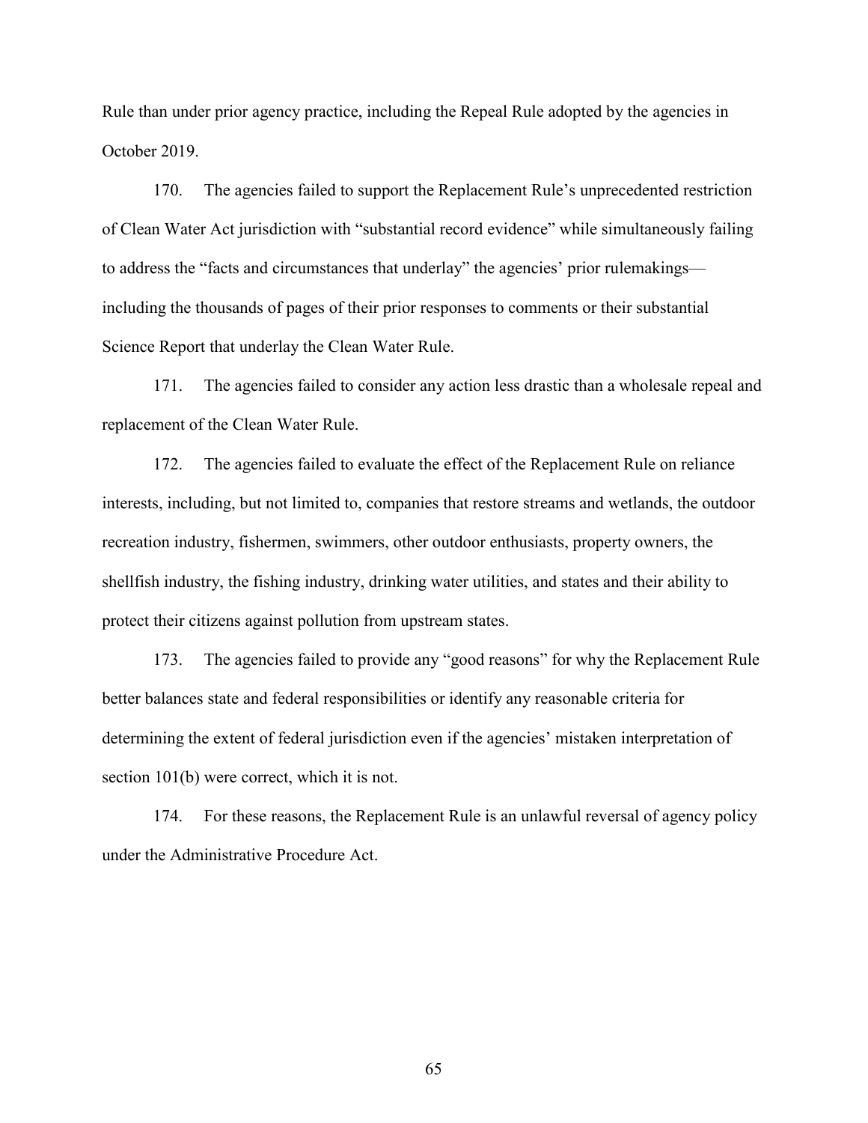Rule than under prior agency practice, including the Repeal Rule adopted by the agencies in October 2019.

170. The agencies failed to support the Replacement Rule's unprecedented restriction of Clean Water Act jurisdiction with "substantial record evidence" while simultaneously failing to address the "facts and circumstances that underlay" the agencies' prior rulemakings including the thousands of pages of their prior responses to comments or their substantial Science Report that underlay the Clean Water Rule.

171. The agencies failed to consider any action less drastic than a wholesale repeal and replacement of the Clean Water Rule.

172. The agencies failed to evaluate the effect of the Replacement Rule on reliance interests, including, but not limited to, companies that restore streams and wetlands, the outdoor recreation industry, fishermen, swimmers, other outdoor enthusiasts, property owners, the shellfish industry, the fishing industry, drinking water utilities, and states and their ability to protect their citizens against pollution from upstream states.

173. The agencies failed to provide any "good reasons" for why the Replacement Rule better balances state and federal responsibilities or identify any reasonable criteria for determining the extent of federal jurisdiction even if the agencies' mistaken interpretation of section 101(b) were correct, which it is not.

174. For these reasons, the Replacement Rule is an unlawful reversal of agency policy under the Administrative Procedure Act.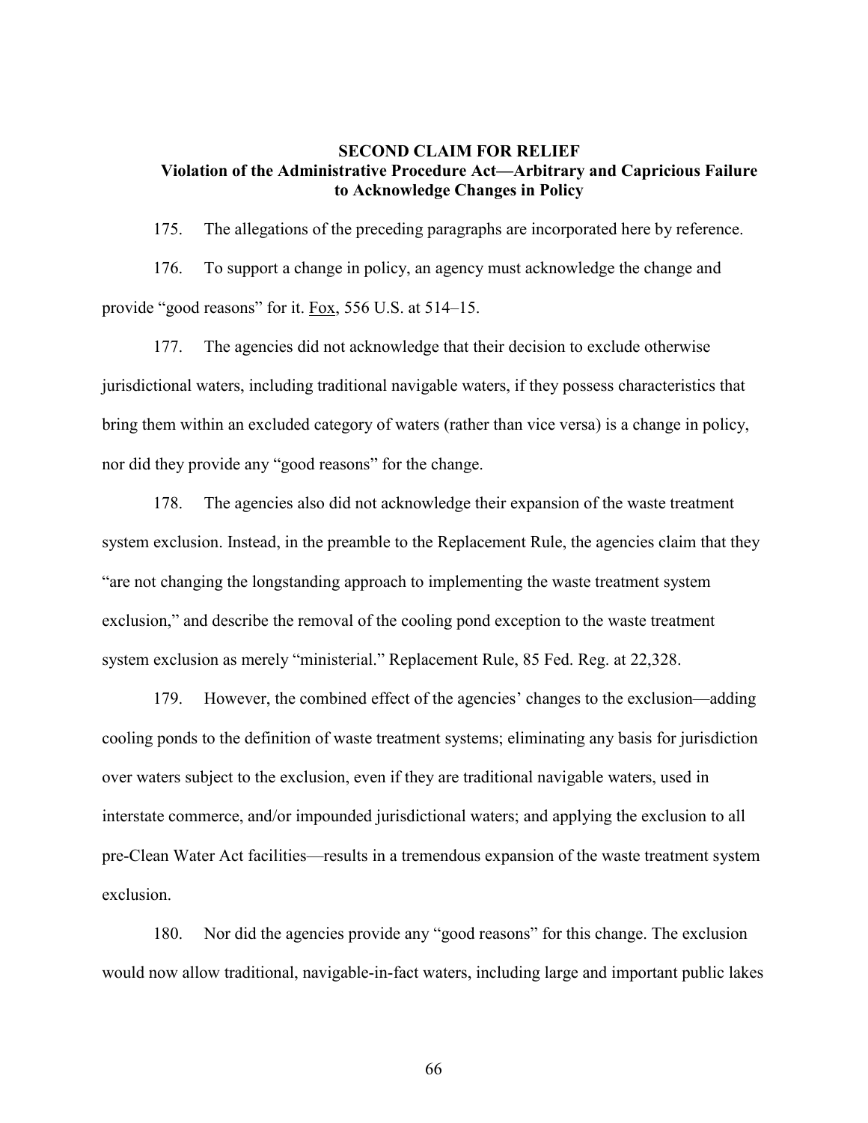### **SECOND CLAIM FOR RELIEF Violation of the Administrative Procedure Act—Arbitrary and Capricious Failure to Acknowledge Changes in Policy**

175. The allegations of the preceding paragraphs are incorporated here by reference.

176. To support a change in policy, an agency must acknowledge the change and provide "good reasons" for it. Fox, 556 U.S. at 514–15.

177. The agencies did not acknowledge that their decision to exclude otherwise jurisdictional waters, including traditional navigable waters, if they possess characteristics that bring them within an excluded category of waters (rather than vice versa) is a change in policy, nor did they provide any "good reasons" for the change.

178. The agencies also did not acknowledge their expansion of the waste treatment system exclusion. Instead, in the preamble to the Replacement Rule, the agencies claim that they "are not changing the longstanding approach to implementing the waste treatment system exclusion," and describe the removal of the cooling pond exception to the waste treatment system exclusion as merely "ministerial." Replacement Rule, 85 Fed. Reg. at 22,328.

179. However, the combined effect of the agencies' changes to the exclusion—adding cooling ponds to the definition of waste treatment systems; eliminating any basis for jurisdiction over waters subject to the exclusion, even if they are traditional navigable waters, used in interstate commerce, and/or impounded jurisdictional waters; and applying the exclusion to all pre-Clean Water Act facilities—results in a tremendous expansion of the waste treatment system exclusion.

180. Nor did the agencies provide any "good reasons" for this change. The exclusion would now allow traditional, navigable-in-fact waters, including large and important public lakes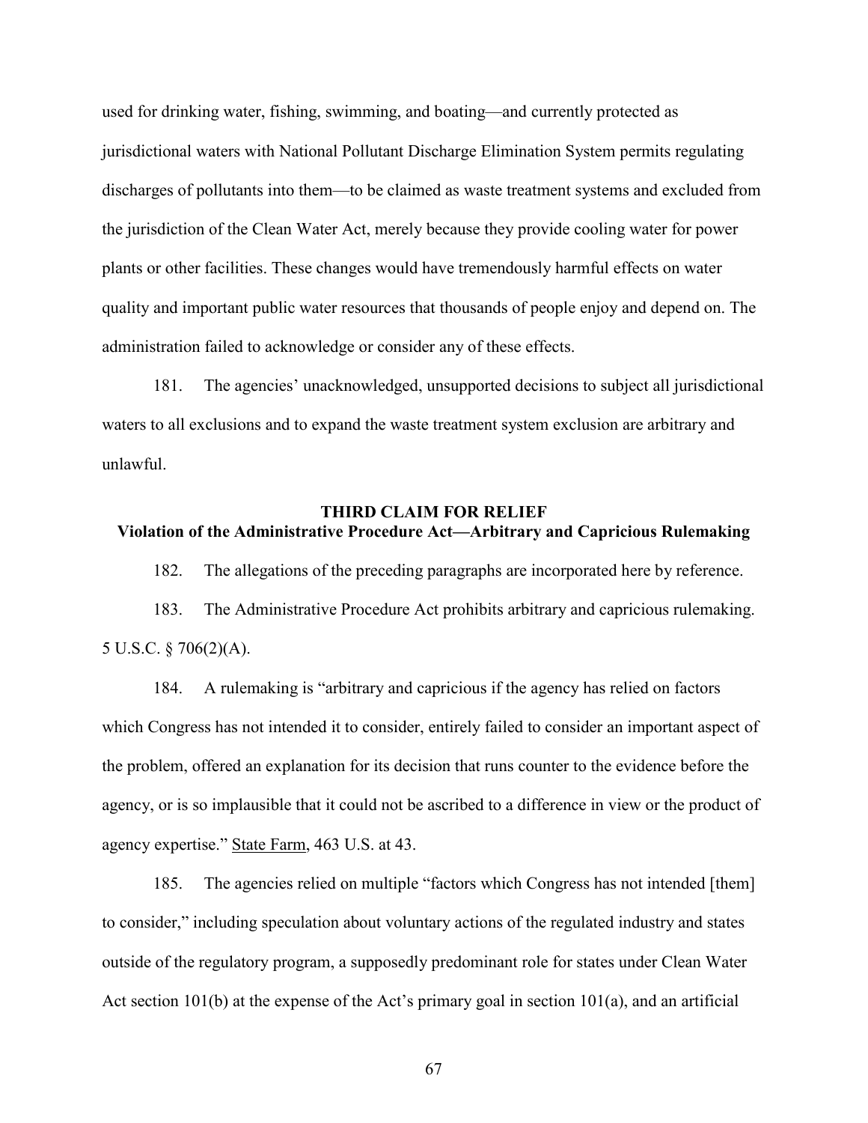used for drinking water, fishing, swimming, and boating—and currently protected as jurisdictional waters with National Pollutant Discharge Elimination System permits regulating discharges of pollutants into them—to be claimed as waste treatment systems and excluded from the jurisdiction of the Clean Water Act, merely because they provide cooling water for power plants or other facilities. These changes would have tremendously harmful effects on water quality and important public water resources that thousands of people enjoy and depend on. The administration failed to acknowledge or consider any of these effects.

181. The agencies' unacknowledged, unsupported decisions to subject all jurisdictional waters to all exclusions and to expand the waste treatment system exclusion are arbitrary and unlawful.

### **THIRD CLAIM FOR RELIEF**

# **Violation of the Administrative Procedure Act—Arbitrary and Capricious Rulemaking**

182. The allegations of the preceding paragraphs are incorporated here by reference.

183. The Administrative Procedure Act prohibits arbitrary and capricious rulemaking. 5 U.S.C. § 706(2)(A).

184. A rulemaking is "arbitrary and capricious if the agency has relied on factors which Congress has not intended it to consider, entirely failed to consider an important aspect of the problem, offered an explanation for its decision that runs counter to the evidence before the agency, or is so implausible that it could not be ascribed to a difference in view or the product of agency expertise." State Farm, 463 U.S. at 43.

185. The agencies relied on multiple "factors which Congress has not intended [them] to consider," including speculation about voluntary actions of the regulated industry and states outside of the regulatory program, a supposedly predominant role for states under Clean Water Act section 101(b) at the expense of the Act's primary goal in section 101(a), and an artificial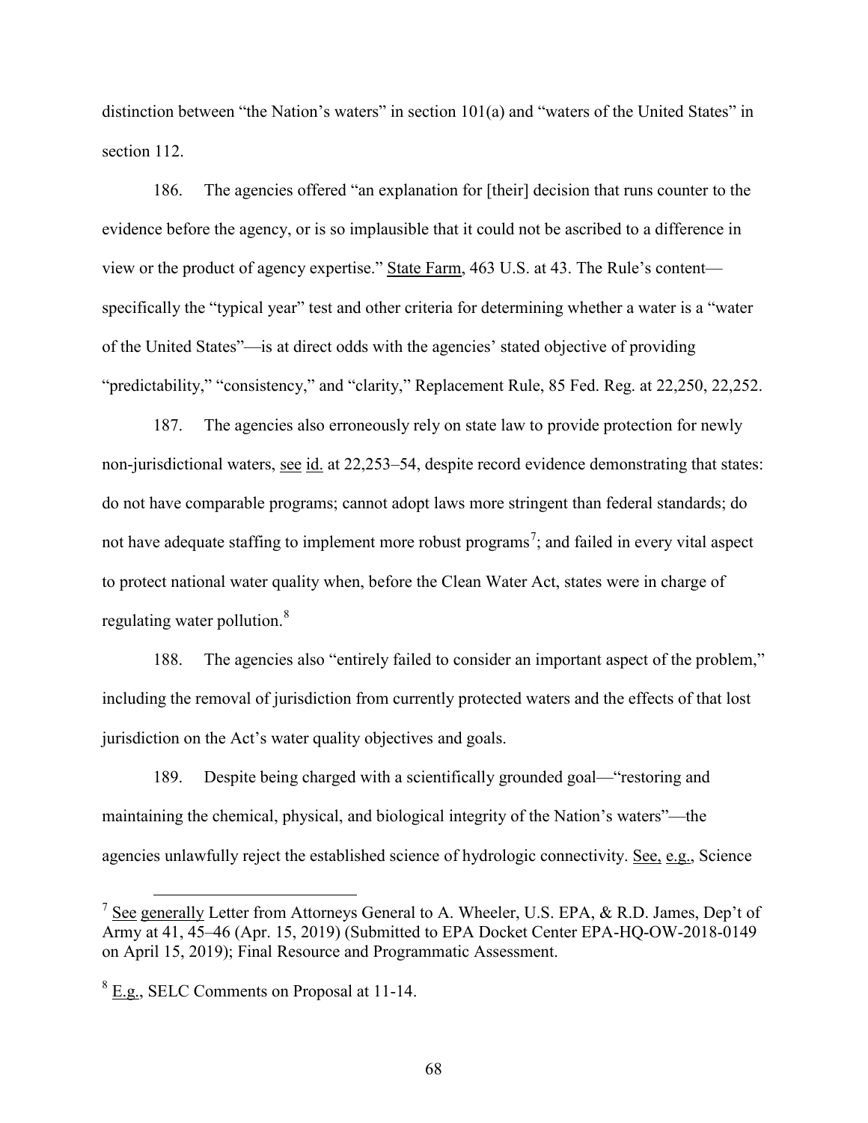distinction between "the Nation's waters" in section 101(a) and "waters of the United States" in section 112.

186. The agencies offered "an explanation for [their] decision that runs counter to the evidence before the agency, or is so implausible that it could not be ascribed to a difference in view or the product of agency expertise." State Farm, 463 U.S. at 43. The Rule's content specifically the "typical year" test and other criteria for determining whether a water is a "water of the United States"—is at direct odds with the agencies' stated objective of providing "predictability," "consistency," and "clarity," Replacement Rule, 85 Fed. Reg. at 22,250, 22,252.

187. The agencies also erroneously rely on state law to provide protection for newly non-jurisdictional waters, see id. at 22,253–54, despite record evidence demonstrating that states: do not have comparable programs; cannot adopt laws more stringent than federal standards; do not have adequate staffing to implement more robust programs<sup>[7](#page-67-0)</sup>; and failed in every vital aspect to protect national water quality when, before the Clean Water Act, states were in charge of regulating water pollution.<sup>[8](#page-67-1)</sup>

188. The agencies also "entirely failed to consider an important aspect of the problem," including the removal of jurisdiction from currently protected waters and the effects of that lost jurisdiction on the Act's water quality objectives and goals.

189. Despite being charged with a scientifically grounded goal—"restoring and maintaining the chemical, physical, and biological integrity of the Nation's waters"––the agencies unlawfully reject the established science of hydrologic connectivity. See, e.g., Science

<span id="page-67-0"></span><sup>&</sup>lt;sup>7</sup> See generally Letter from Attorneys General to A. Wheeler, U.S. EPA,  $\&$  R.D. James, Dep't of Army at 41, 45–46 (Apr. 15, 2019) (Submitted to EPA Docket Center EPA-HQ-OW-2018-0149 on April 15, 2019); Final Resource and Programmatic Assessment.

<span id="page-67-1"></span> $8$  E.g., SELC Comments on Proposal at 11-14.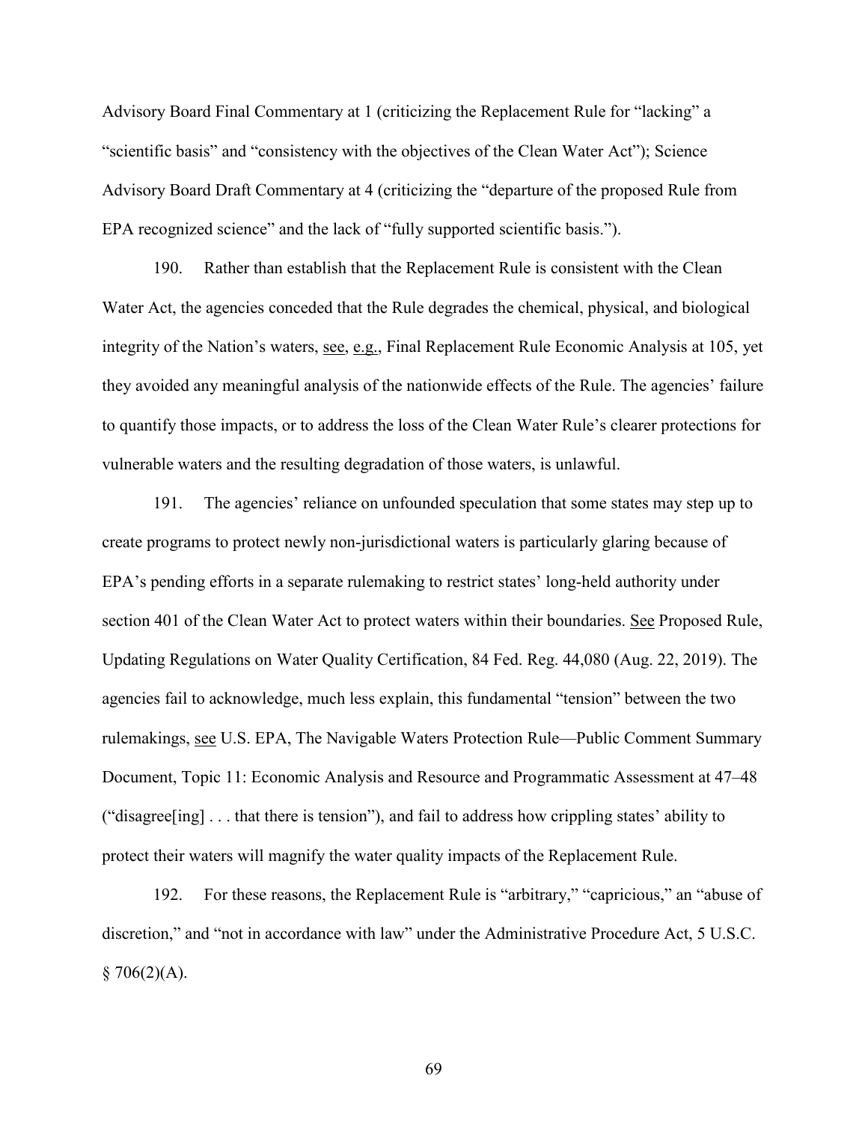Advisory Board Final Commentary at 1 (criticizing the Replacement Rule for "lacking" a "scientific basis" and "consistency with the objectives of the Clean Water Act"); Science Advisory Board Draft Commentary at 4 (criticizing the "departure of the proposed Rule from EPA recognized science" and the lack of "fully supported scientific basis.").

190. Rather than establish that the Replacement Rule is consistent with the Clean Water Act, the agencies conceded that the Rule degrades the chemical, physical, and biological integrity of the Nation's waters, see, e.g., Final Replacement Rule Economic Analysis at 105, yet they avoided any meaningful analysis of the nationwide effects of the Rule. The agencies' failure to quantify those impacts, or to address the loss of the Clean Water Rule's clearer protections for vulnerable waters and the resulting degradation of those waters, is unlawful.

191. The agencies' reliance on unfounded speculation that some states may step up to create programs to protect newly non-jurisdictional waters is particularly glaring because of EPA's pending efforts in a separate rulemaking to restrict states' long-held authority under section 401 of the Clean Water Act to protect waters within their boundaries. See Proposed Rule, Updating Regulations on Water Quality Certification, 84 Fed. Reg. 44,080 (Aug. 22, 2019). The agencies fail to acknowledge, much less explain, this fundamental "tension" between the two rulemakings, see U.S. EPA, The Navigable Waters Protection Rule––Public Comment Summary Document, Topic 11: Economic Analysis and Resource and Programmatic Assessment at 47–48 ("disagree[ing] . . . that there is tension"), and fail to address how crippling states' ability to protect their waters will magnify the water quality impacts of the Replacement Rule.

192. For these reasons, the Replacement Rule is "arbitrary," "capricious," an "abuse of discretion," and "not in accordance with law" under the Administrative Procedure Act, 5 U.S.C.  $§ 706(2)(A).$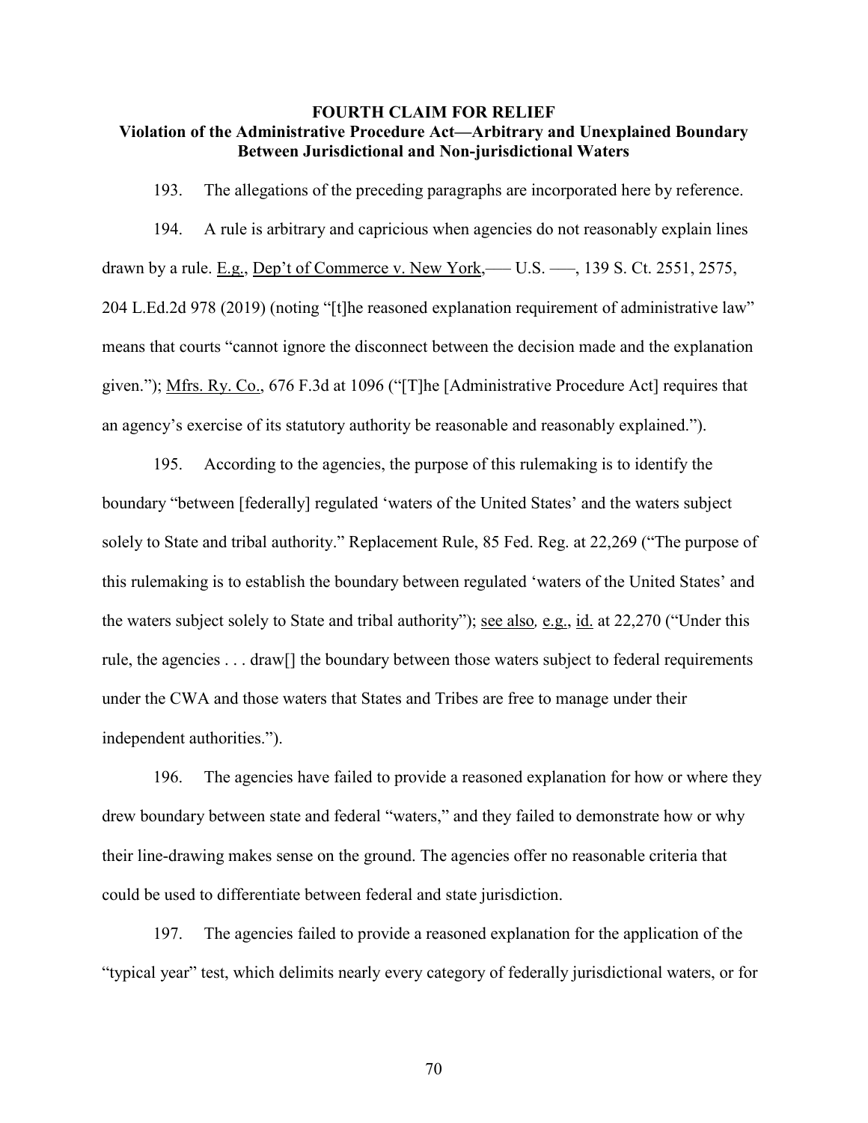### **FOURTH CLAIM FOR RELIEF Violation of the Administrative Procedure Act—Arbitrary and Unexplained Boundary Between Jurisdictional and Non-jurisdictional Waters**

193. The allegations of the preceding paragraphs are incorporated here by reference.

194. A rule is arbitrary and capricious when agencies do not reasonably explain lines drawn by a rule. E.g., Dep't of Commerce v. New York,— $U.S.$  —, 139 S. Ct. 2551, 2575, 204 L.Ed.2d 978 (2019) (noting "[t]he reasoned explanation requirement of administrative law" means that courts "cannot ignore the disconnect between the decision made and the explanation given."); Mfrs. Ry. Co., 676 F.3d at 1096 ("[T]he [Administrative Procedure Act] requires that an agency's exercise of its statutory authority be reasonable and reasonably explained.").

195. According to the agencies, the purpose of this rulemaking is to identify the boundary "between [federally] regulated 'waters of the United States' and the waters subject solely to State and tribal authority." Replacement Rule, 85 Fed. Reg. at 22,269 ("The purpose of this rulemaking is to establish the boundary between regulated 'waters of the United States' and the waters subject solely to State and tribal authority"); see also*,* e.g., id. at 22,270 ("Under this rule, the agencies . . . draw[] the boundary between those waters subject to federal requirements under the CWA and those waters that States and Tribes are free to manage under their independent authorities.").

196. The agencies have failed to provide a reasoned explanation for how or where they drew boundary between state and federal "waters," and they failed to demonstrate how or why their line-drawing makes sense on the ground. The agencies offer no reasonable criteria that could be used to differentiate between federal and state jurisdiction.

197. The agencies failed to provide a reasoned explanation for the application of the "typical year" test, which delimits nearly every category of federally jurisdictional waters, or for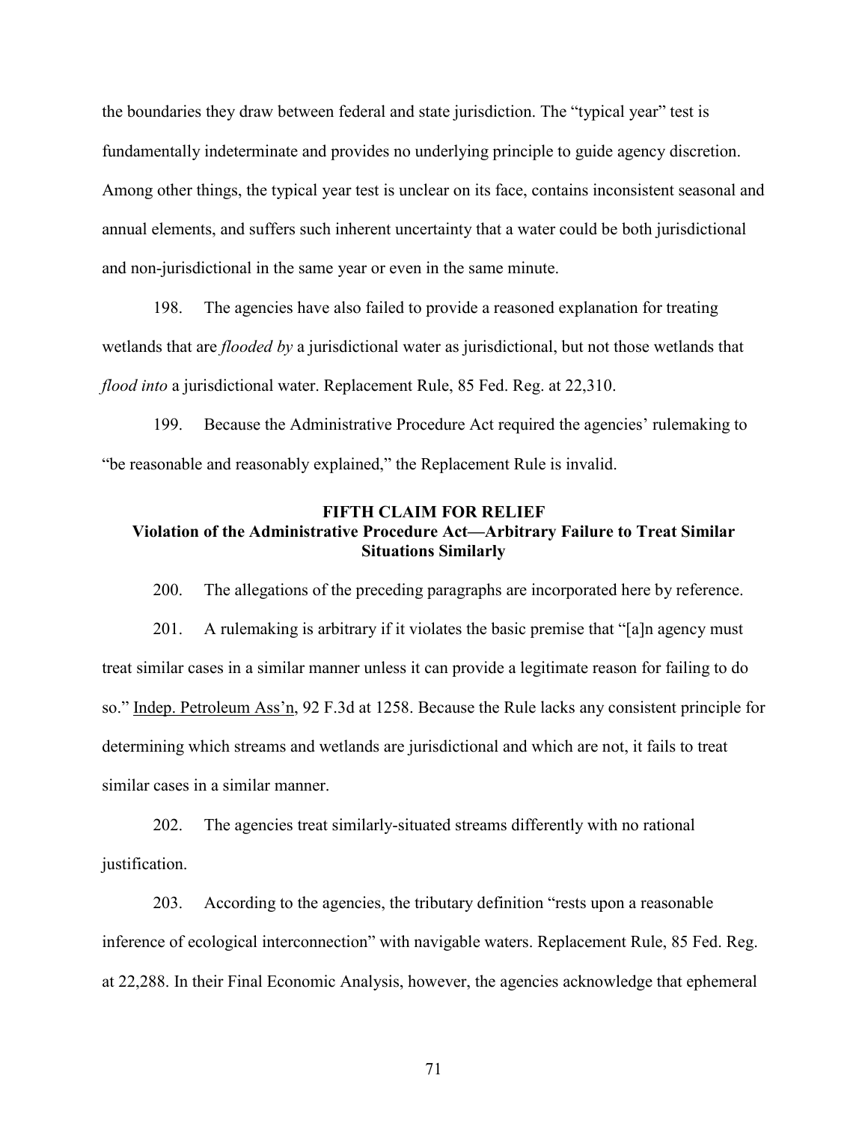the boundaries they draw between federal and state jurisdiction. The "typical year" test is fundamentally indeterminate and provides no underlying principle to guide agency discretion. Among other things, the typical year test is unclear on its face, contains inconsistent seasonal and annual elements, and suffers such inherent uncertainty that a water could be both jurisdictional and non-jurisdictional in the same year or even in the same minute.

198. The agencies have also failed to provide a reasoned explanation for treating wetlands that are *flooded by* a jurisdictional water as jurisdictional, but not those wetlands that *flood into* a jurisdictional water. Replacement Rule, 85 Fed. Reg. at 22,310.

199. Because the Administrative Procedure Act required the agencies' rulemaking to "be reasonable and reasonably explained," the Replacement Rule is invalid.

#### **FIFTH CLAIM FOR RELIEF**

# **Violation of the Administrative Procedure Act—Arbitrary Failure to Treat Similar Situations Similarly**

200. The allegations of the preceding paragraphs are incorporated here by reference.

201. A rulemaking is arbitrary if it violates the basic premise that "[a]n agency must treat similar cases in a similar manner unless it can provide a legitimate reason for failing to do so." Indep. Petroleum Ass'n, 92 F.3d at 1258. Because the Rule lacks any consistent principle for determining which streams and wetlands are jurisdictional and which are not, it fails to treat similar cases in a similar manner.

202. The agencies treat similarly-situated streams differently with no rational justification.

203. According to the agencies, the tributary definition "rests upon a reasonable inference of ecological interconnection" with navigable waters. Replacement Rule, 85 Fed. Reg. at 22,288. In their Final Economic Analysis, however, the agencies acknowledge that ephemeral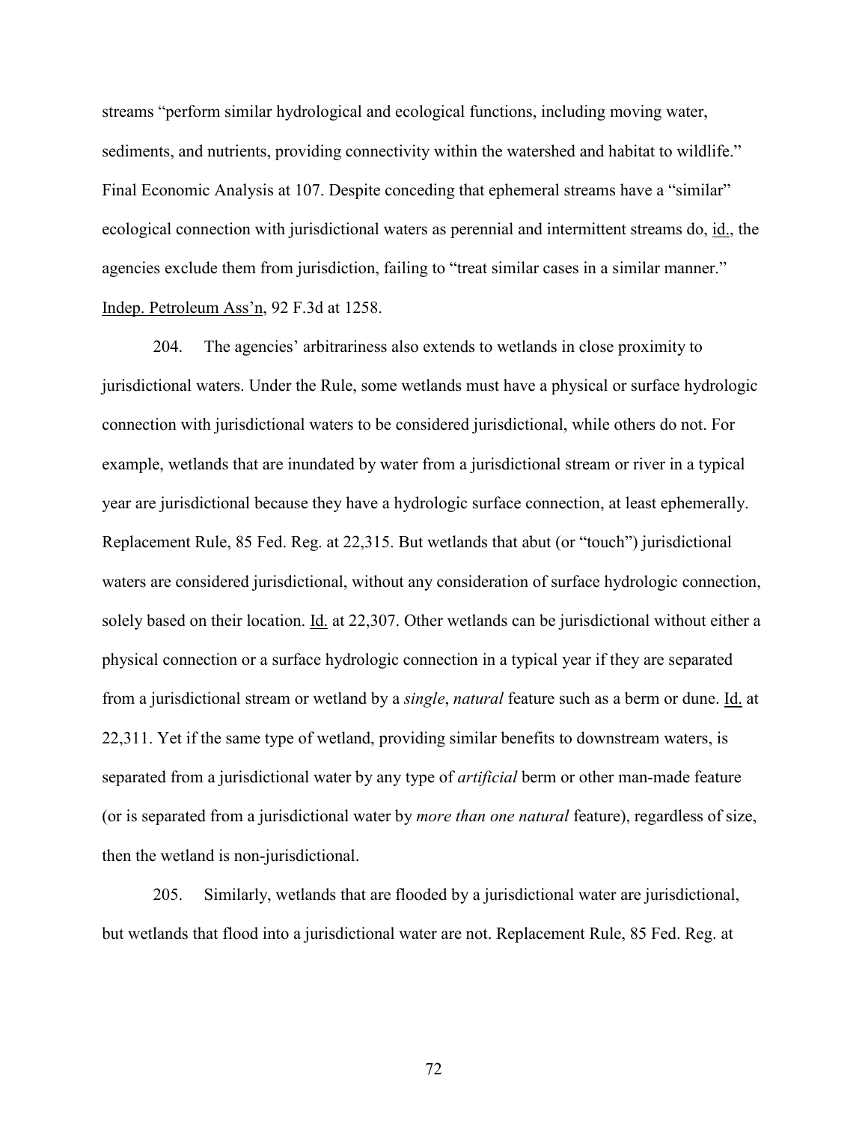streams "perform similar hydrological and ecological functions, including moving water, sediments, and nutrients, providing connectivity within the watershed and habitat to wildlife." Final Economic Analysis at 107. Despite conceding that ephemeral streams have a "similar" ecological connection with jurisdictional waters as perennial and intermittent streams do, id., the agencies exclude them from jurisdiction, failing to "treat similar cases in a similar manner." Indep. Petroleum Ass'n, 92 F.3d at 1258.

204. The agencies' arbitrariness also extends to wetlands in close proximity to jurisdictional waters. Under the Rule, some wetlands must have a physical or surface hydrologic connection with jurisdictional waters to be considered jurisdictional, while others do not. For example, wetlands that are inundated by water from a jurisdictional stream or river in a typical year are jurisdictional because they have a hydrologic surface connection, at least ephemerally. Replacement Rule, 85 Fed. Reg. at 22,315. But wetlands that abut (or "touch") jurisdictional waters are considered jurisdictional, without any consideration of surface hydrologic connection, solely based on their location. Id. at 22,307. Other wetlands can be jurisdictional without either a physical connection or a surface hydrologic connection in a typical year if they are separated from a jurisdictional stream or wetland by a *single*, *natural* feature such as a berm or dune. Id. at 22,311. Yet if the same type of wetland, providing similar benefits to downstream waters, is separated from a jurisdictional water by any type of *artificial* berm or other man-made feature (or is separated from a jurisdictional water by *more than one natural* feature), regardless of size, then the wetland is non-jurisdictional.

205. Similarly, wetlands that are flooded by a jurisdictional water are jurisdictional, but wetlands that flood into a jurisdictional water are not. Replacement Rule, 85 Fed. Reg. at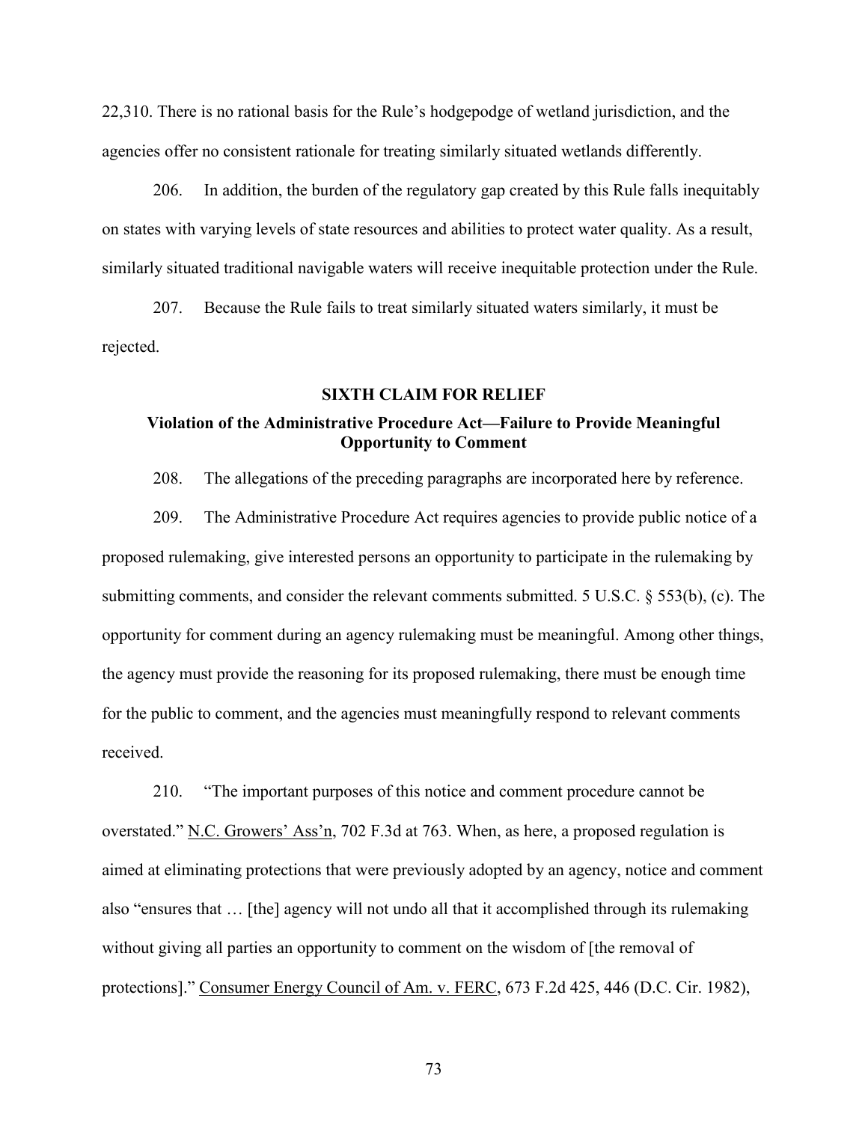22,310. There is no rational basis for the Rule's hodgepodge of wetland jurisdiction, and the agencies offer no consistent rationale for treating similarly situated wetlands differently.

206. In addition, the burden of the regulatory gap created by this Rule falls inequitably on states with varying levels of state resources and abilities to protect water quality. As a result, similarly situated traditional navigable waters will receive inequitable protection under the Rule.

207. Because the Rule fails to treat similarly situated waters similarly, it must be rejected.

#### **SIXTH CLAIM FOR RELIEF**

# **Violation of the Administrative Procedure Act—Failure to Provide Meaningful Opportunity to Comment**

208. The allegations of the preceding paragraphs are incorporated here by reference.

209. The Administrative Procedure Act requires agencies to provide public notice of a proposed rulemaking, give interested persons an opportunity to participate in the rulemaking by submitting comments, and consider the relevant comments submitted. 5 U.S.C. § 553(b), (c). The opportunity for comment during an agency rulemaking must be meaningful. Among other things, the agency must provide the reasoning for its proposed rulemaking, there must be enough time for the public to comment, and the agencies must meaningfully respond to relevant comments received.

210. "The important purposes of this notice and comment procedure cannot be overstated." N.C. Growers' Ass'n, 702 F.3d at 763. When, as here, a proposed regulation is aimed at eliminating protections that were previously adopted by an agency, notice and comment also "ensures that … [the] agency will not undo all that it accomplished through its rulemaking without giving all parties an opportunity to comment on the wisdom of [the removal of protections]." Consumer Energy Council of Am. v. FERC, 673 F.2d 425, 446 (D.C. Cir. 1982),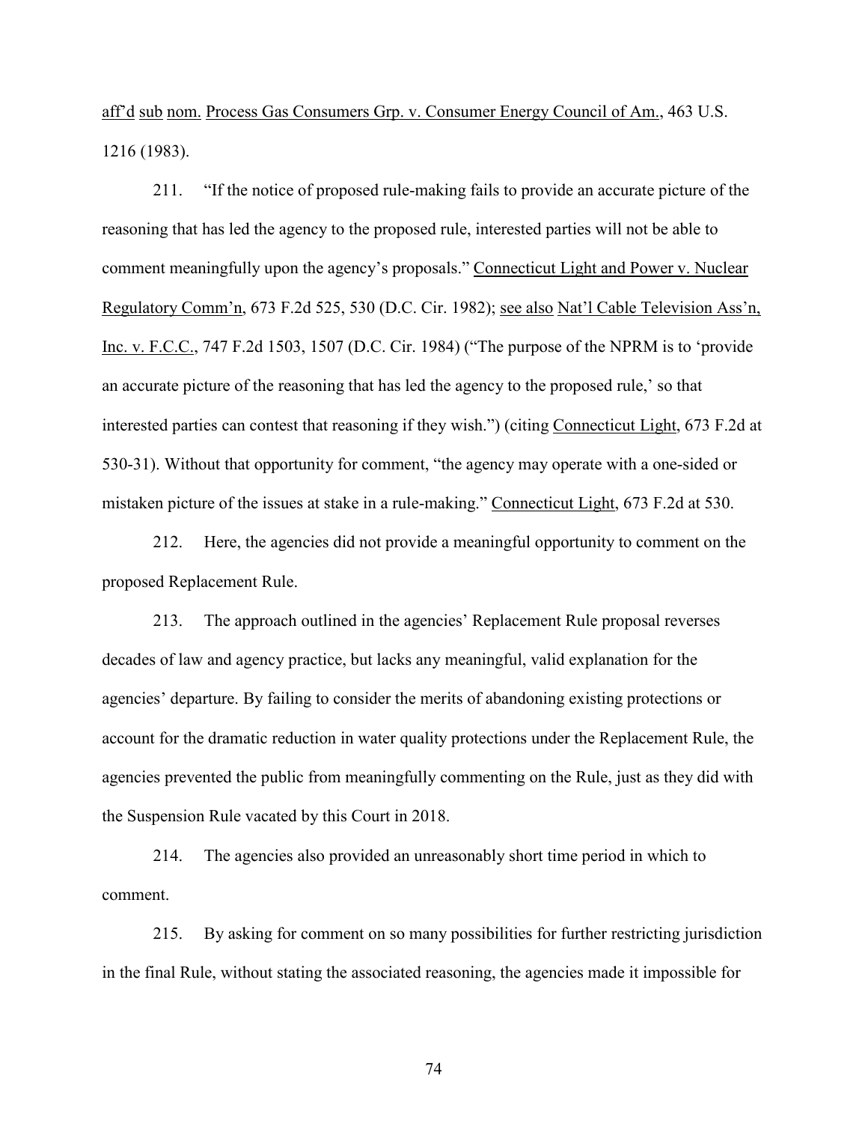aff'd sub nom. Process Gas Consumers Grp. v. Consumer Energy Council of Am., 463 U.S. 1216 (1983).

211. "If the notice of proposed rule-making fails to provide an accurate picture of the reasoning that has led the agency to the proposed rule, interested parties will not be able to comment meaningfully upon the agency's proposals." Connecticut Light and Power v. Nuclear Regulatory Comm'n, 673 F.2d 525, 530 (D.C. Cir. 1982); see also Nat'l Cable Television Ass'n, Inc. v. F.C.C., 747 F.2d 1503, 1507 (D.C. Cir. 1984) ("The purpose of the NPRM is to 'provide an accurate picture of the reasoning that has led the agency to the proposed rule,' so that interested parties can contest that reasoning if they wish.") (citing Connecticut Light, 673 F.2d at 530-31). Without that opportunity for comment, "the agency may operate with a one-sided or mistaken picture of the issues at stake in a rule-making." Connecticut Light, 673 F.2d at 530.

212. Here, the agencies did not provide a meaningful opportunity to comment on the proposed Replacement Rule.

213. The approach outlined in the agencies' Replacement Rule proposal reverses decades of law and agency practice, but lacks any meaningful, valid explanation for the agencies' departure. By failing to consider the merits of abandoning existing protections or account for the dramatic reduction in water quality protections under the Replacement Rule, the agencies prevented the public from meaningfully commenting on the Rule, just as they did with the Suspension Rule vacated by this Court in 2018.

214. The agencies also provided an unreasonably short time period in which to comment.

215. By asking for comment on so many possibilities for further restricting jurisdiction in the final Rule, without stating the associated reasoning, the agencies made it impossible for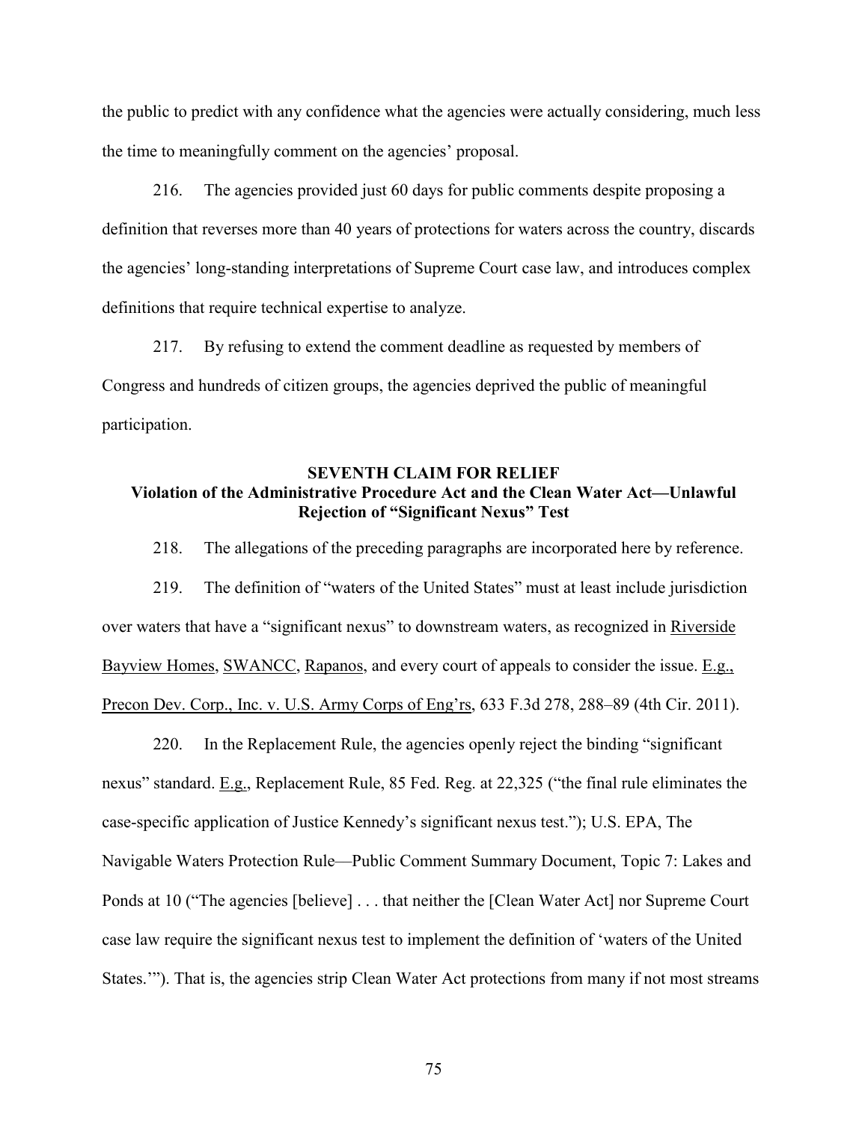the public to predict with any confidence what the agencies were actually considering, much less the time to meaningfully comment on the agencies' proposal.

216. The agencies provided just 60 days for public comments despite proposing a definition that reverses more than 40 years of protections for waters across the country, discards the agencies' long-standing interpretations of Supreme Court case law, and introduces complex definitions that require technical expertise to analyze.

217. By refusing to extend the comment deadline as requested by members of Congress and hundreds of citizen groups, the agencies deprived the public of meaningful participation.

# **SEVENTH CLAIM FOR RELIEF Violation of the Administrative Procedure Act and the Clean Water Act—Unlawful Rejection of "Significant Nexus" Test**

218. The allegations of the preceding paragraphs are incorporated here by reference.

219. The definition of "waters of the United States" must at least include jurisdiction over waters that have a "significant nexus" to downstream waters, as recognized in Riverside Bayview Homes, SWANCC, Rapanos, and every court of appeals to consider the issue. E.g., Precon Dev. Corp., Inc. v. U.S. Army Corps of Eng'rs, 633 F.3d 278, 288–89 (4th Cir. 2011).

220. In the Replacement Rule, the agencies openly reject the binding "significant nexus" standard. E.g., Replacement Rule, 85 Fed. Reg. at 22,325 ("the final rule eliminates the case-specific application of Justice Kennedy's significant nexus test."); U.S. EPA, The Navigable Waters Protection Rule––Public Comment Summary Document, Topic 7: Lakes and Ponds at 10 ("The agencies [believe] . . . that neither the [Clean Water Act] nor Supreme Court case law require the significant nexus test to implement the definition of 'waters of the United States.'"). That is, the agencies strip Clean Water Act protections from many if not most streams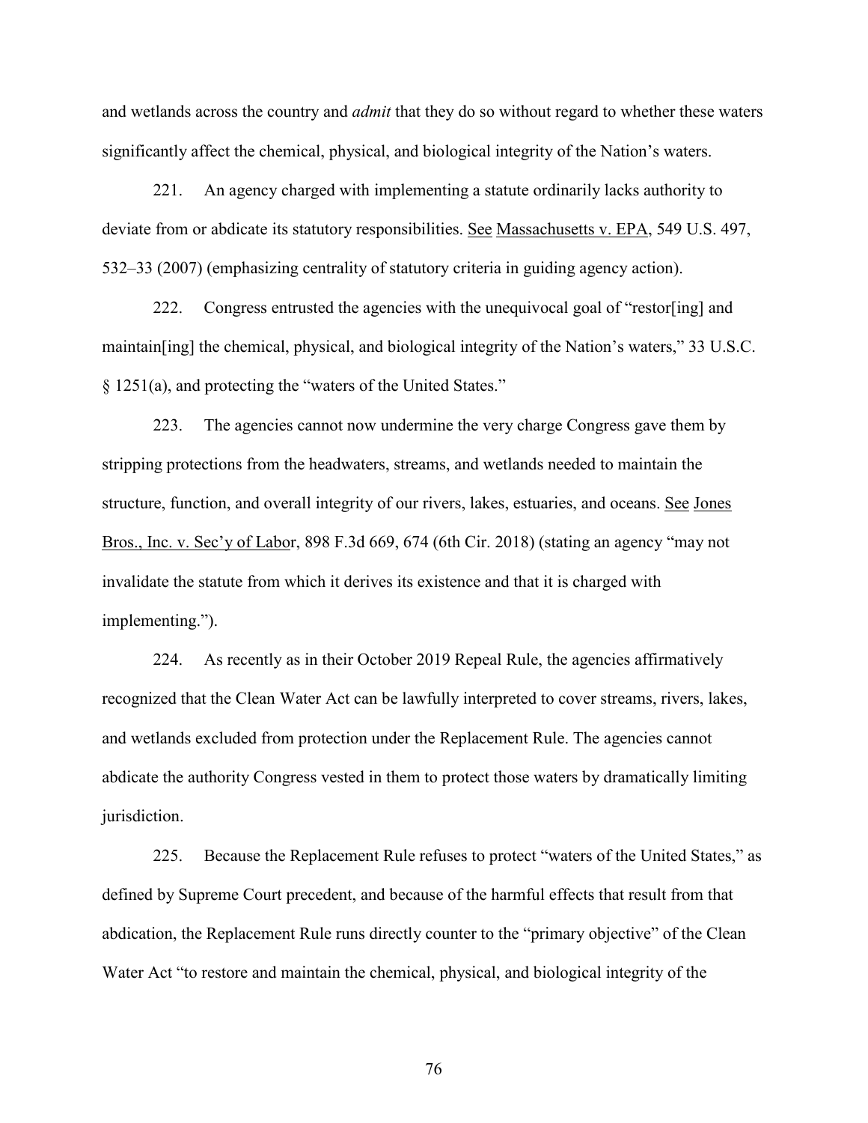and wetlands across the country and *admit* that they do so without regard to whether these waters significantly affect the chemical, physical, and biological integrity of the Nation's waters.

221. An agency charged with implementing a statute ordinarily lacks authority to deviate from or abdicate its statutory responsibilities. See Massachusetts v. EPA, 549 U.S. 497, 532–33 (2007) (emphasizing centrality of statutory criteria in guiding agency action).

222. Congress entrusted the agencies with the unequivocal goal of "restor[ing] and maintain[ing] the chemical, physical, and biological integrity of the Nation's waters," 33 U.S.C. § 1251(a), and protecting the "waters of the United States."

223. The agencies cannot now undermine the very charge Congress gave them by stripping protections from the headwaters, streams, and wetlands needed to maintain the structure, function, and overall integrity of our rivers, lakes, estuaries, and oceans. See Jones Bros., Inc. v. Sec'y of Labor, 898 F.3d 669, 674 (6th Cir. 2018) (stating an agency "may not invalidate the statute from which it derives its existence and that it is charged with implementing.").

224. As recently as in their October 2019 Repeal Rule, the agencies affirmatively recognized that the Clean Water Act can be lawfully interpreted to cover streams, rivers, lakes, and wetlands excluded from protection under the Replacement Rule. The agencies cannot abdicate the authority Congress vested in them to protect those waters by dramatically limiting jurisdiction.

225. Because the Replacement Rule refuses to protect "waters of the United States," as defined by Supreme Court precedent, and because of the harmful effects that result from that abdication, the Replacement Rule runs directly counter to the "primary objective" of the Clean Water Act "to restore and maintain the chemical, physical, and biological integrity of the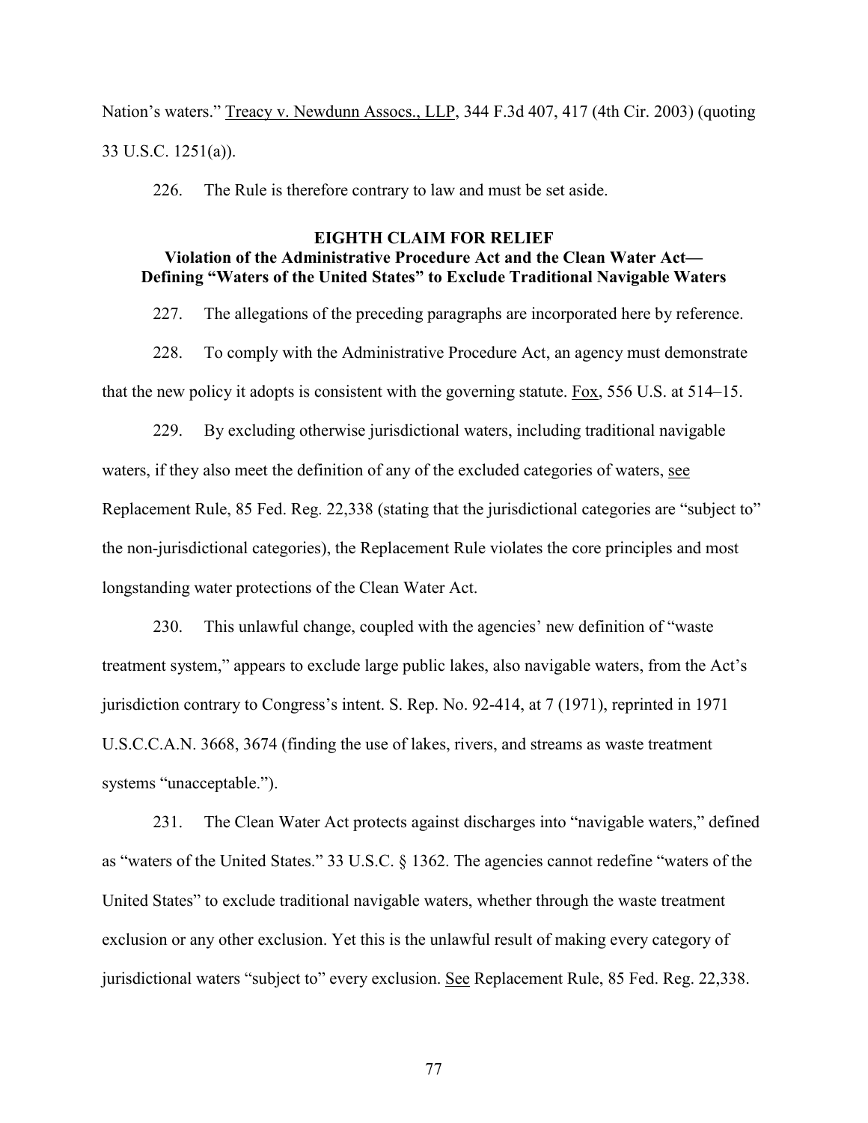Nation's waters." Treacy v. Newdunn Assocs., LLP, 344 F.3d 407, 417 (4th Cir. 2003) (quoting 33 U.S.C. 1251(a)).

226. The Rule is therefore contrary to law and must be set aside.

# **EIGHTH CLAIM FOR RELIEF Violation of the Administrative Procedure Act and the Clean Water Act— Defining "Waters of the United States" to Exclude Traditional Navigable Waters**

227. The allegations of the preceding paragraphs are incorporated here by reference.

228. To comply with the Administrative Procedure Act, an agency must demonstrate that the new policy it adopts is consistent with the governing statute. Fox, 556 U.S. at 514–15.

229. By excluding otherwise jurisdictional waters, including traditional navigable waters, if they also meet the definition of any of the excluded categories of waters, see Replacement Rule, 85 Fed. Reg. 22,338 (stating that the jurisdictional categories are "subject to" the non-jurisdictional categories), the Replacement Rule violates the core principles and most longstanding water protections of the Clean Water Act.

230. This unlawful change, coupled with the agencies' new definition of "waste treatment system," appears to exclude large public lakes, also navigable waters, from the Act's jurisdiction contrary to Congress's intent. S. Rep. No. 92-414, at 7 (1971), reprinted in 1971 U.S.C.C.A.N. 3668, 3674 (finding the use of lakes, rivers, and streams as waste treatment systems "unacceptable.").

231. The Clean Water Act protects against discharges into "navigable waters," defined as "waters of the United States." 33 U.S.C. § 1362. The agencies cannot redefine "waters of the United States" to exclude traditional navigable waters, whether through the waste treatment exclusion or any other exclusion. Yet this is the unlawful result of making every category of jurisdictional waters "subject to" every exclusion. See Replacement Rule, 85 Fed. Reg. 22,338.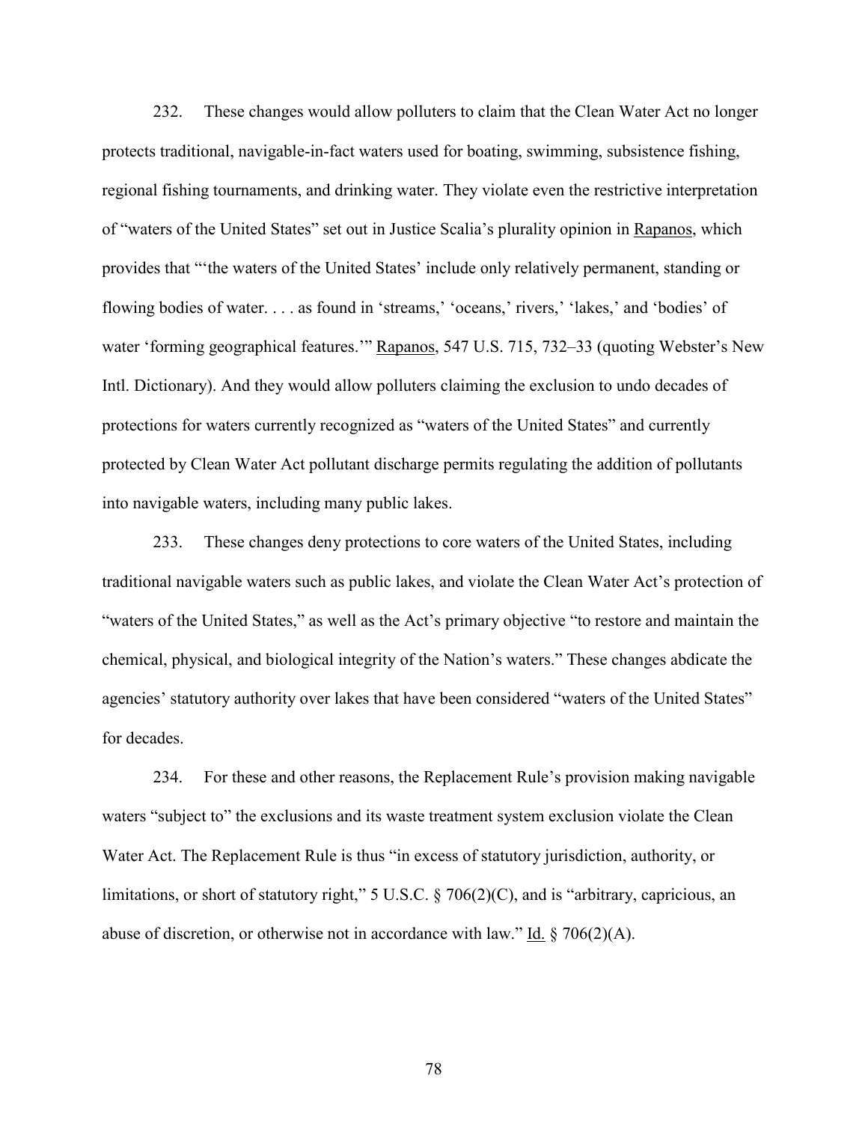232. These changes would allow polluters to claim that the Clean Water Act no longer protects traditional, navigable-in-fact waters used for boating, swimming, subsistence fishing, regional fishing tournaments, and drinking water. They violate even the restrictive interpretation of "waters of the United States" set out in Justice Scalia's plurality opinion in Rapanos, which provides that "'the waters of the United States' include only relatively permanent, standing or flowing bodies of water. . . . as found in 'streams,' 'oceans,' rivers,' 'lakes,' and 'bodies' of water 'forming geographical features.'" Rapanos, 547 U.S. 715, 732–33 (quoting Webster's New Intl. Dictionary). And they would allow polluters claiming the exclusion to undo decades of protections for waters currently recognized as "waters of the United States" and currently protected by Clean Water Act pollutant discharge permits regulating the addition of pollutants into navigable waters, including many public lakes.

233. These changes deny protections to core waters of the United States, including traditional navigable waters such as public lakes, and violate the Clean Water Act's protection of "waters of the United States," as well as the Act's primary objective "to restore and maintain the chemical, physical, and biological integrity of the Nation's waters." These changes abdicate the agencies' statutory authority over lakes that have been considered "waters of the United States" for decades.

234. For these and other reasons, the Replacement Rule's provision making navigable waters "subject to" the exclusions and its waste treatment system exclusion violate the Clean Water Act. The Replacement Rule is thus "in excess of statutory jurisdiction, authority, or limitations, or short of statutory right," 5 U.S.C. § 706(2)(C), and is "arbitrary, capricious, an abuse of discretion, or otherwise not in accordance with law." Id.  $\S$  706(2)(A).